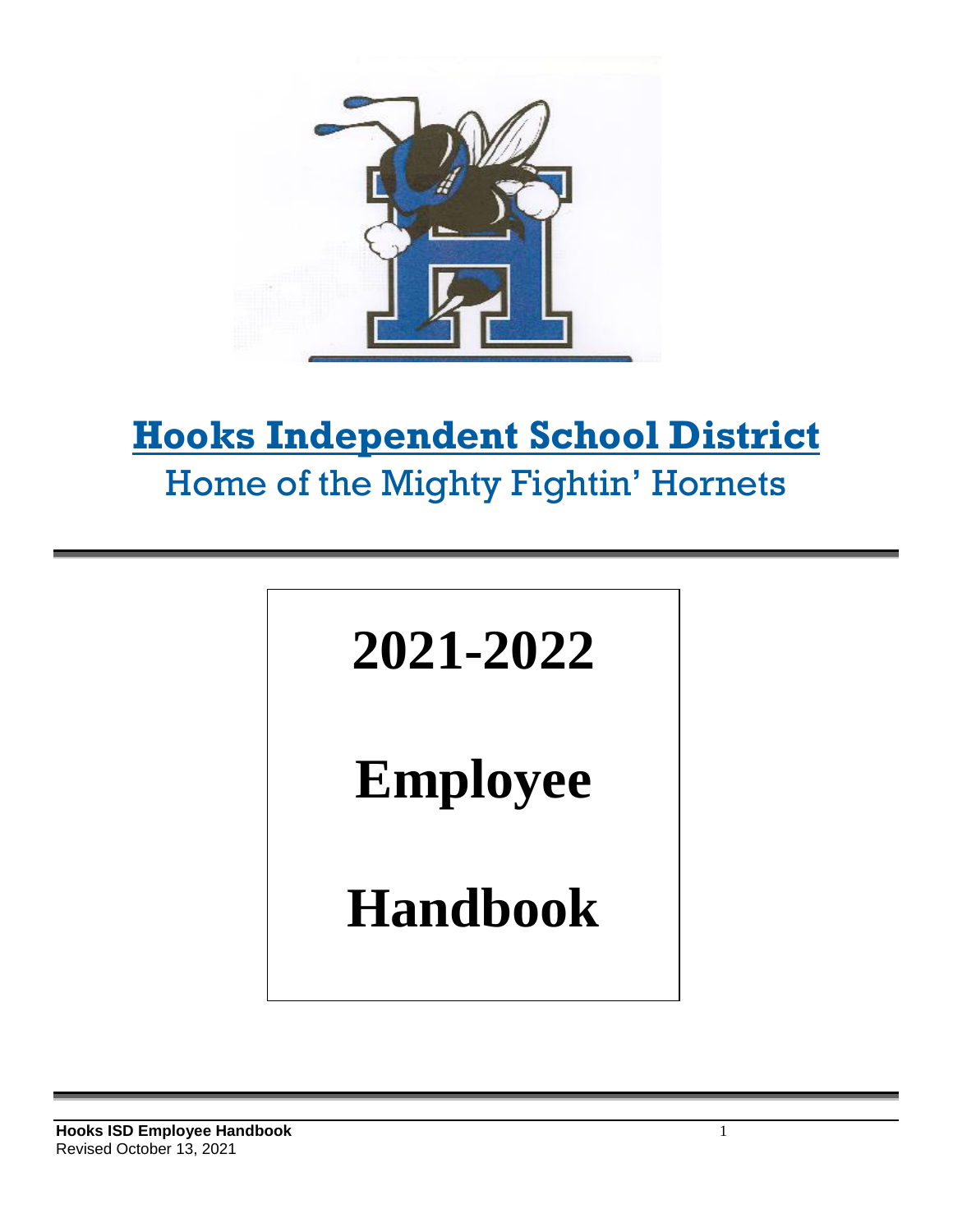

# **Hooks Independent School District** Home of the Mighty Fightin' Hornets



**Employee**

**Handbook**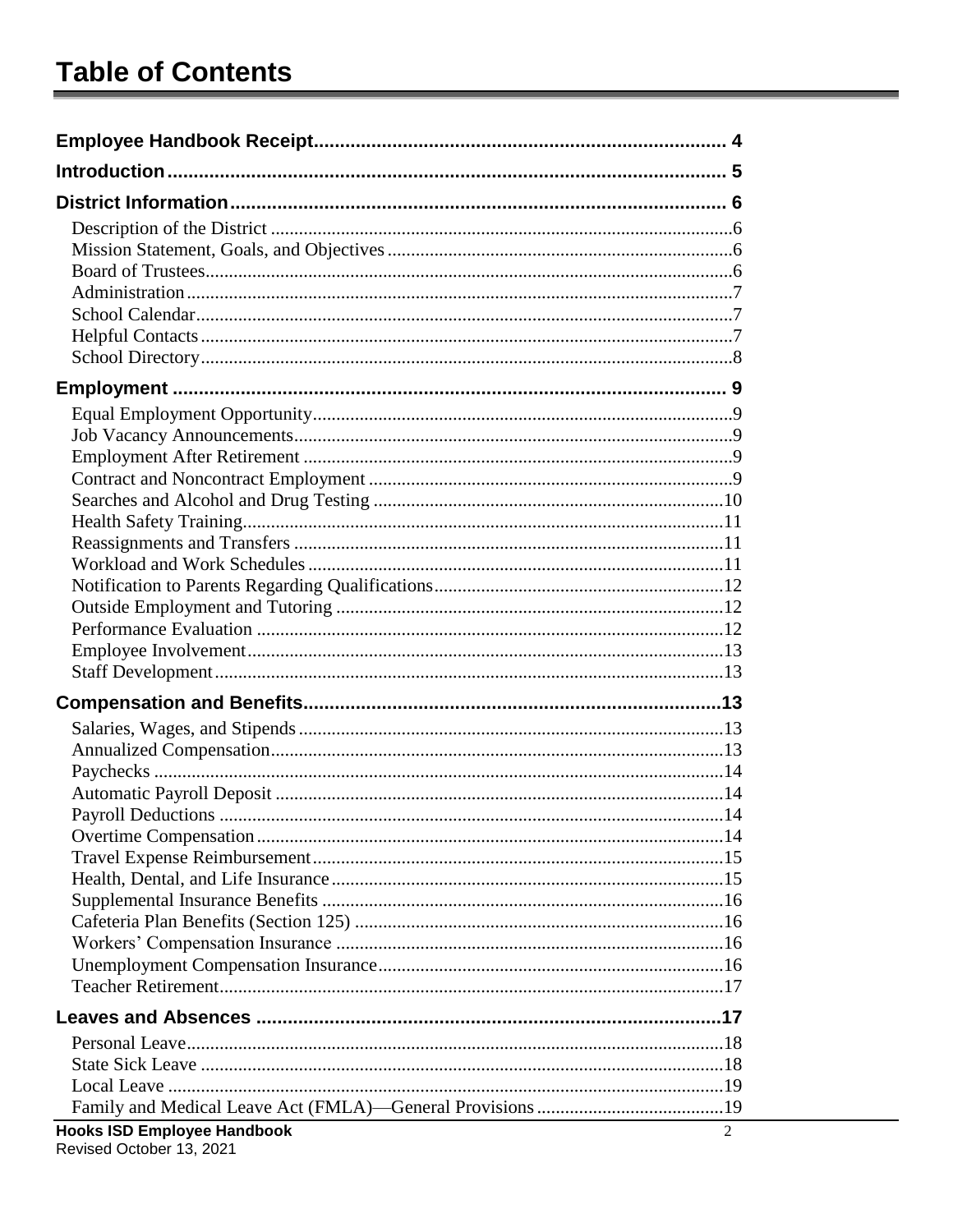| <b>Hooks ISD Employee Handbook</b> | 2 |
|------------------------------------|---|

Revised October 13, 2021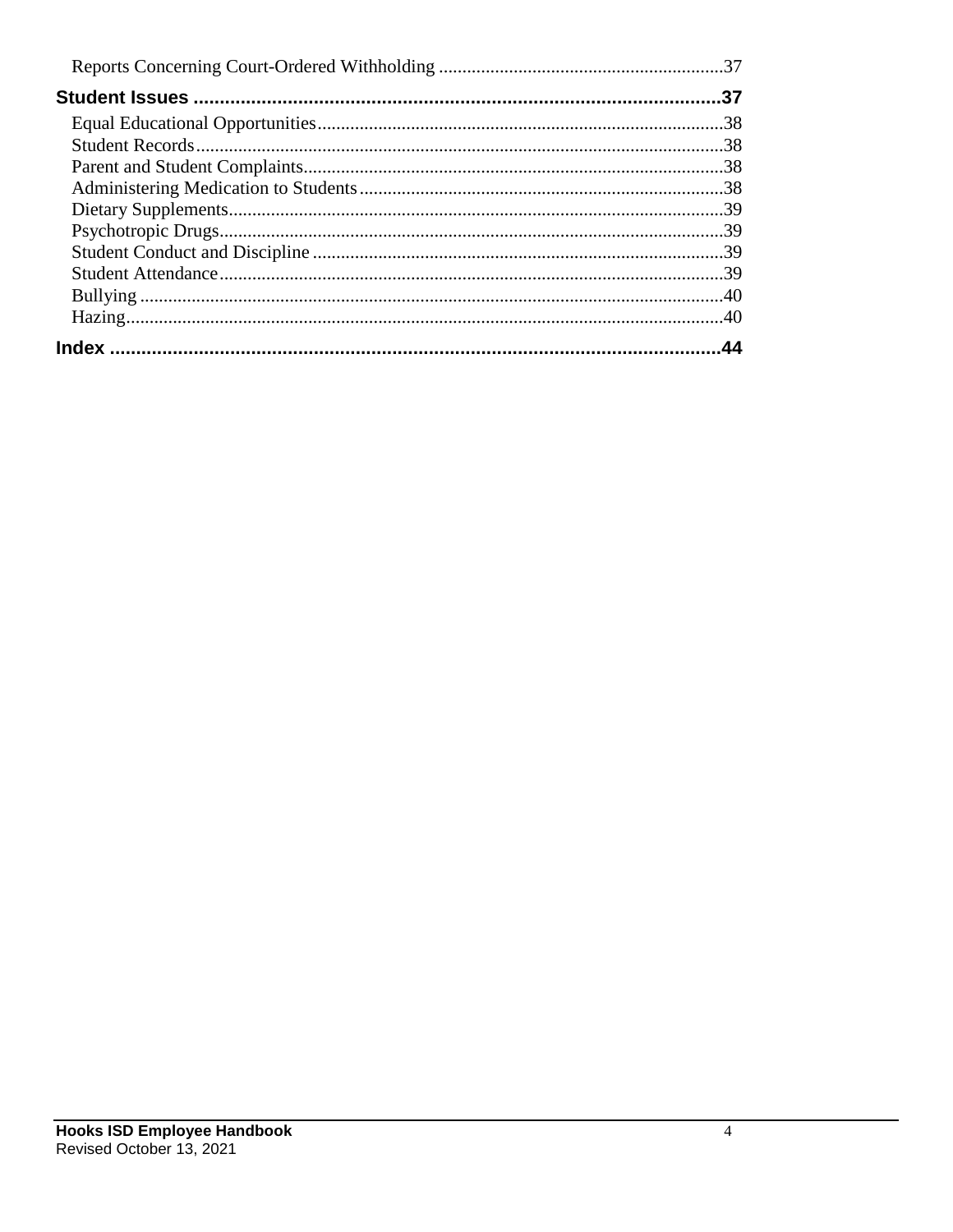| .37 |
|-----|
|     |
|     |
|     |
|     |
|     |
|     |
|     |
|     |
|     |
|     |
|     |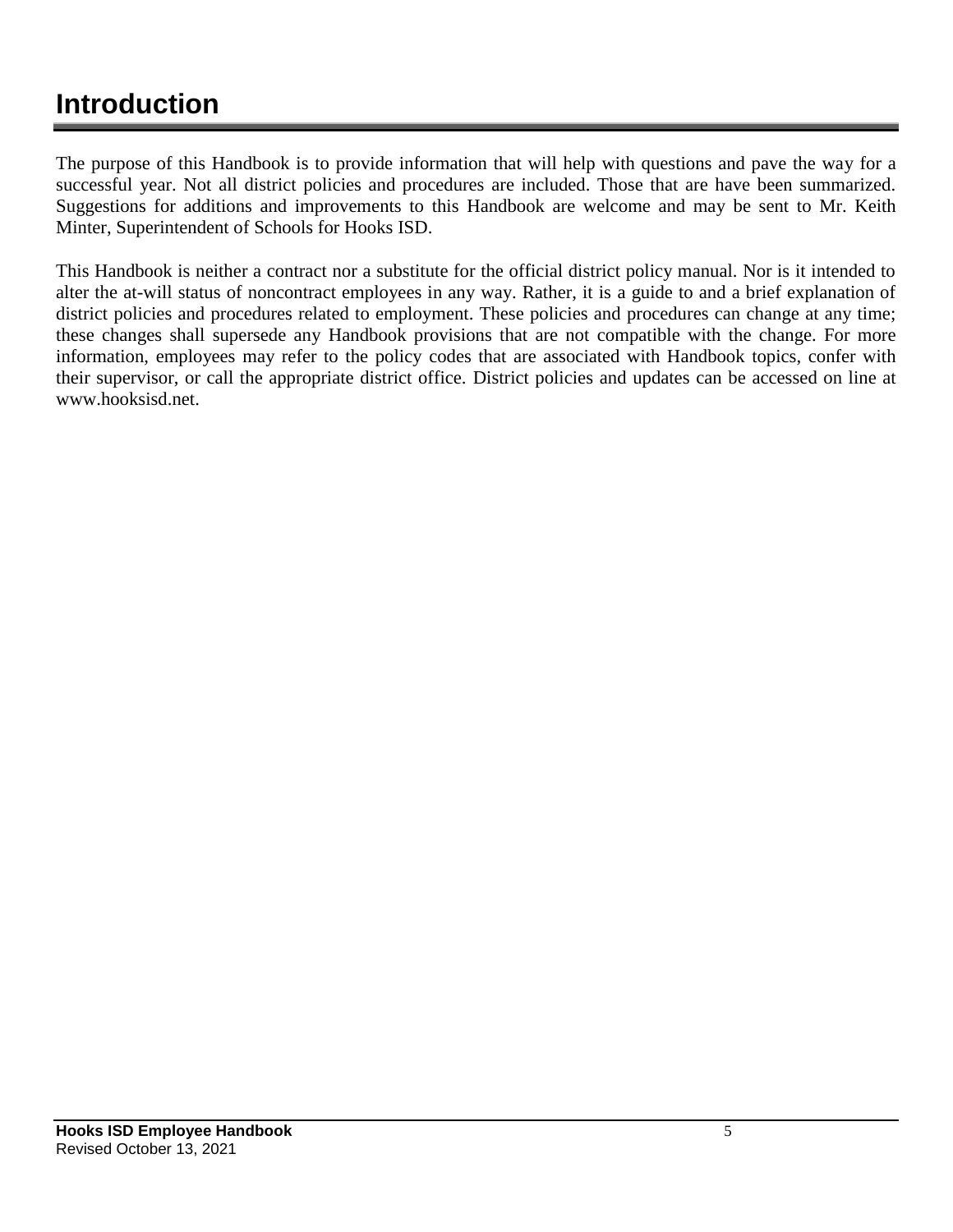## **Introduction**

The purpose of this Handbook is to provide information that will help with questions and pave the way for a successful year. Not all district policies and procedures are included. Those that are have been summarized. Suggestions for additions and improvements to this Handbook are welcome and may be sent to Mr. Keith Minter, Superintendent of Schools for Hooks ISD.

This Handbook is neither a contract nor a substitute for the official district policy manual. Nor is it intended to alter the at-will status of noncontract employees in any way. Rather, it is a guide to and a brief explanation of district policies and procedures related to employment. These policies and procedures can change at any time; these changes shall supersede any Handbook provisions that are not compatible with the change. For more information, employees may refer to the policy codes that are associated with Handbook topics, confer with their supervisor, or call the appropriate district office. District policies and updates can be accessed on line at www.hooksisd.net.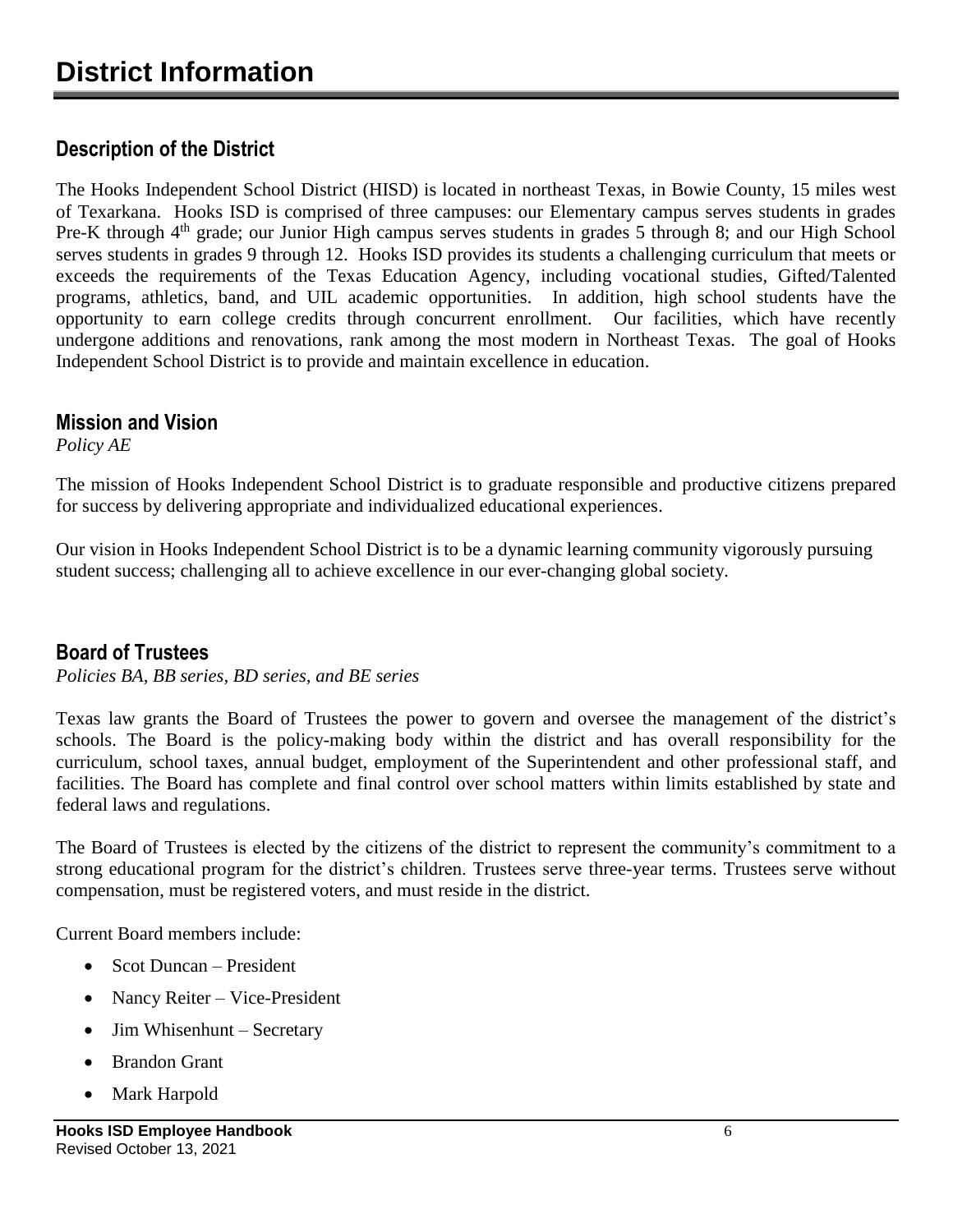## **Description of the District**

The Hooks Independent School District (HISD) is located in northeast Texas, in Bowie County, 15 miles west of Texarkana. Hooks ISD is comprised of three campuses: our Elementary campus serves students in grades Pre-K through  $4<sup>th</sup>$  grade; our Junior High campus serves students in grades 5 through 8; and our High School serves students in grades 9 through 12. Hooks ISD provides its students a challenging curriculum that meets or exceeds the requirements of the Texas Education Agency, including vocational studies, Gifted/Talented programs, athletics, band, and UIL academic opportunities. In addition, high school students have the opportunity to earn college credits through concurrent enrollment. Our facilities, which have recently undergone additions and renovations, rank among the most modern in Northeast Texas. The goal of Hooks Independent School District is to provide and maintain excellence in education.

#### **Mission and Vision**

*Policy AE*

The mission of Hooks Independent School District is to graduate responsible and productive citizens prepared for success by delivering appropriate and individualized educational experiences.

Our vision in Hooks Independent School District is to be a dynamic learning community vigorously pursuing student success; challenging all to achieve excellence in our ever-changing global society.

#### **Board of Trustees**

*Policies BA, BB series, BD series, and BE series*

Texas law grants the Board of Trustees the power to govern and oversee the management of the district's schools. The Board is the policy-making body within the district and has overall responsibility for the curriculum, school taxes, annual budget, employment of the Superintendent and other professional staff, and facilities. The Board has complete and final control over school matters within limits established by state and federal laws and regulations.

The Board of Trustees is elected by the citizens of the district to represent the community's commitment to a strong educational program for the district's children. Trustees serve three-year terms. Trustees serve without compensation, must be registered voters, and must reside in the district.

Current Board members include:

- Scot Duncan President
- Nancy Reiter Vice-President
- Jim Whisenhunt Secretary
- Brandon Grant
- Mark Harpold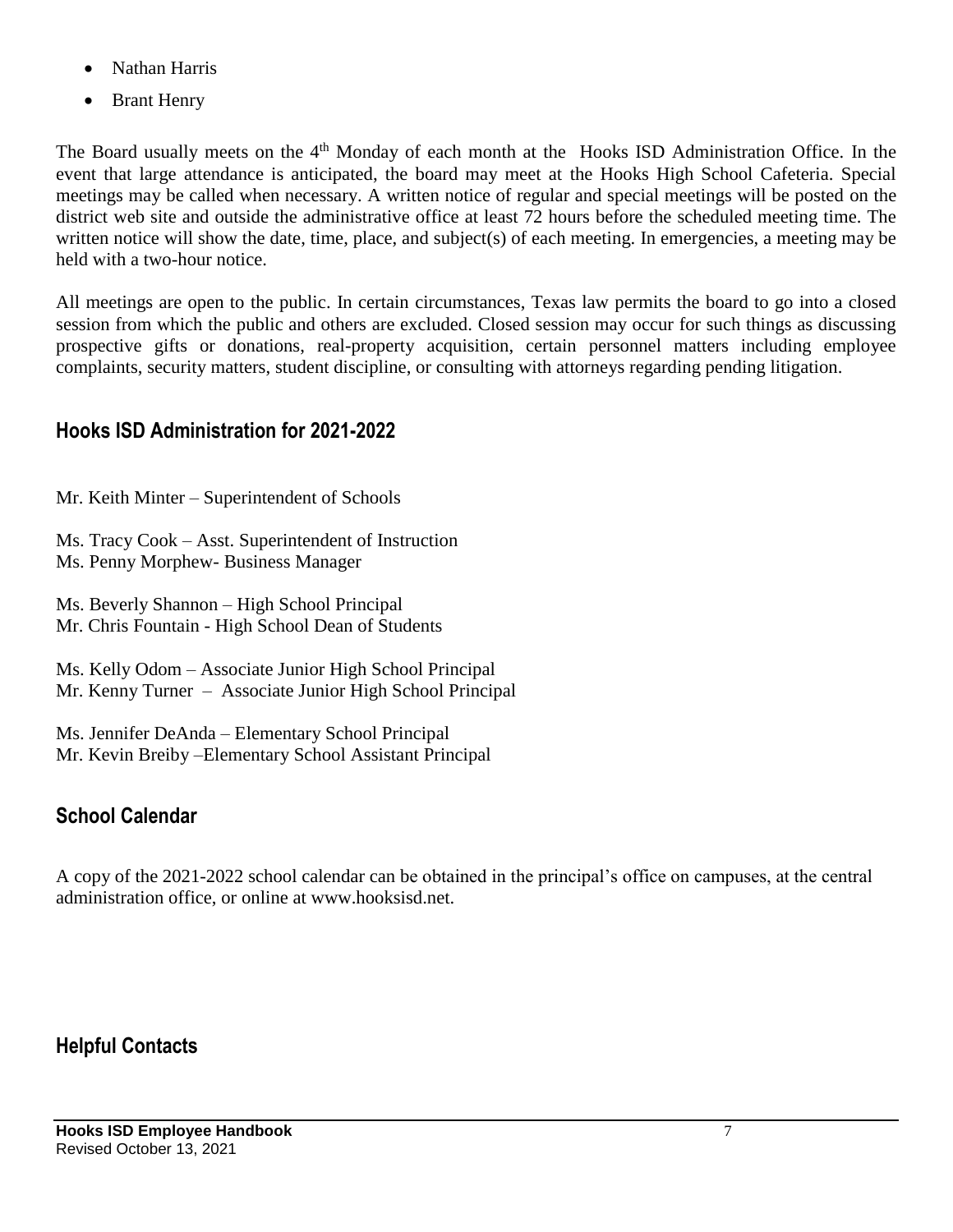- Nathan Harris
- Brant Henry

The Board usually meets on the 4<sup>th</sup> Monday of each month at the Hooks ISD Administration Office. In the event that large attendance is anticipated, the board may meet at the Hooks High School Cafeteria. Special meetings may be called when necessary. A written notice of regular and special meetings will be posted on the district web site and outside the administrative office at least 72 hours before the scheduled meeting time. The written notice will show the date, time, place, and subject(s) of each meeting. In emergencies, a meeting may be held with a two-hour notice.

All meetings are open to the public. In certain circumstances, Texas law permits the board to go into a closed session from which the public and others are excluded. Closed session may occur for such things as discussing prospective gifts or donations, real-property acquisition, certain personnel matters including employee complaints, security matters, student discipline, or consulting with attorneys regarding pending litigation.

#### **Hooks ISD Administration for 2021-2022**

Mr. Keith Minter – Superintendent of Schools

Ms. Tracy Cook – Asst. Superintendent of Instruction

Ms. Penny Morphew- Business Manager

Ms. Beverly Shannon – High School Principal Mr. Chris Fountain - High School Dean of Students

Ms. Kelly Odom – Associate Junior High School Principal Mr. Kenny Turner – Associate Junior High School Principal

Ms. Jennifer DeAnda – Elementary School Principal Mr. Kevin Breiby –Elementary School Assistant Principal

## **School Calendar**

A copy of the 2021-2022 school calendar can be obtained in the principal's office on campuses, at the central administration office, or online at www.hooksisd.net.

#### **Helpful Contacts**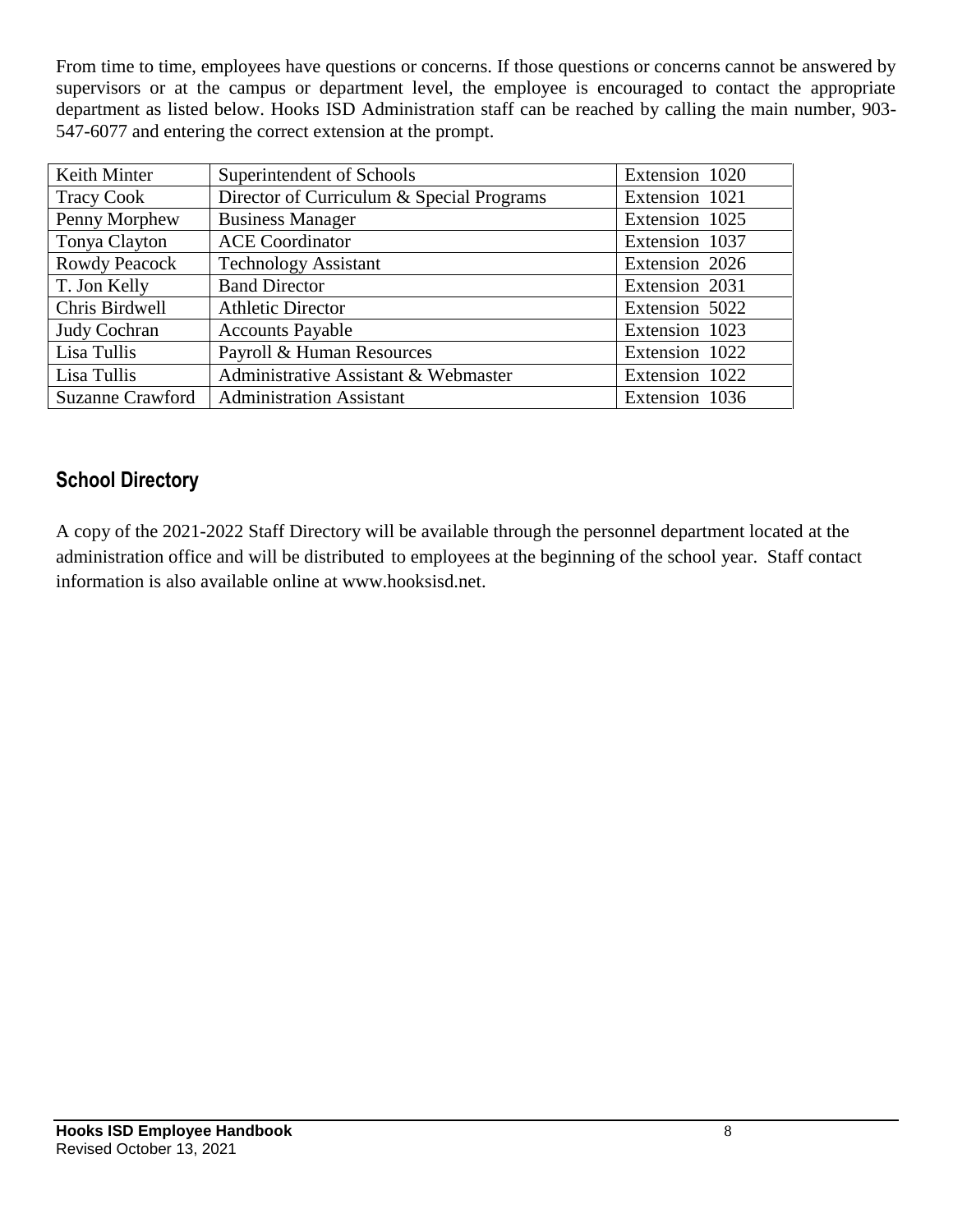From time to time, employees have questions or concerns. If those questions or concerns cannot be answered by supervisors or at the campus or department level, the employee is encouraged to contact the appropriate department as listed below. Hooks ISD Administration staff can be reached by calling the main number, 903- 547-6077 and entering the correct extension at the prompt.

| Keith Minter            | Superintendent of Schools                 | Extension 1020 |
|-------------------------|-------------------------------------------|----------------|
| <b>Tracy Cook</b>       | Director of Curriculum & Special Programs | Extension 1021 |
| Penny Morphew           | <b>Business Manager</b>                   | Extension 1025 |
| Tonya Clayton           | <b>ACE Coordinator</b>                    | Extension 1037 |
| <b>Rowdy Peacock</b>    | <b>Technology Assistant</b>               | Extension 2026 |
| T. Jon Kelly            | <b>Band Director</b>                      | Extension 2031 |
| Chris Birdwell          | <b>Athletic Director</b>                  | Extension 5022 |
| Judy Cochran            | <b>Accounts Payable</b>                   | Extension 1023 |
| Lisa Tullis             | Payroll & Human Resources                 | Extension 1022 |
| Lisa Tullis             | Administrative Assistant & Webmaster      | Extension 1022 |
| <b>Suzanne Crawford</b> | <b>Administration Assistant</b>           | Extension 1036 |

## **School Directory**

A copy of the 2021-2022 Staff Directory will be available through the personnel department located at the administration office and will be distributed to employees at the beginning of the school year. Staff contact information is also available online at www.hooksisd.net.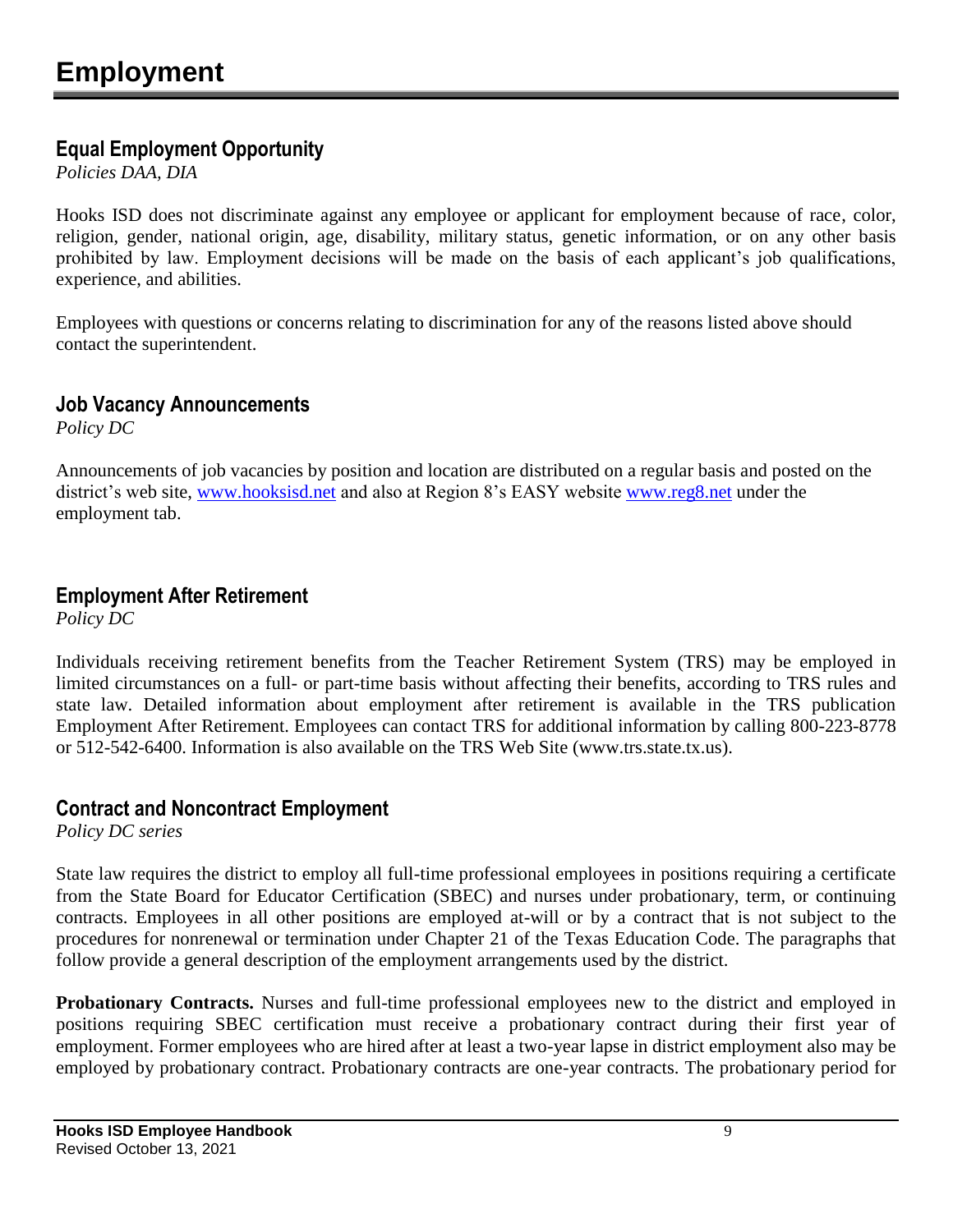#### **Equal Employment Opportunity**

*Policies DAA, DIA*

Hooks ISD does not discriminate against any employee or applicant for employment because of race, color, religion, gender, national origin, age, disability, military status, genetic information, or on any other basis prohibited by law. Employment decisions will be made on the basis of each applicant's job qualifications, experience, and abilities.

Employees with questions or concerns relating to discrimination for any of the reasons listed above should contact the superintendent.

#### **Job Vacancy Announcements**

*Policy DC*

Announcements of job vacancies by position and location are distributed on a regular basis and posted on the district's web site, [www.hooksisd.net](http://www.hooksisd.net/) and also at Region 8's EASY website [www.reg8.net](http://www.reg8.net/) under the employment tab.

#### **Employment After Retirement**

*Policy DC*

Individuals receiving retirement benefits from the Teacher Retirement System (TRS) may be employed in limited circumstances on a full- or part-time basis without affecting their benefits, according to TRS rules and state law. Detailed information about employment after retirement is available in the TRS publication Employment After Retirement. Employees can contact TRS for additional information by calling 800-223-8778 or 512-542-6400. Information is also available on the TRS Web Site (www.trs.state.tx.us).

#### **Contract and Noncontract Employment**

*Policy DC series*

State law requires the district to employ all full-time professional employees in positions requiring a certificate from the State Board for Educator Certification (SBEC) and nurses under probationary, term, or continuing contracts. Employees in all other positions are employed at-will or by a contract that is not subject to the procedures for nonrenewal or termination under Chapter 21 of the Texas Education Code. The paragraphs that follow provide a general description of the employment arrangements used by the district.

**Probationary Contracts.** Nurses and full-time professional employees new to the district and employed in positions requiring SBEC certification must receive a probationary contract during their first year of employment. Former employees who are hired after at least a two-year lapse in district employment also may be employed by probationary contract. Probationary contracts are one-year contracts. The probationary period for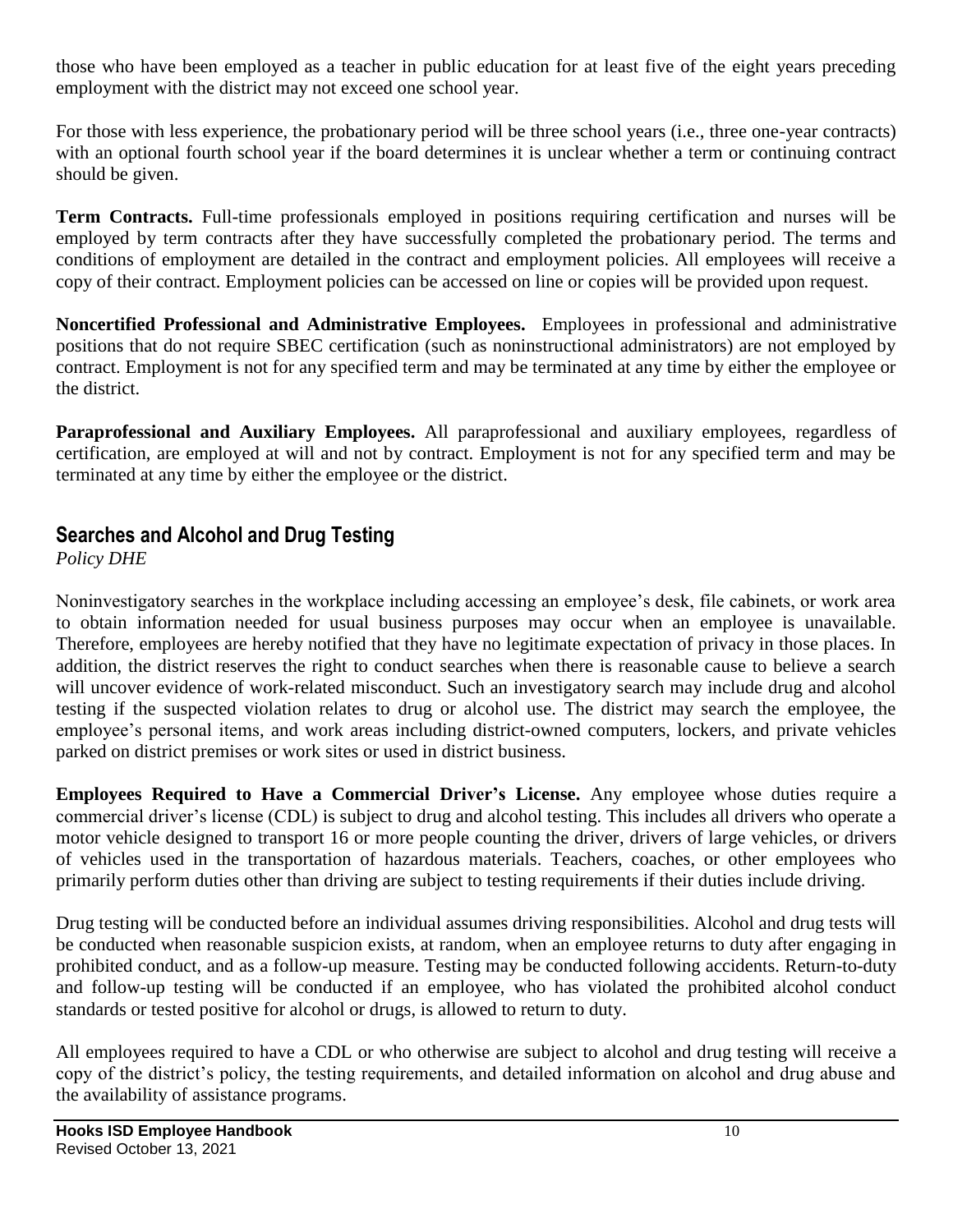those who have been employed as a teacher in public education for at least five of the eight years preceding employment with the district may not exceed one school year.

For those with less experience, the probationary period will be three school years (i.e., three one-year contracts) with an optional fourth school year if the board determines it is unclear whether a term or continuing contract should be given.

**Term Contracts.** Full-time professionals employed in positions requiring certification and nurses will be employed by term contracts after they have successfully completed the probationary period. The terms and conditions of employment are detailed in the contract and employment policies. All employees will receive a copy of their contract. Employment policies can be accessed on line or copies will be provided upon request.

**Noncertified Professional and Administrative Employees.** Employees in professional and administrative positions that do not require SBEC certification (such as noninstructional administrators) are not employed by contract. Employment is not for any specified term and may be terminated at any time by either the employee or the district.

**Paraprofessional and Auxiliary Employees.** All paraprofessional and auxiliary employees, regardless of certification, are employed at will and not by contract. Employment is not for any specified term and may be terminated at any time by either the employee or the district.

#### **Searches and Alcohol and Drug Testing**

*Policy DHE*

Noninvestigatory searches in the workplace including accessing an employee's desk, file cabinets, or work area to obtain information needed for usual business purposes may occur when an employee is unavailable. Therefore, employees are hereby notified that they have no legitimate expectation of privacy in those places. In addition, the district reserves the right to conduct searches when there is reasonable cause to believe a search will uncover evidence of work-related misconduct. Such an investigatory search may include drug and alcohol testing if the suspected violation relates to drug or alcohol use. The district may search the employee, the employee's personal items, and work areas including district-owned computers, lockers, and private vehicles parked on district premises or work sites or used in district business.

**Employees Required to Have a Commercial Driver's License.** Any employee whose duties require a commercial driver's license (CDL) is subject to drug and alcohol testing. This includes all drivers who operate a motor vehicle designed to transport 16 or more people counting the driver, drivers of large vehicles, or drivers of vehicles used in the transportation of hazardous materials. Teachers, coaches, or other employees who primarily perform duties other than driving are subject to testing requirements if their duties include driving.

Drug testing will be conducted before an individual assumes driving responsibilities. Alcohol and drug tests will be conducted when reasonable suspicion exists, at random, when an employee returns to duty after engaging in prohibited conduct, and as a follow-up measure. Testing may be conducted following accidents. Return-to-duty and follow-up testing will be conducted if an employee, who has violated the prohibited alcohol conduct standards or tested positive for alcohol or drugs, is allowed to return to duty.

All employees required to have a CDL or who otherwise are subject to alcohol and drug testing will receive a copy of the district's policy, the testing requirements, and detailed information on alcohol and drug abuse and the availability of assistance programs.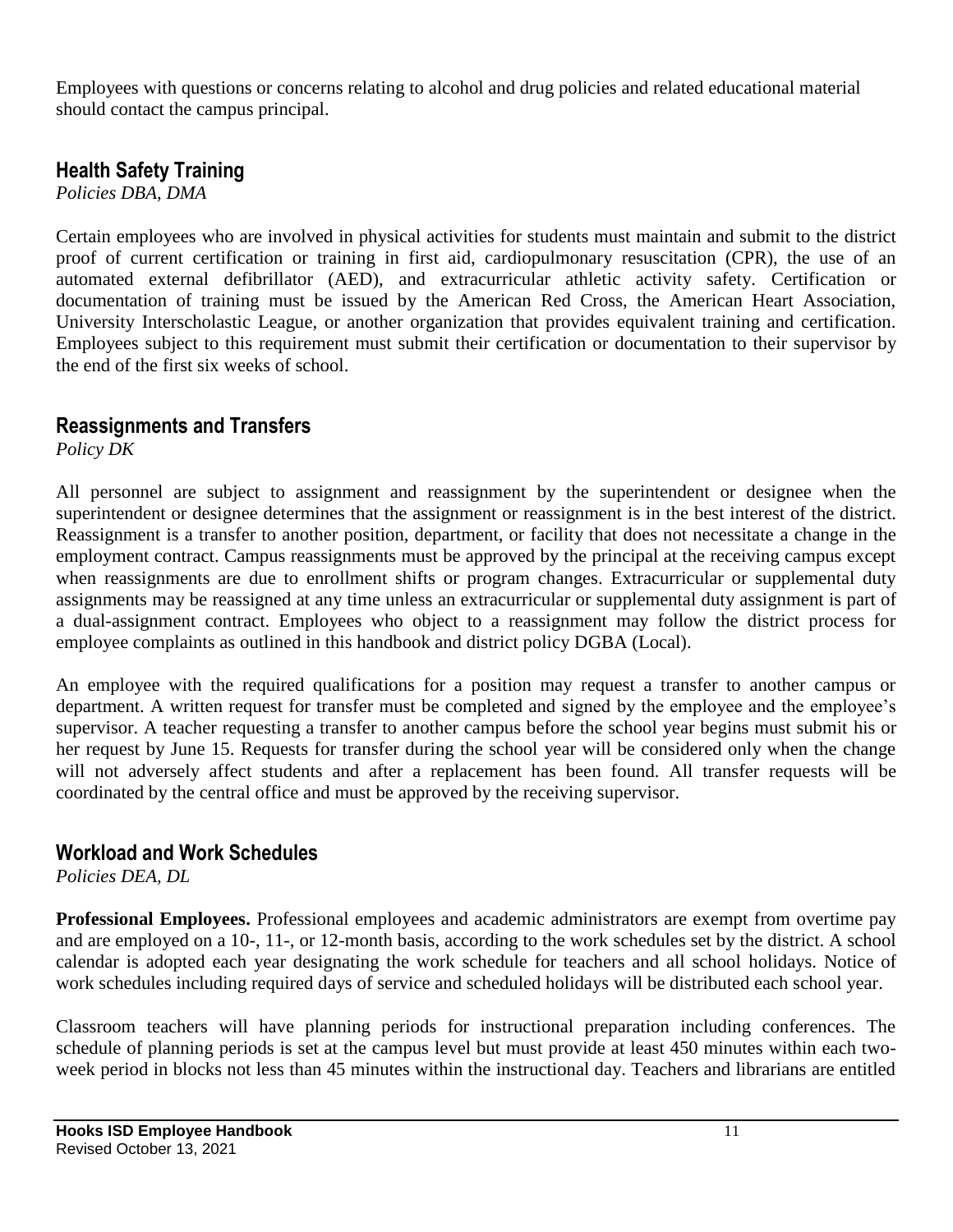Employees with questions or concerns relating to alcohol and drug policies and related educational material should contact the campus principal.

#### **Health Safety Training**

*Policies DBA, DMA*

Certain employees who are involved in physical activities for students must maintain and submit to the district proof of current certification or training in first aid, cardiopulmonary resuscitation (CPR), the use of an automated external defibrillator (AED), and extracurricular athletic activity safety. Certification or documentation of training must be issued by the American Red Cross, the American Heart Association, University Interscholastic League, or another organization that provides equivalent training and certification. Employees subject to this requirement must submit their certification or documentation to their supervisor by the end of the first six weeks of school.

#### **Reassignments and Transfers**

*Policy DK*

All personnel are subject to assignment and reassignment by the superintendent or designee when the superintendent or designee determines that the assignment or reassignment is in the best interest of the district. Reassignment is a transfer to another position, department, or facility that does not necessitate a change in the employment contract. Campus reassignments must be approved by the principal at the receiving campus except when reassignments are due to enrollment shifts or program changes. Extracurricular or supplemental duty assignments may be reassigned at any time unless an extracurricular or supplemental duty assignment is part of a dual-assignment contract. Employees who object to a reassignment may follow the district process for employee complaints as outlined in this handbook and district policy DGBA (Local).

An employee with the required qualifications for a position may request a transfer to another campus or department. A written request for transfer must be completed and signed by the employee and the employee's supervisor. A teacher requesting a transfer to another campus before the school year begins must submit his or her request by June 15. Requests for transfer during the school year will be considered only when the change will not adversely affect students and after a replacement has been found. All transfer requests will be coordinated by the central office and must be approved by the receiving supervisor.

#### **Workload and Work Schedules**

*Policies DEA, DL*

**Professional Employees.** Professional employees and academic administrators are exempt from overtime pay and are employed on a 10-, 11-, or 12-month basis, according to the work schedules set by the district. A school calendar is adopted each year designating the work schedule for teachers and all school holidays. Notice of work schedules including required days of service and scheduled holidays will be distributed each school year.

Classroom teachers will have planning periods for instructional preparation including conferences. The schedule of planning periods is set at the campus level but must provide at least 450 minutes within each twoweek period in blocks not less than 45 minutes within the instructional day. Teachers and librarians are entitled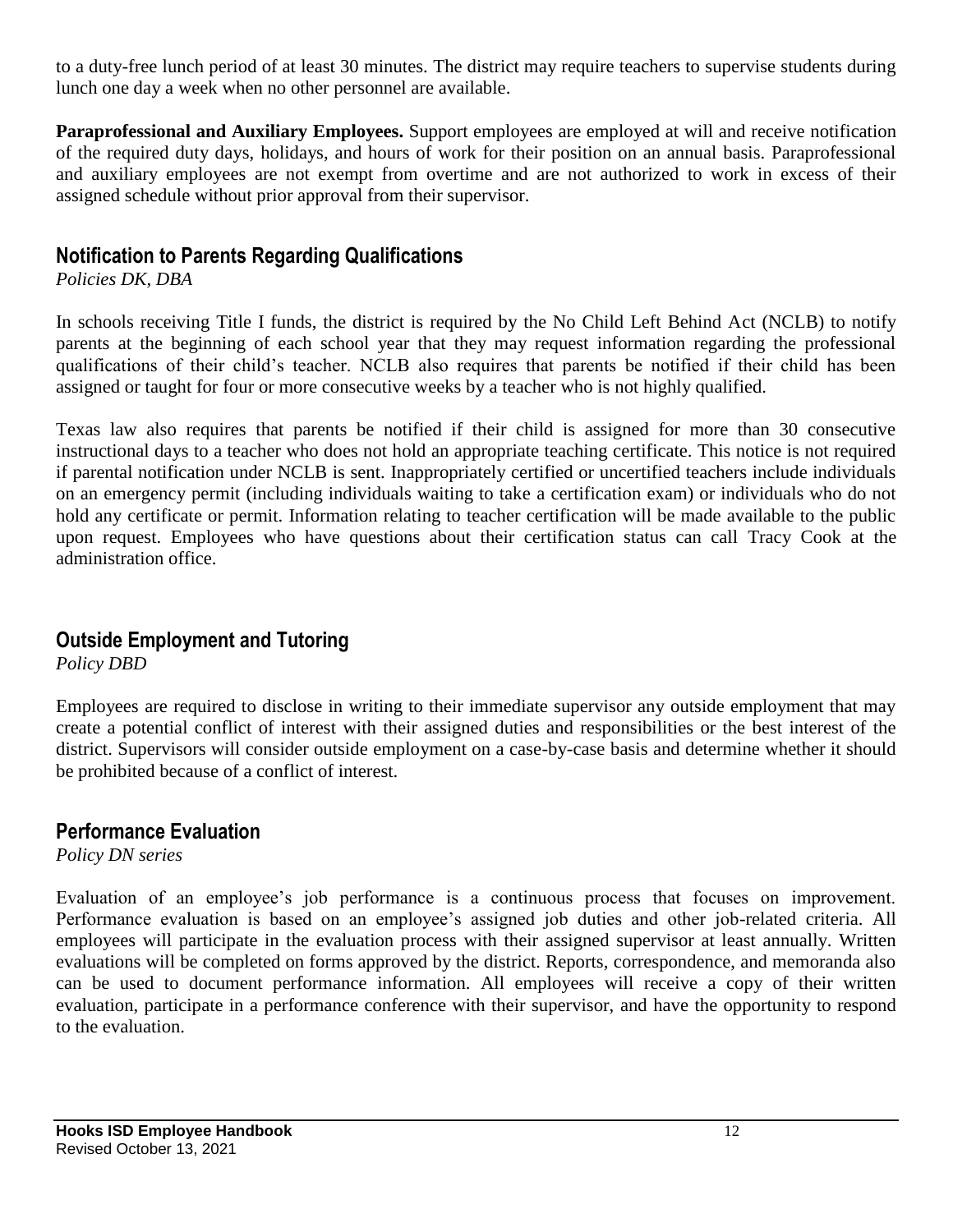to a duty-free lunch period of at least 30 minutes. The district may require teachers to supervise students during lunch one day a week when no other personnel are available.

**Paraprofessional and Auxiliary Employees.** Support employees are employed at will and receive notification of the required duty days, holidays, and hours of work for their position on an annual basis. Paraprofessional and auxiliary employees are not exempt from overtime and are not authorized to work in excess of their assigned schedule without prior approval from their supervisor.

#### **Notification to Parents Regarding Qualifications**

*Policies DK, DBA*

In schools receiving Title I funds, the district is required by the No Child Left Behind Act (NCLB) to notify parents at the beginning of each school year that they may request information regarding the professional qualifications of their child's teacher. NCLB also requires that parents be notified if their child has been assigned or taught for four or more consecutive weeks by a teacher who is not highly qualified.

Texas law also requires that parents be notified if their child is assigned for more than 30 consecutive instructional days to a teacher who does not hold an appropriate teaching certificate. This notice is not required if parental notification under NCLB is sent. Inappropriately certified or uncertified teachers include individuals on an emergency permit (including individuals waiting to take a certification exam) or individuals who do not hold any certificate or permit. Information relating to teacher certification will be made available to the public upon request. Employees who have questions about their certification status can call Tracy Cook at the administration office.

#### **Outside Employment and Tutoring**

*Policy DBD*

Employees are required to disclose in writing to their immediate supervisor any outside employment that may create a potential conflict of interest with their assigned duties and responsibilities or the best interest of the district. Supervisors will consider outside employment on a case-by-case basis and determine whether it should be prohibited because of a conflict of interest.

#### **Performance Evaluation**

*Policy DN series*

Evaluation of an employee's job performance is a continuous process that focuses on improvement. Performance evaluation is based on an employee's assigned job duties and other job-related criteria. All employees will participate in the evaluation process with their assigned supervisor at least annually. Written evaluations will be completed on forms approved by the district. Reports, correspondence, and memoranda also can be used to document performance information. All employees will receive a copy of their written evaluation, participate in a performance conference with their supervisor, and have the opportunity to respond to the evaluation.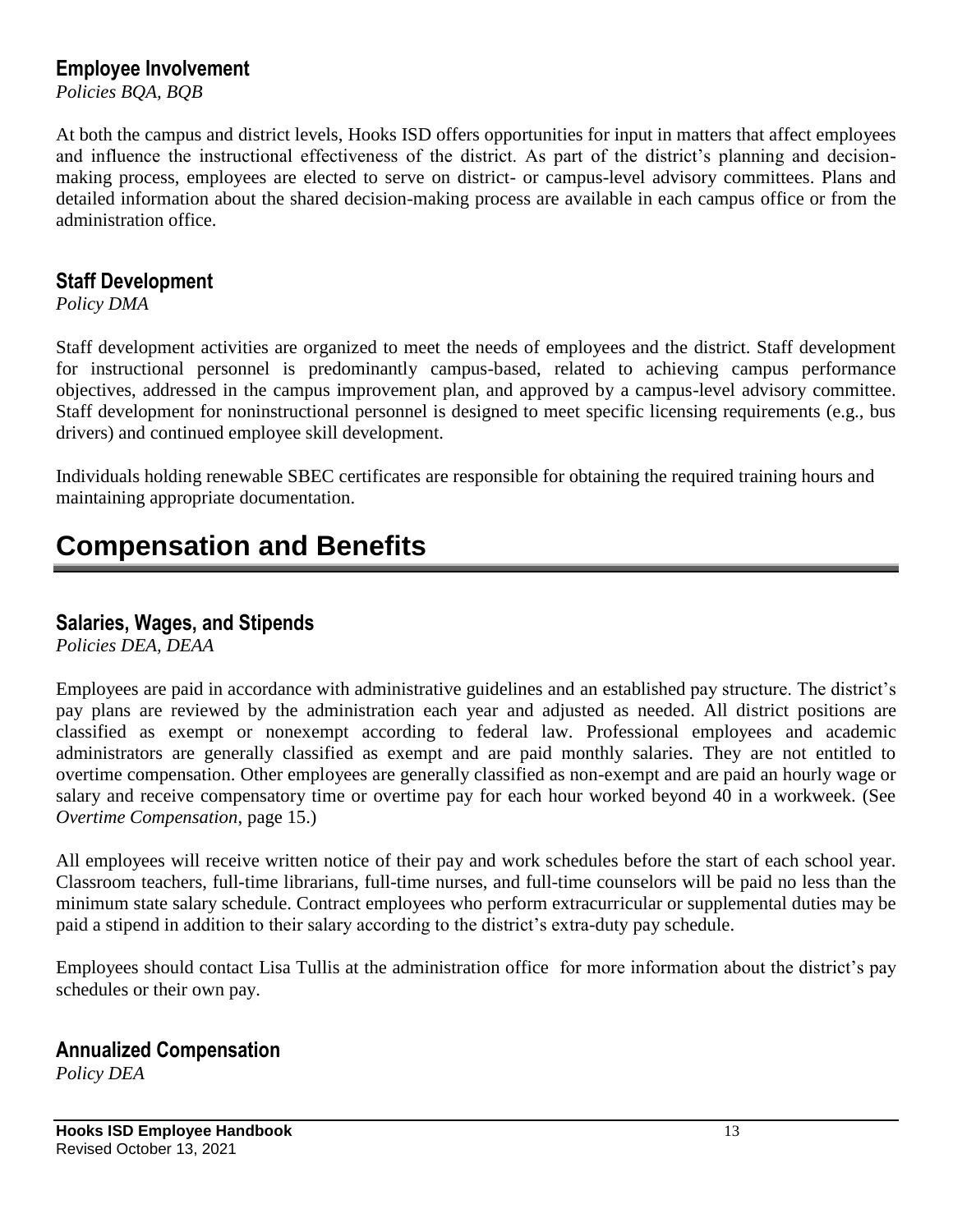#### **Employee Involvement**

*Policies BQA, BQB*

At both the campus and district levels, Hooks ISD offers opportunities for input in matters that affect employees and influence the instructional effectiveness of the district. As part of the district's planning and decisionmaking process, employees are elected to serve on district- or campus-level advisory committees. Plans and detailed information about the shared decision-making process are available in each campus office or from the administration office.

#### **Staff Development**

*Policy DMA*

Staff development activities are organized to meet the needs of employees and the district. Staff development for instructional personnel is predominantly campus-based, related to achieving campus performance objectives, addressed in the campus improvement plan, and approved by a campus-level advisory committee. Staff development for noninstructional personnel is designed to meet specific licensing requirements (e.g., bus drivers) and continued employee skill development.

Individuals holding renewable SBEC certificates are responsible for obtaining the required training hours and maintaining appropriate documentation.

## **Compensation and Benefits**

#### **Salaries, Wages, and Stipends**

*Policies DEA, DEAA*

Employees are paid in accordance with administrative guidelines and an established pay structure. The district's pay plans are reviewed by the administration each year and adjusted as needed. All district positions are classified as exempt or nonexempt according to federal law. Professional employees and academic administrators are generally classified as exempt and are paid monthly salaries. They are not entitled to overtime compensation. Other employees are generally classified as non-exempt and are paid an hourly wage or salary and receive compensatory time or overtime pay for each hour worked beyond 40 in a workweek. (See *Overtime Compensation*, page 15.)

All employees will receive written notice of their pay and work schedules before the start of each school year. Classroom teachers, full-time librarians, full-time nurses, and full-time counselors will be paid no less than the minimum state salary schedule. Contract employees who perform extracurricular or supplemental duties may be paid a stipend in addition to their salary according to the district's extra-duty pay schedule.

Employees should contact Lisa Tullis at the administration office for more information about the district's pay schedules or their own pay.

#### **Annualized Compensation**

*Policy DEA*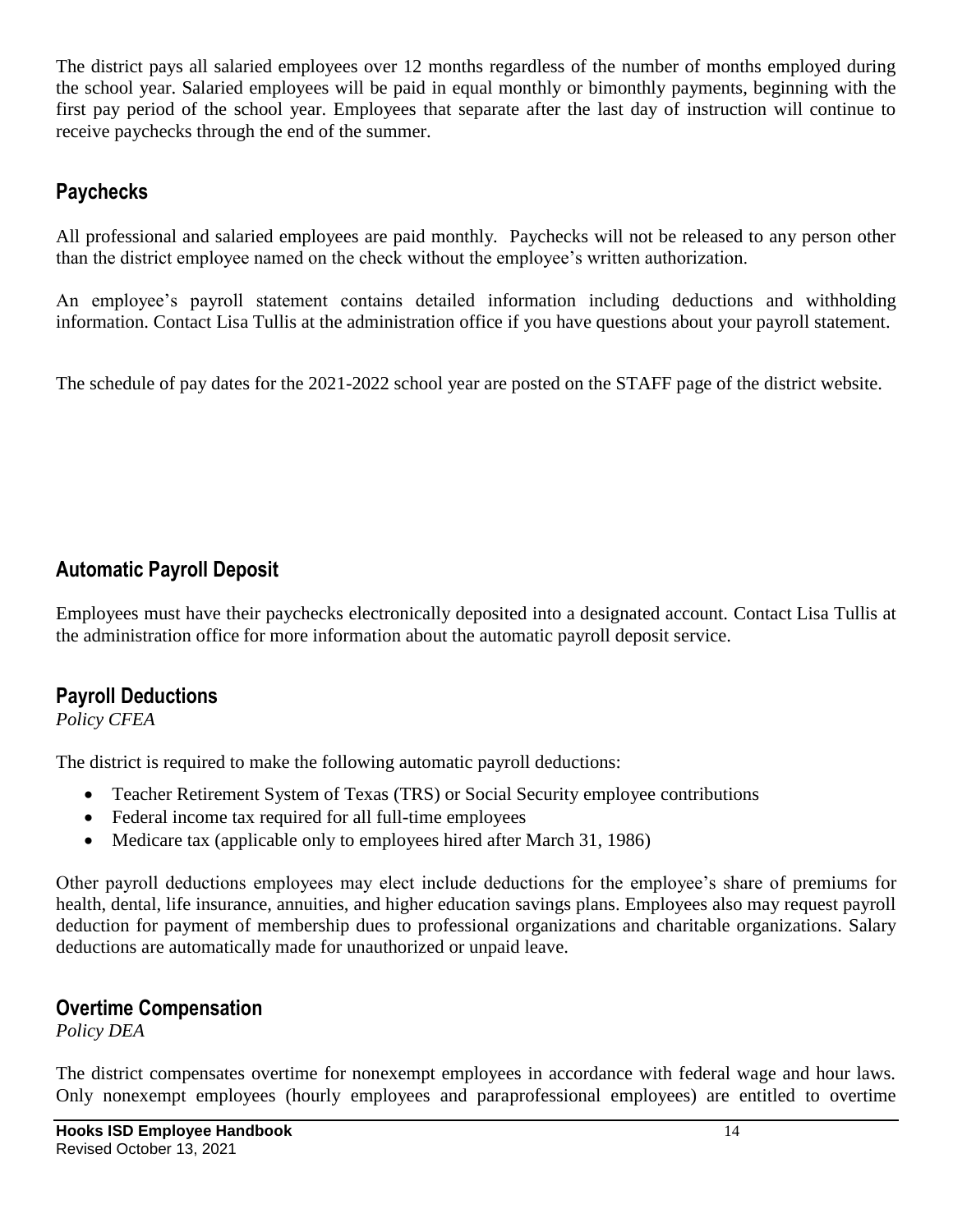The district pays all salaried employees over 12 months regardless of the number of months employed during the school year. Salaried employees will be paid in equal monthly or bimonthly payments, beginning with the first pay period of the school year. Employees that separate after the last day of instruction will continue to receive paychecks through the end of the summer.

#### **Paychecks**

All professional and salaried employees are paid monthly. Paychecks will not be released to any person other than the district employee named on the check without the employee's written authorization.

An employee's payroll statement contains detailed information including deductions and withholding information. Contact Lisa Tullis at the administration office if you have questions about your payroll statement.

The schedule of pay dates for the 2021-2022 school year are posted on the STAFF page of the district website.

## **Automatic Payroll Deposit**

Employees must have their paychecks electronically deposited into a designated account. Contact Lisa Tullis at the administration office for more information about the automatic payroll deposit service.

#### **Payroll Deductions**

#### *Policy CFEA*

The district is required to make the following automatic payroll deductions:

- Teacher Retirement System of Texas (TRS) or Social Security employee contributions
- Federal income tax required for all full-time employees
- Medicare tax (applicable only to employees hired after March 31, 1986)

Other payroll deductions employees may elect include deductions for the employee's share of premiums for health, dental, life insurance, annuities, and higher education savings plans. Employees also may request payroll deduction for payment of membership dues to professional organizations and charitable organizations. Salary deductions are automatically made for unauthorized or unpaid leave.

#### **Overtime Compensation**

*Policy DEA*

The district compensates overtime for nonexempt employees in accordance with federal wage and hour laws. Only nonexempt employees (hourly employees and paraprofessional employees) are entitled to overtime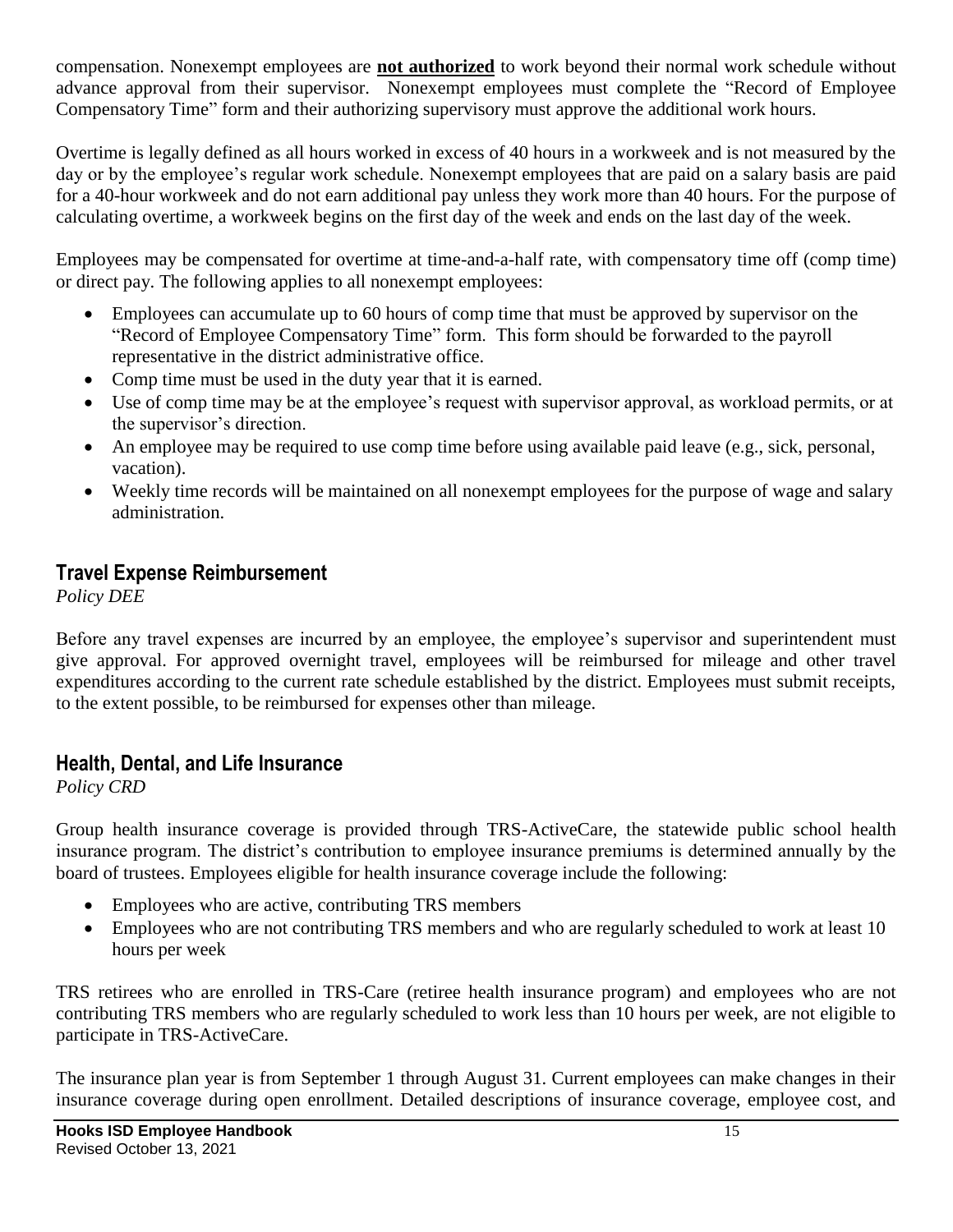compensation. Nonexempt employees are **not authorized** to work beyond their normal work schedule without advance approval from their supervisor. Nonexempt employees must complete the "Record of Employee Compensatory Time" form and their authorizing supervisory must approve the additional work hours.

Overtime is legally defined as all hours worked in excess of 40 hours in a workweek and is not measured by the day or by the employee's regular work schedule. Nonexempt employees that are paid on a salary basis are paid for a 40-hour workweek and do not earn additional pay unless they work more than 40 hours. For the purpose of calculating overtime, a workweek begins on the first day of the week and ends on the last day of the week.

Employees may be compensated for overtime at time-and-a-half rate, with compensatory time off (comp time) or direct pay. The following applies to all nonexempt employees:

- Employees can accumulate up to 60 hours of comp time that must be approved by supervisor on the "Record of Employee Compensatory Time" form. This form should be forwarded to the payroll representative in the district administrative office.
- Comp time must be used in the duty year that it is earned.
- Use of comp time may be at the employee's request with supervisor approval, as workload permits, or at the supervisor's direction.
- An employee may be required to use comp time before using available paid leave (e.g., sick, personal, vacation).
- Weekly time records will be maintained on all nonexempt employees for the purpose of wage and salary administration.

#### **Travel Expense Reimbursement**

*Policy DEE*

Before any travel expenses are incurred by an employee, the employee's supervisor and superintendent must give approval. For approved overnight travel, employees will be reimbursed for mileage and other travel expenditures according to the current rate schedule established by the district. Employees must submit receipts, to the extent possible, to be reimbursed for expenses other than mileage.

## **Health, Dental, and Life Insurance**

*Policy CRD*

Group health insurance coverage is provided through TRS-ActiveCare, the statewide public school health insurance program. The district's contribution to employee insurance premiums is determined annually by the board of trustees. Employees eligible for health insurance coverage include the following:

- Employees who are active, contributing TRS members
- Employees who are not contributing TRS members and who are regularly scheduled to work at least 10 hours per week

TRS retirees who are enrolled in TRS-Care (retiree health insurance program) and employees who are not contributing TRS members who are regularly scheduled to work less than 10 hours per week, are not eligible to participate in TRS-ActiveCare.

The insurance plan year is from September 1 through August 31. Current employees can make changes in their insurance coverage during open enrollment. Detailed descriptions of insurance coverage, employee cost, and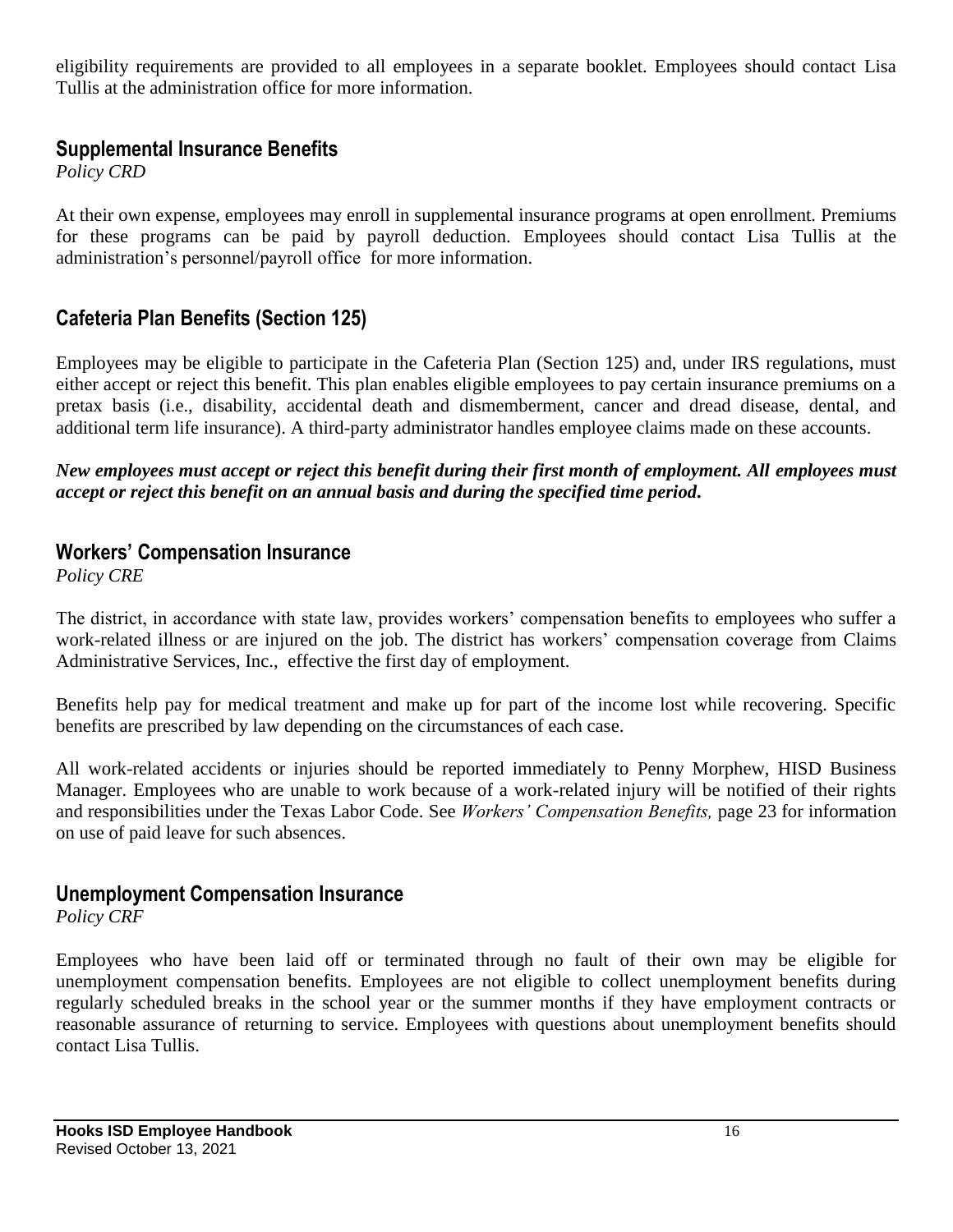eligibility requirements are provided to all employees in a separate booklet. Employees should contact Lisa Tullis at the administration office for more information.

#### **Supplemental Insurance Benefits**

*Policy CRD*

At their own expense, employees may enroll in supplemental insurance programs at open enrollment. Premiums for these programs can be paid by payroll deduction. Employees should contact Lisa Tullis at the administration's personnel/payroll office for more information.

#### **Cafeteria Plan Benefits (Section 125)**

Employees may be eligible to participate in the Cafeteria Plan (Section 125) and, under IRS regulations, must either accept or reject this benefit. This plan enables eligible employees to pay certain insurance premiums on a pretax basis (i.e., disability, accidental death and dismemberment, cancer and dread disease, dental, and additional term life insurance). A third-party administrator handles employee claims made on these accounts.

*New employees must accept or reject this benefit during their first month of employment. All employees must accept or reject this benefit on an annual basis and during the specified time period.*

#### **Workers' Compensation Insurance**

*Policy CRE*

The district, in accordance with state law, provides workers' compensation benefits to employees who suffer a work-related illness or are injured on the job. The district has workers' compensation coverage from Claims Administrative Services, Inc., effective the first day of employment.

Benefits help pay for medical treatment and make up for part of the income lost while recovering. Specific benefits are prescribed by law depending on the circumstances of each case.

All work-related accidents or injuries should be reported immediately to Penny Morphew, HISD Business Manager. Employees who are unable to work because of a work-related injury will be notified of their rights and responsibilities under the Texas Labor Code. See *Workers' Compensation Benefits,* page 23 for information on use of paid leave for such absences.

#### **Unemployment Compensation Insurance**

*Policy CRF*

Employees who have been laid off or terminated through no fault of their own may be eligible for unemployment compensation benefits. Employees are not eligible to collect unemployment benefits during regularly scheduled breaks in the school year or the summer months if they have employment contracts or reasonable assurance of returning to service. Employees with questions about unemployment benefits should contact Lisa Tullis.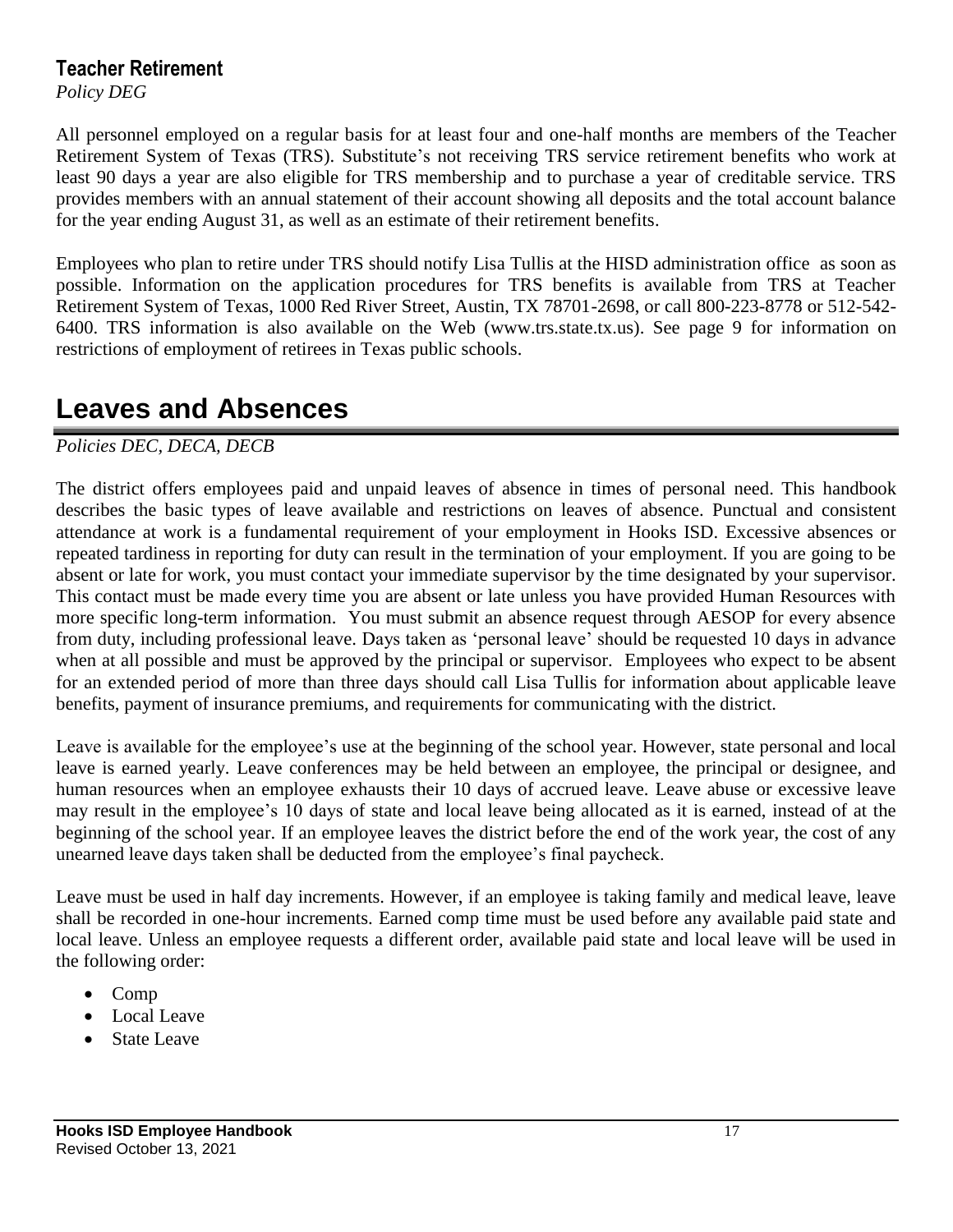#### **Teacher Retirement**

*Policy DEG*

All personnel employed on a regular basis for at least four and one-half months are members of the Teacher Retirement System of Texas (TRS). Substitute's not receiving TRS service retirement benefits who work at least 90 days a year are also eligible for TRS membership and to purchase a year of creditable service. TRS provides members with an annual statement of their account showing all deposits and the total account balance for the year ending August 31, as well as an estimate of their retirement benefits.

Employees who plan to retire under TRS should notify Lisa Tullis at the HISD administration office as soon as possible. Information on the application procedures for TRS benefits is available from TRS at Teacher Retirement System of Texas, 1000 Red River Street, Austin, TX 78701-2698, or call 800-223-8778 or 512-542- 6400. TRS information is also available on the Web (www.trs.state.tx.us). See page 9 for information on restrictions of employment of retirees in Texas public schools.

## **Leaves and Absences**

*Policies DEC, DECA, DECB*

The district offers employees paid and unpaid leaves of absence in times of personal need. This handbook describes the basic types of leave available and restrictions on leaves of absence. Punctual and consistent attendance at work is a fundamental requirement of your employment in Hooks ISD. Excessive absences or repeated tardiness in reporting for duty can result in the termination of your employment. If you are going to be absent or late for work, you must contact your immediate supervisor by the time designated by your supervisor. This contact must be made every time you are absent or late unless you have provided Human Resources with more specific long-term information. You must submit an absence request through AESOP for every absence from duty, including professional leave. Days taken as 'personal leave' should be requested 10 days in advance when at all possible and must be approved by the principal or supervisor. Employees who expect to be absent for an extended period of more than three days should call Lisa Tullis for information about applicable leave benefits, payment of insurance premiums, and requirements for communicating with the district.

Leave is available for the employee's use at the beginning of the school year. However, state personal and local leave is earned yearly. Leave conferences may be held between an employee, the principal or designee, and human resources when an employee exhausts their 10 days of accrued leave. Leave abuse or excessive leave may result in the employee's 10 days of state and local leave being allocated as it is earned, instead of at the beginning of the school year. If an employee leaves the district before the end of the work year, the cost of any unearned leave days taken shall be deducted from the employee's final paycheck.

Leave must be used in half day increments. However, if an employee is taking family and medical leave, leave shall be recorded in one-hour increments. Earned comp time must be used before any available paid state and local leave. Unless an employee requests a different order, available paid state and local leave will be used in the following order:

- Comp
- Local Leave
- State Leave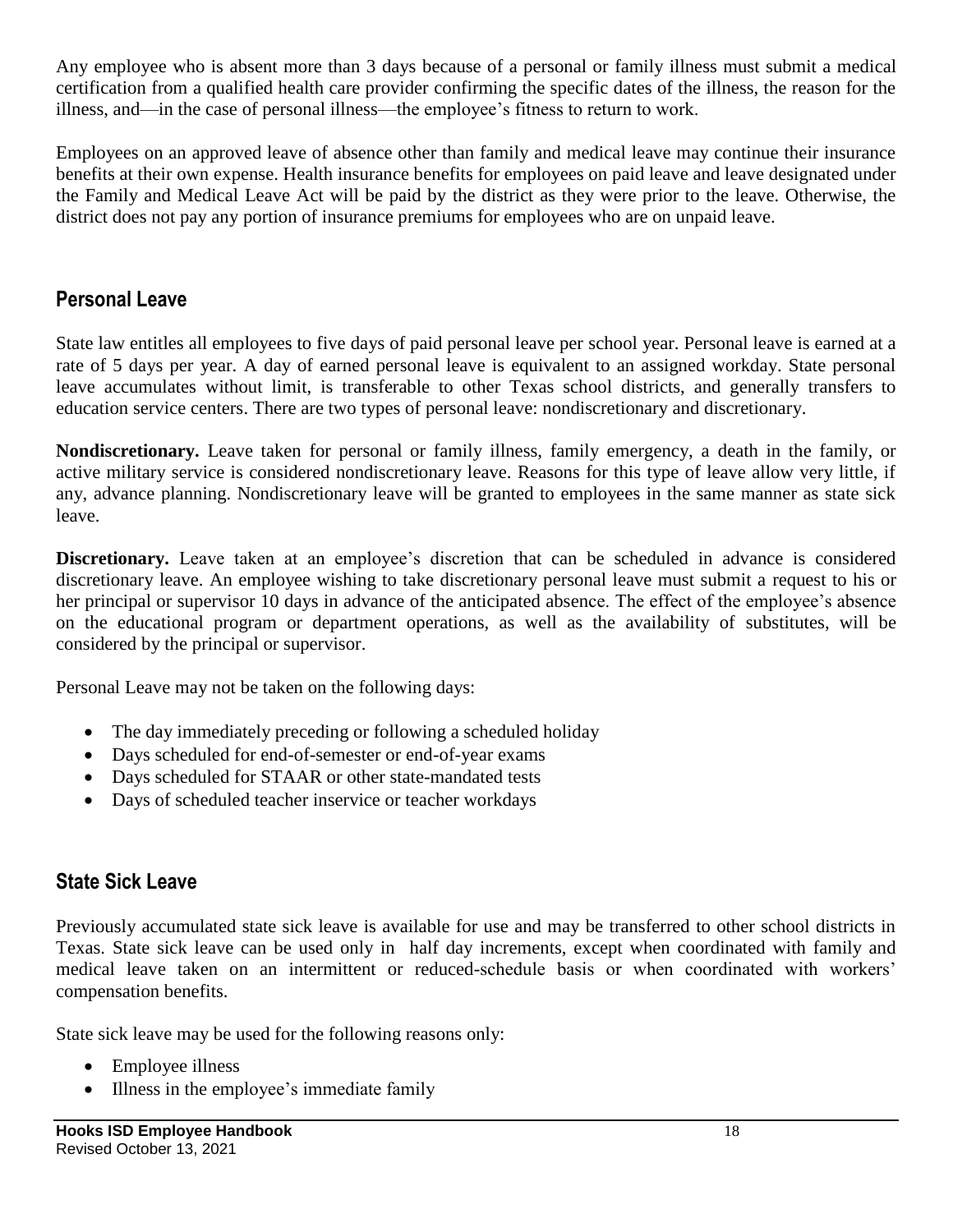Any employee who is absent more than 3 days because of a personal or family illness must submit a medical certification from a qualified health care provider confirming the specific dates of the illness, the reason for the illness, and—in the case of personal illness—the employee's fitness to return to work.

Employees on an approved leave of absence other than family and medical leave may continue their insurance benefits at their own expense. Health insurance benefits for employees on paid leave and leave designated under the Family and Medical Leave Act will be paid by the district as they were prior to the leave. Otherwise, the district does not pay any portion of insurance premiums for employees who are on unpaid leave.

## **Personal Leave**

State law entitles all employees to five days of paid personal leave per school year. Personal leave is earned at a rate of 5 days per year. A day of earned personal leave is equivalent to an assigned workday. State personal leave accumulates without limit, is transferable to other Texas school districts, and generally transfers to education service centers. There are two types of personal leave: nondiscretionary and discretionary.

**Nondiscretionary.** Leave taken for personal or family illness, family emergency, a death in the family, or active military service is considered nondiscretionary leave. Reasons for this type of leave allow very little, if any, advance planning. Nondiscretionary leave will be granted to employees in the same manner as state sick leave.

**Discretionary.** Leave taken at an employee's discretion that can be scheduled in advance is considered discretionary leave. An employee wishing to take discretionary personal leave must submit a request to his or her principal or supervisor 10 days in advance of the anticipated absence. The effect of the employee's absence on the educational program or department operations, as well as the availability of substitutes, will be considered by the principal or supervisor.

Personal Leave may not be taken on the following days:

- The day immediately preceding or following a scheduled holiday
- Days scheduled for end-of-semester or end-of-year exams
- Days scheduled for STAAR or other state-mandated tests
- Days of scheduled teacher inservice or teacher workdays

#### **State Sick Leave**

Previously accumulated state sick leave is available for use and may be transferred to other school districts in Texas. State sick leave can be used only in half day increments, except when coordinated with family and medical leave taken on an intermittent or reduced-schedule basis or when coordinated with workers' compensation benefits.

State sick leave may be used for the following reasons only:

- Employee illness
- Illness in the employee's immediate family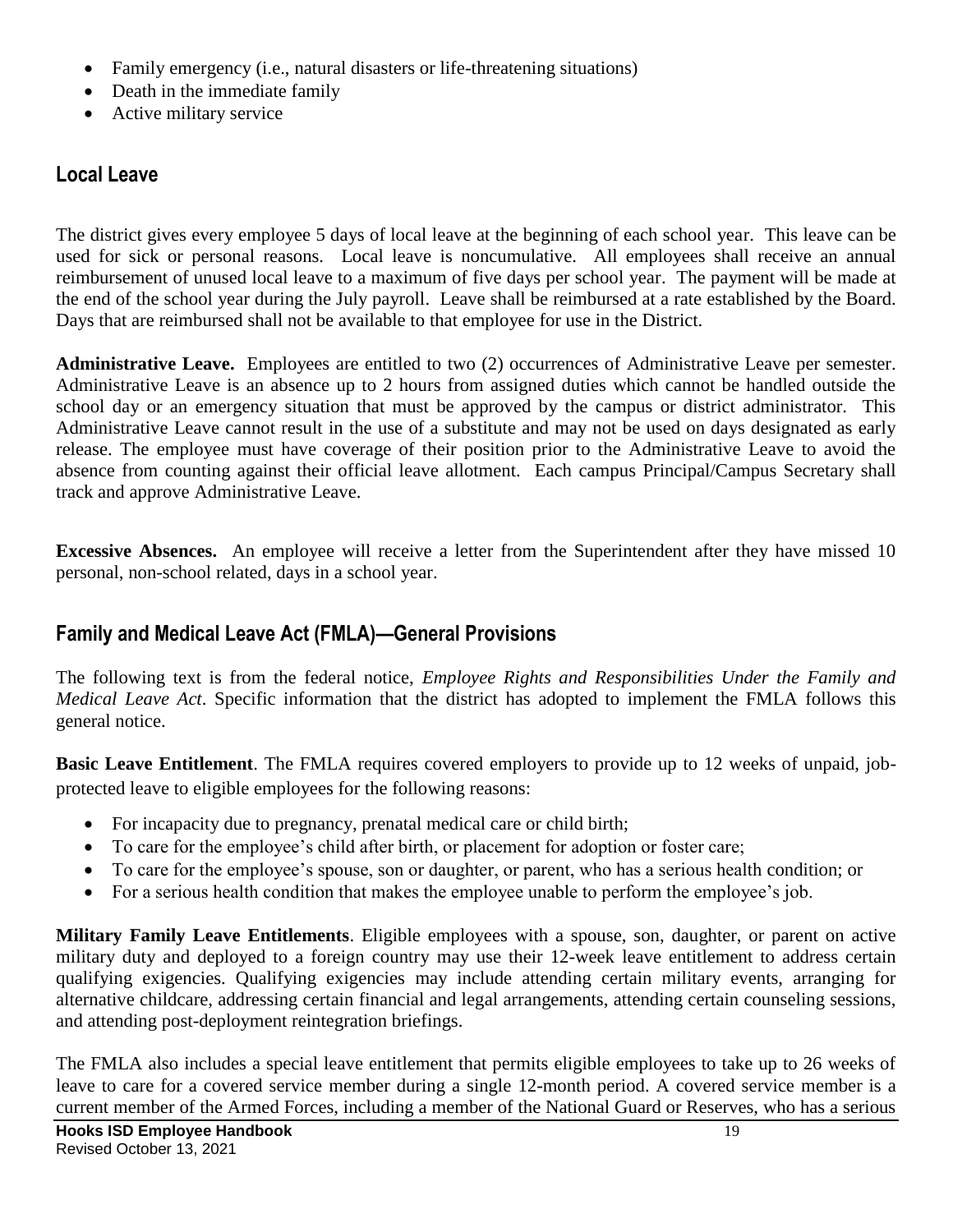- Family emergency (i.e., natural disasters or life-threatening situations)
- Death in the immediate family
- Active military service

## **Local Leave**

The district gives every employee 5 days of local leave at the beginning of each school year. This leave can be used for sick or personal reasons. Local leave is noncumulative. All employees shall receive an annual reimbursement of unused local leave to a maximum of five days per school year. The payment will be made at the end of the school year during the July payroll. Leave shall be reimbursed at a rate established by the Board. Days that are reimbursed shall not be available to that employee for use in the District.

**Administrative Leave.** Employees are entitled to two (2) occurrences of Administrative Leave per semester. Administrative Leave is an absence up to 2 hours from assigned duties which cannot be handled outside the school day or an emergency situation that must be approved by the campus or district administrator. This Administrative Leave cannot result in the use of a substitute and may not be used on days designated as early release. The employee must have coverage of their position prior to the Administrative Leave to avoid the absence from counting against their official leave allotment. Each campus Principal/Campus Secretary shall track and approve Administrative Leave.

**Excessive Absences.** An employee will receive a letter from the Superintendent after they have missed 10 personal, non-school related, days in a school year.

## **Family and Medical Leave Act (FMLA)—General Provisions**

The following text is from the federal notice, *Employee Rights and Responsibilities Under the Family and Medical Leave Act*. Specific information that the district has adopted to implement the FMLA follows this general notice.

**Basic Leave Entitlement**. The FMLA requires covered employers to provide up to 12 weeks of unpaid, jobprotected leave to eligible employees for the following reasons:

- For incapacity due to pregnancy, prenatal medical care or child birth;
- To care for the employee's child after birth, or placement for adoption or foster care;
- To care for the employee's spouse, son or daughter, or parent, who has a serious health condition; or
- For a serious health condition that makes the employee unable to perform the employee's job.

**Military Family Leave Entitlements**. Eligible employees with a spouse, son, daughter, or parent on active military duty and deployed to a foreign country may use their 12-week leave entitlement to address certain qualifying exigencies. Qualifying exigencies may include attending certain military events, arranging for alternative childcare, addressing certain financial and legal arrangements, attending certain counseling sessions, and attending post-deployment reintegration briefings.

The FMLA also includes a special leave entitlement that permits eligible employees to take up to 26 weeks of leave to care for a covered service member during a single 12-month period. A covered service member is a current member of the Armed Forces, including a member of the National Guard or Reserves, who has a serious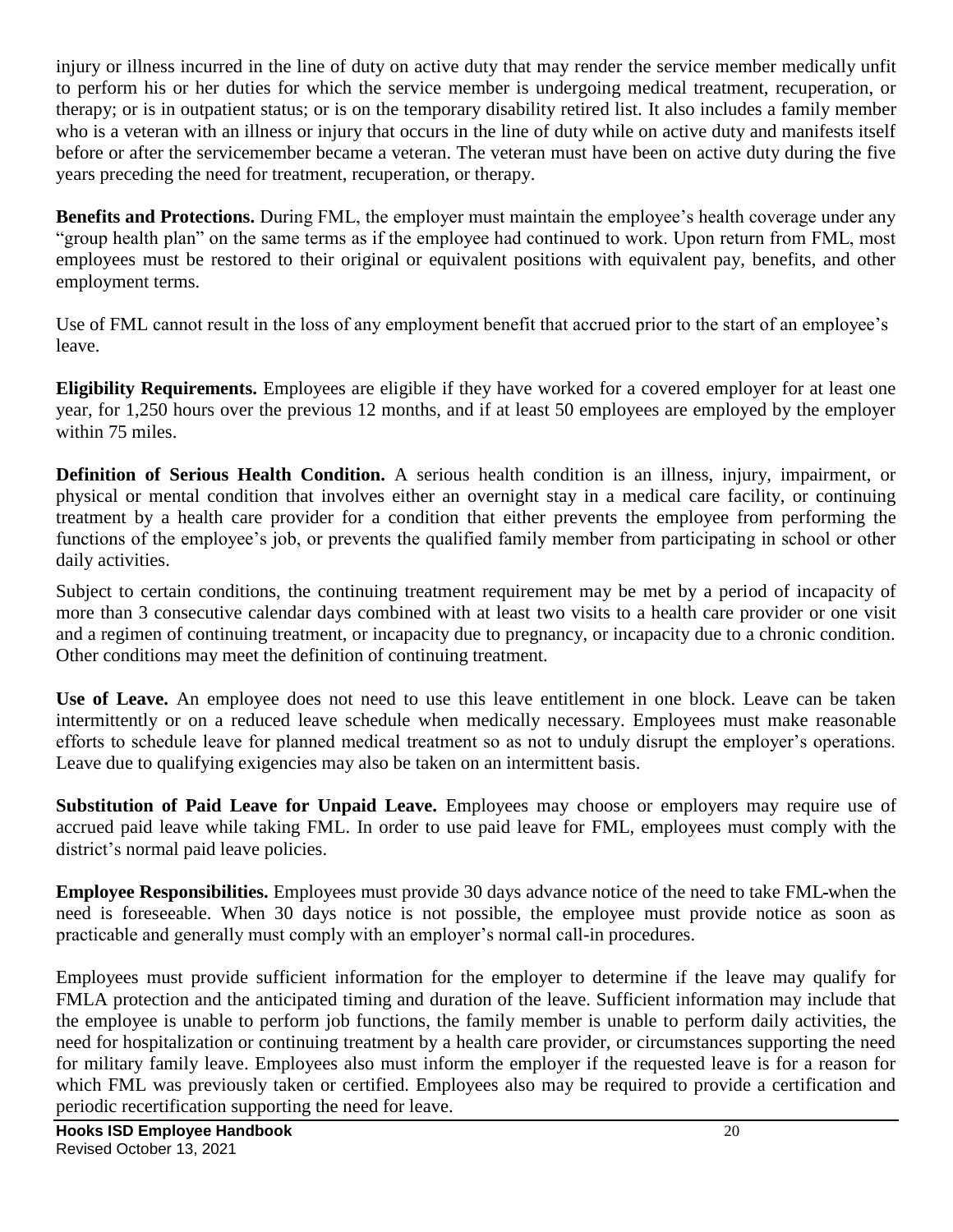injury or illness incurred in the line of duty on active duty that may render the service member medically unfit to perform his or her duties for which the service member is undergoing medical treatment, recuperation, or therapy; or is in outpatient status; or is on the temporary disability retired list. It also includes a family member who is a veteran with an illness or injury that occurs in the line of duty while on active duty and manifests itself before or after the servicemember became a veteran. The veteran must have been on active duty during the five years preceding the need for treatment, recuperation, or therapy.

**Benefits and Protections.** During FML, the employer must maintain the employee's health coverage under any "group health plan" on the same terms as if the employee had continued to work. Upon return from FML, most employees must be restored to their original or equivalent positions with equivalent pay, benefits, and other employment terms.

Use of FML cannot result in the loss of any employment benefit that accrued prior to the start of an employee's leave.

**Eligibility Requirements.** Employees are eligible if they have worked for a covered employer for at least one year, for 1,250 hours over the previous 12 months, and if at least 50 employees are employed by the employer within 75 miles.

**Definition of Serious Health Condition.** A serious health condition is an illness, injury, impairment, or physical or mental condition that involves either an overnight stay in a medical care facility, or continuing treatment by a health care provider for a condition that either prevents the employee from performing the functions of the employee's job, or prevents the qualified family member from participating in school or other daily activities.

Subject to certain conditions, the continuing treatment requirement may be met by a period of incapacity of more than 3 consecutive calendar days combined with at least two visits to a health care provider or one visit and a regimen of continuing treatment, or incapacity due to pregnancy, or incapacity due to a chronic condition. Other conditions may meet the definition of continuing treatment.

**Use of Leave.** An employee does not need to use this leave entitlement in one block. Leave can be taken intermittently or on a reduced leave schedule when medically necessary. Employees must make reasonable efforts to schedule leave for planned medical treatment so as not to unduly disrupt the employer's operations. Leave due to qualifying exigencies may also be taken on an intermittent basis.

**Substitution of Paid Leave for Unpaid Leave.** Employees may choose or employers may require use of accrued paid leave while taking FML. In order to use paid leave for FML, employees must comply with the district's normal paid leave policies.

**Employee Responsibilities.** Employees must provide 30 days advance notice of the need to take FML when the need is foreseeable. When 30 days notice is not possible, the employee must provide notice as soon as practicable and generally must comply with an employer's normal call-in procedures.

Employees must provide sufficient information for the employer to determine if the leave may qualify for FMLA protection and the anticipated timing and duration of the leave. Sufficient information may include that the employee is unable to perform job functions, the family member is unable to perform daily activities, the need for hospitalization or continuing treatment by a health care provider, or circumstances supporting the need for military family leave. Employees also must inform the employer if the requested leave is for a reason for which FML was previously taken or certified. Employees also may be required to provide a certification and periodic recertification supporting the need for leave.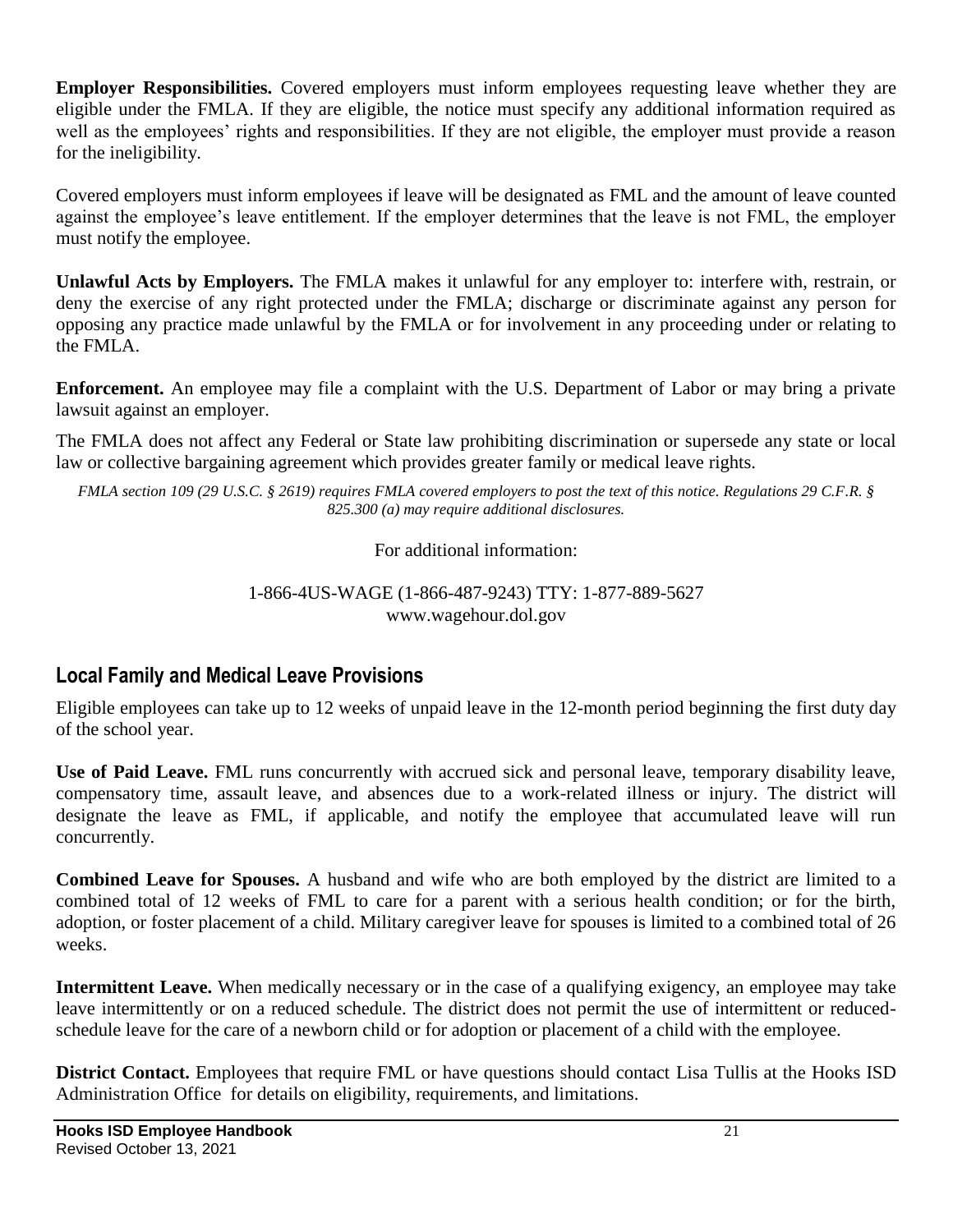**Employer Responsibilities.** Covered employers must inform employees requesting leave whether they are eligible under the FMLA. If they are eligible, the notice must specify any additional information required as well as the employees' rights and responsibilities. If they are not eligible, the employer must provide a reason for the ineligibility.

Covered employers must inform employees if leave will be designated as FML and the amount of leave counted against the employee's leave entitlement. If the employer determines that the leave is not FML, the employer must notify the employee.

**Unlawful Acts by Employers.** The FMLA makes it unlawful for any employer to: interfere with, restrain, or deny the exercise of any right protected under the FMLA; discharge or discriminate against any person for opposing any practice made unlawful by the FMLA or for involvement in any proceeding under or relating to the FMLA.

**Enforcement.** An employee may file a complaint with the U.S. Department of Labor or may bring a private lawsuit against an employer.

The FMLA does not affect any Federal or State law prohibiting discrimination or supersede any state or local law or collective bargaining agreement which provides greater family or medical leave rights.

*FMLA section 109 (29 U.S.C. § 2619) requires FMLA covered employers to post the text of this notice. Regulations 29 C.F.R. § 825.300 (a) may require additional disclosures.*

For additional information:

#### 1-866-4US-WAGE (1-866-487-9243) TTY: 1-877-889-5627 www.wagehour.dol.gov

## **Local Family and Medical Leave Provisions**

Eligible employees can take up to 12 weeks of unpaid leave in the 12-month period beginning the first duty day of the school year.

**Use of Paid Leave.** FML runs concurrently with accrued sick and personal leave, temporary disability leave, compensatory time, assault leave, and absences due to a work-related illness or injury. The district will designate the leave as FML, if applicable, and notify the employee that accumulated leave will run concurrently.

**Combined Leave for Spouses.** A husband and wife who are both employed by the district are limited to a combined total of 12 weeks of FML to care for a parent with a serious health condition; or for the birth, adoption, or foster placement of a child. Military caregiver leave for spouses is limited to a combined total of 26 weeks.

**Intermittent Leave.** When medically necessary or in the case of a qualifying exigency, an employee may take leave intermittently or on a reduced schedule. The district does not permit the use of intermittent or reducedschedule leave for the care of a newborn child or for adoption or placement of a child with the employee.

**District Contact.** Employees that require FML or have questions should contact Lisa Tullis at the Hooks ISD Administration Office for details on eligibility, requirements, and limitations.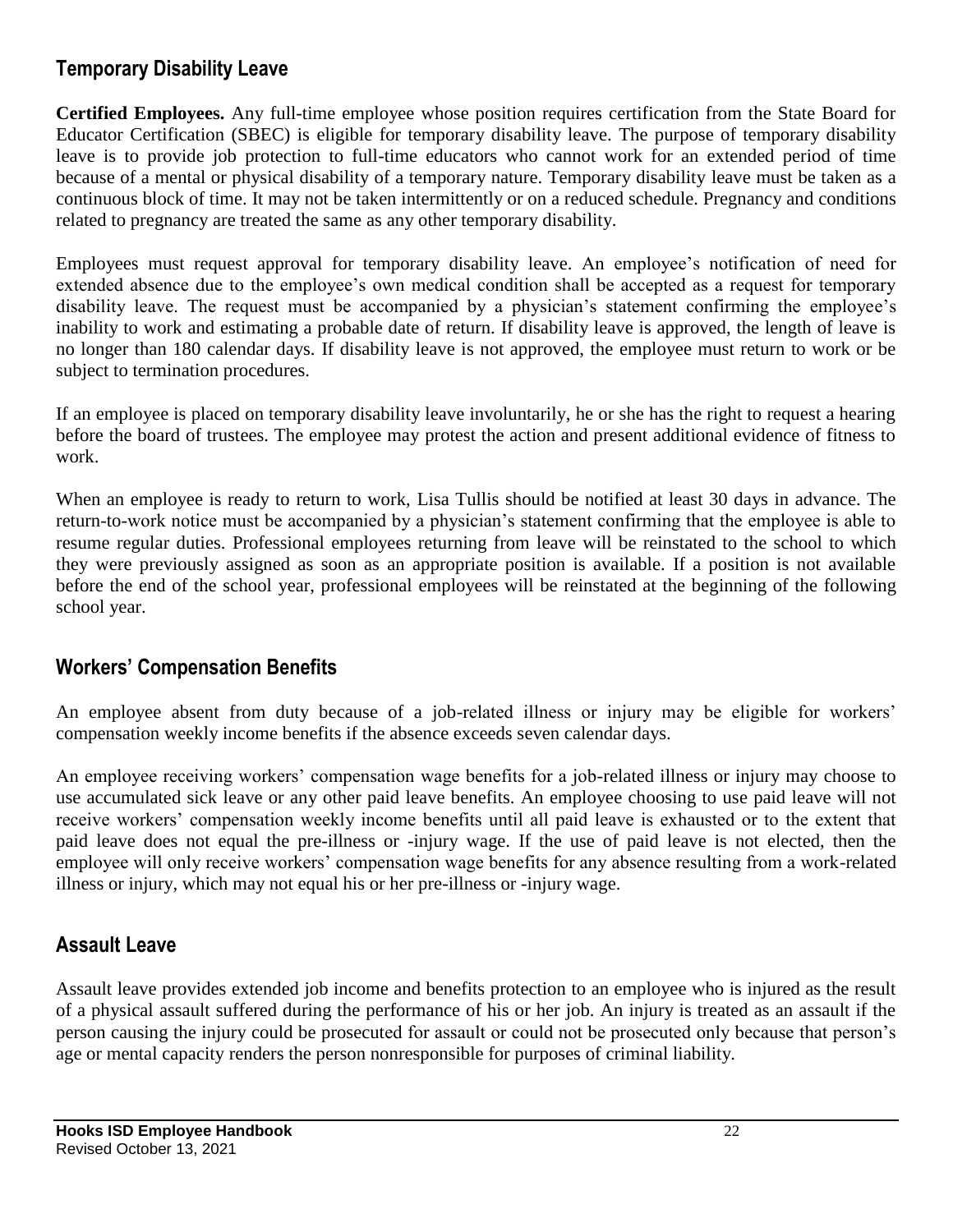#### **Temporary Disability Leave**

**Certified Employees.** Any full-time employee whose position requires certification from the State Board for Educator Certification (SBEC) is eligible for temporary disability leave. The purpose of temporary disability leave is to provide job protection to full-time educators who cannot work for an extended period of time because of a mental or physical disability of a temporary nature. Temporary disability leave must be taken as a continuous block of time. It may not be taken intermittently or on a reduced schedule. Pregnancy and conditions related to pregnancy are treated the same as any other temporary disability.

Employees must request approval for temporary disability leave. An employee's notification of need for extended absence due to the employee's own medical condition shall be accepted as a request for temporary disability leave. The request must be accompanied by a physician's statement confirming the employee's inability to work and estimating a probable date of return. If disability leave is approved, the length of leave is no longer than 180 calendar days. If disability leave is not approved, the employee must return to work or be subject to termination procedures.

If an employee is placed on temporary disability leave involuntarily, he or she has the right to request a hearing before the board of trustees. The employee may protest the action and present additional evidence of fitness to work.

When an employee is ready to return to work, Lisa Tullis should be notified at least 30 days in advance. The return-to-work notice must be accompanied by a physician's statement confirming that the employee is able to resume regular duties. Professional employees returning from leave will be reinstated to the school to which they were previously assigned as soon as an appropriate position is available. If a position is not available before the end of the school year, professional employees will be reinstated at the beginning of the following school year.

#### **Workers' Compensation Benefits**

An employee absent from duty because of a job-related illness or injury may be eligible for workers' compensation weekly income benefits if the absence exceeds seven calendar days.

An employee receiving workers' compensation wage benefits for a job-related illness or injury may choose to use accumulated sick leave or any other paid leave benefits. An employee choosing to use paid leave will not receive workers' compensation weekly income benefits until all paid leave is exhausted or to the extent that paid leave does not equal the pre-illness or -injury wage. If the use of paid leave is not elected, then the employee will only receive workers' compensation wage benefits for any absence resulting from a work-related illness or injury, which may not equal his or her pre-illness or -injury wage.

## **Assault Leave**

Assault leave provides extended job income and benefits protection to an employee who is injured as the result of a physical assault suffered during the performance of his or her job. An injury is treated as an assault if the person causing the injury could be prosecuted for assault or could not be prosecuted only because that person's age or mental capacity renders the person nonresponsible for purposes of criminal liability.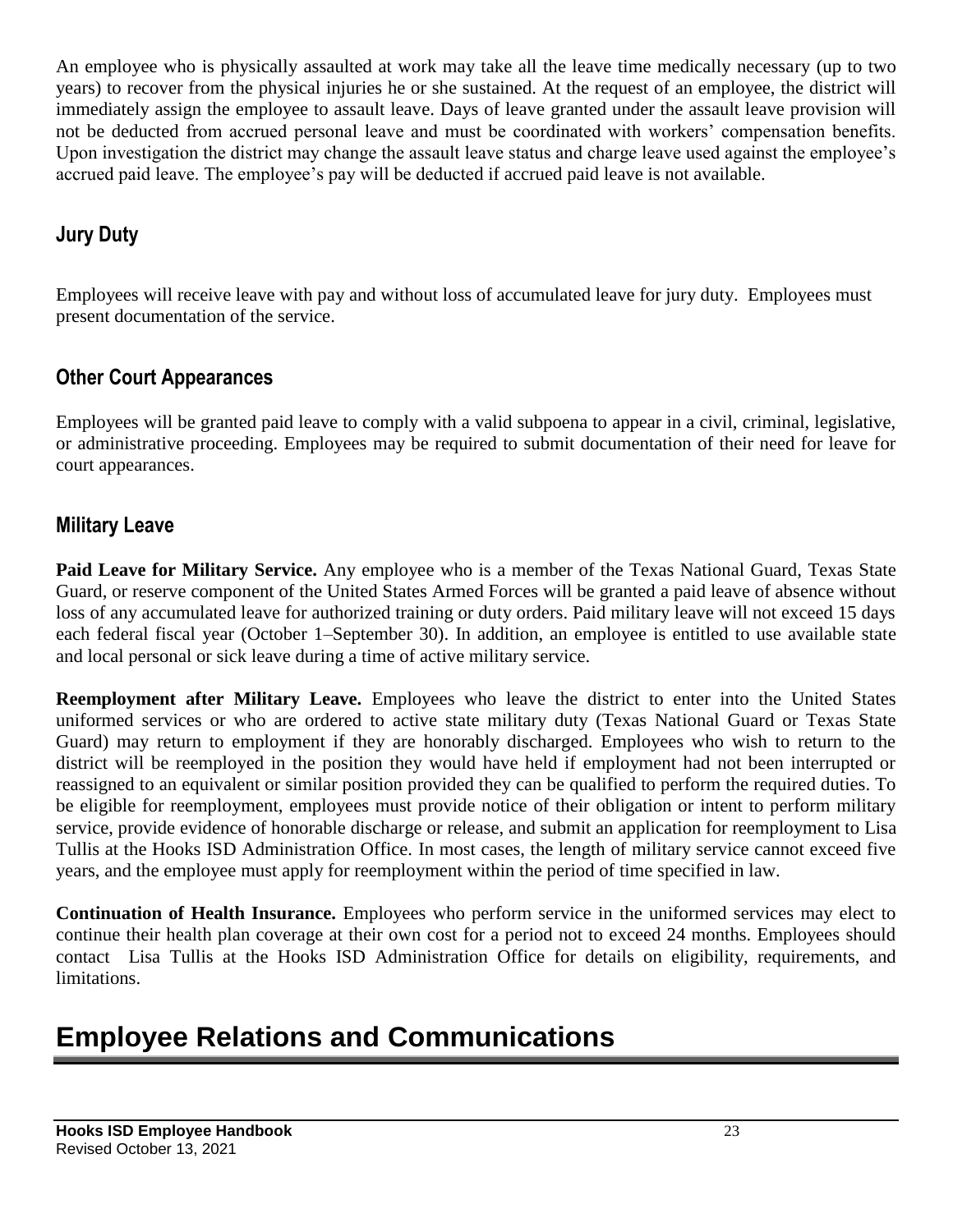An employee who is physically assaulted at work may take all the leave time medically necessary (up to two years) to recover from the physical injuries he or she sustained. At the request of an employee, the district will immediately assign the employee to assault leave. Days of leave granted under the assault leave provision will not be deducted from accrued personal leave and must be coordinated with workers' compensation benefits. Upon investigation the district may change the assault leave status and charge leave used against the employee's accrued paid leave. The employee's pay will be deducted if accrued paid leave is not available.

## **Jury Duty**

Employees will receive leave with pay and without loss of accumulated leave for jury duty. Employees must present documentation of the service.

#### **Other Court Appearances**

Employees will be granted paid leave to comply with a valid subpoena to appear in a civil, criminal, legislative, or administrative proceeding. Employees may be required to submit documentation of their need for leave for court appearances.

#### **Military Leave**

**Paid Leave for Military Service.** Any employee who is a member of the Texas National Guard, Texas State Guard, or reserve component of the United States Armed Forces will be granted a paid leave of absence without loss of any accumulated leave for authorized training or duty orders. Paid military leave will not exceed 15 days each federal fiscal year (October 1–September 30). In addition, an employee is entitled to use available state and local personal or sick leave during a time of active military service.

**Reemployment after Military Leave.** Employees who leave the district to enter into the United States uniformed services or who are ordered to active state military duty (Texas National Guard or Texas State Guard) may return to employment if they are honorably discharged. Employees who wish to return to the district will be reemployed in the position they would have held if employment had not been interrupted or reassigned to an equivalent or similar position provided they can be qualified to perform the required duties. To be eligible for reemployment, employees must provide notice of their obligation or intent to perform military service, provide evidence of honorable discharge or release, and submit an application for reemployment to Lisa Tullis at the Hooks ISD Administration Office. In most cases, the length of military service cannot exceed five years, and the employee must apply for reemployment within the period of time specified in law.

**Continuation of Health Insurance.** Employees who perform service in the uniformed services may elect to continue their health plan coverage at their own cost for a period not to exceed 24 months. Employees should contact Lisa Tullis at the Hooks ISD Administration Office for details on eligibility, requirements, and limitations.

## **Employee Relations and Communications**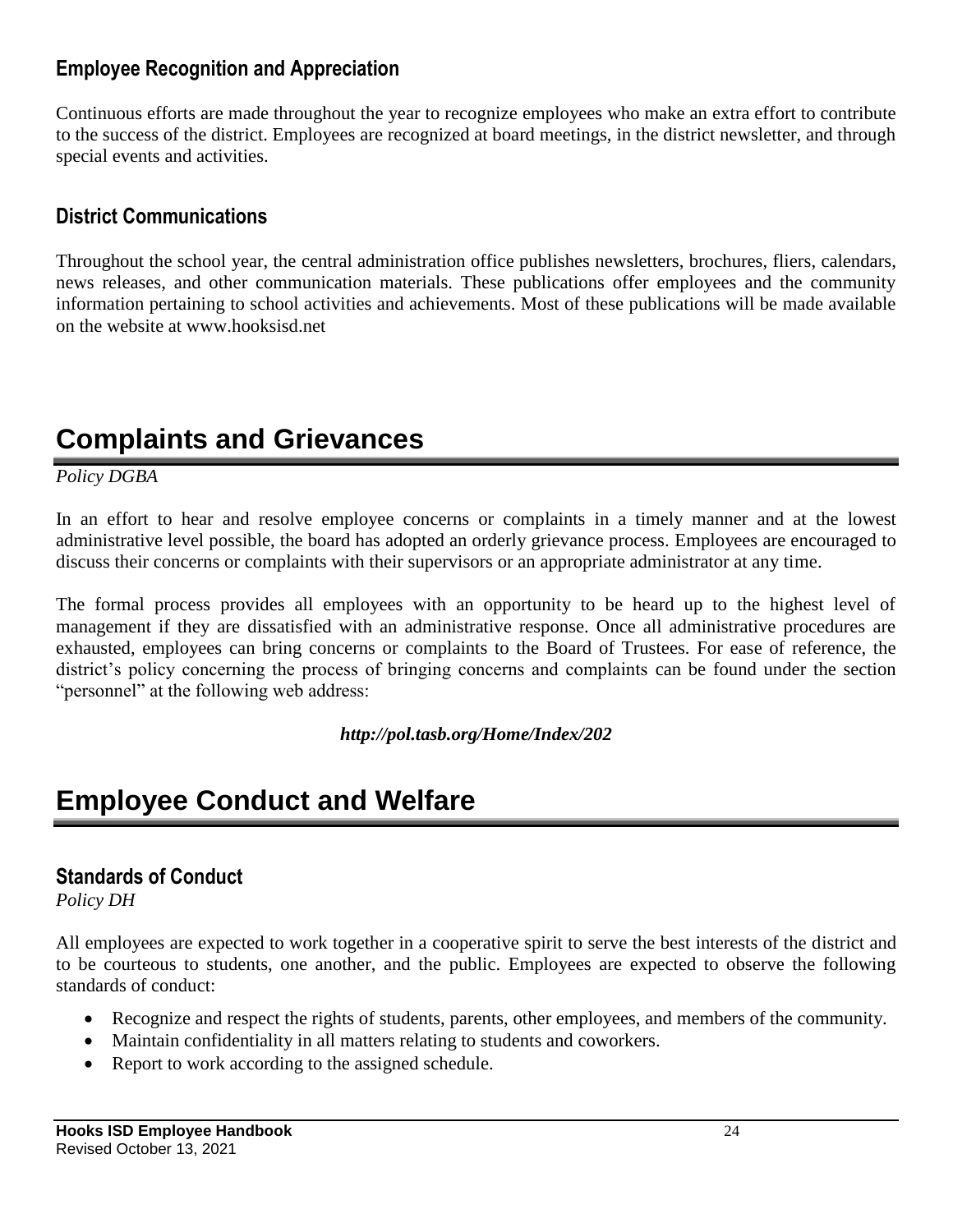#### **Employee Recognition and Appreciation**

Continuous efforts are made throughout the year to recognize employees who make an extra effort to contribute to the success of the district. Employees are recognized at board meetings, in the district newsletter, and through special events and activities.

## **District Communications**

Throughout the school year, the central administration office publishes newsletters, brochures, fliers, calendars, news releases, and other communication materials. These publications offer employees and the community information pertaining to school activities and achievements. Most of these publications will be made available on the website at www.hooksisd.net

## **Complaints and Grievances**

*Policy DGBA*

In an effort to hear and resolve employee concerns or complaints in a timely manner and at the lowest administrative level possible, the board has adopted an orderly grievance process. Employees are encouraged to discuss their concerns or complaints with their supervisors or an appropriate administrator at any time.

The formal process provides all employees with an opportunity to be heard up to the highest level of management if they are dissatisfied with an administrative response. Once all administrative procedures are exhausted, employees can bring concerns or complaints to the Board of Trustees. For ease of reference, the district's policy concerning the process of bringing concerns and complaints can be found under the section "personnel" at the following web address:

#### *http://pol.tasb.org/Home/Index/202*

## **Employee Conduct and Welfare**

#### **Standards of Conduct**

*Policy DH*

All employees are expected to work together in a cooperative spirit to serve the best interests of the district and to be courteous to students, one another, and the public. Employees are expected to observe the following standards of conduct:

- Recognize and respect the rights of students, parents, other employees, and members of the community.
- Maintain confidentiality in all matters relating to students and coworkers.
- Report to work according to the assigned schedule.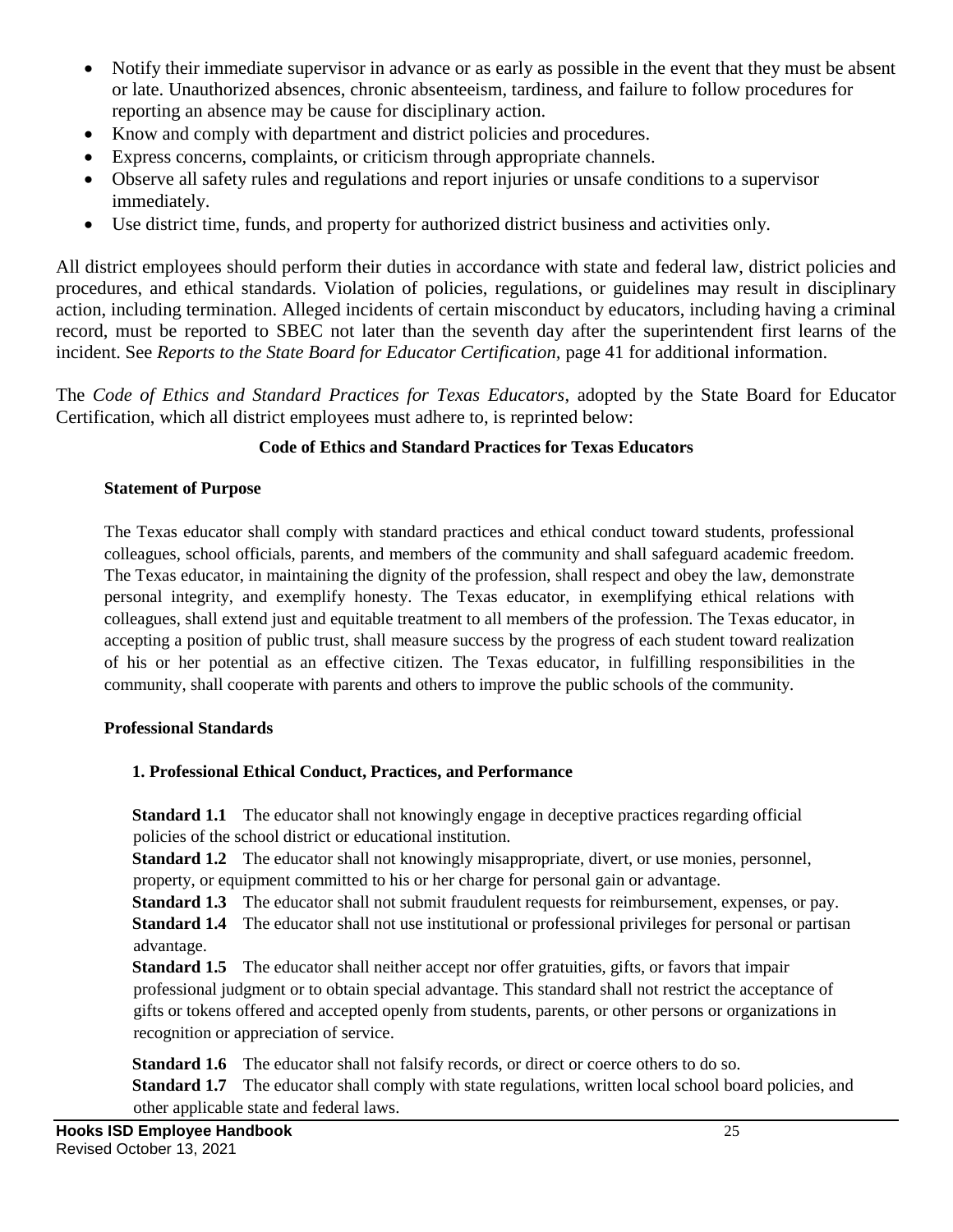- Notify their immediate supervisor in advance or as early as possible in the event that they must be absent or late. Unauthorized absences, chronic absenteeism, tardiness, and failure to follow procedures for reporting an absence may be cause for disciplinary action.
- Know and comply with department and district policies and procedures.
- Express concerns, complaints, or criticism through appropriate channels.
- Observe all safety rules and regulations and report injuries or unsafe conditions to a supervisor immediately.
- Use district time, funds, and property for authorized district business and activities only.

All district employees should perform their duties in accordance with state and federal law, district policies and procedures, and ethical standards. Violation of policies, regulations, or guidelines may result in disciplinary action, including termination. Alleged incidents of certain misconduct by educators, including having a criminal record, must be reported to SBEC not later than the seventh day after the superintendent first learns of the incident. See *Reports to the State Board for Educator Certification,* page 41 for additional information.

The *Code of Ethics and Standard Practices for Texas Educators*, adopted by the State Board for Educator Certification, which all district employees must adhere to, is reprinted below:

#### **Code of Ethics and Standard Practices for Texas Educators**

#### **Statement of Purpose**

The Texas educator shall comply with standard practices and ethical conduct toward students, professional colleagues, school officials, parents, and members of the community and shall safeguard academic freedom. The Texas educator, in maintaining the dignity of the profession, shall respect and obey the law, demonstrate personal integrity, and exemplify honesty. The Texas educator, in exemplifying ethical relations with colleagues, shall extend just and equitable treatment to all members of the profession. The Texas educator, in accepting a position of public trust, shall measure success by the progress of each student toward realization of his or her potential as an effective citizen. The Texas educator, in fulfilling responsibilities in the community, shall cooperate with parents and others to improve the public schools of the community.

#### **Professional Standards**

#### **1. Professional Ethical Conduct, Practices, and Performance**

**Standard 1.1** The educator shall not knowingly engage in deceptive practices regarding official policies of the school district or educational institution.

**Standard 1.2** The educator shall not knowingly misappropriate, divert, or use monies, personnel, property, or equipment committed to his or her charge for personal gain or advantage.

**Standard 1.3** The educator shall not submit fraudulent requests for reimbursement, expenses, or pay. **Standard 1.4** The educator shall not use institutional or professional privileges for personal or partisan advantage.

**Standard 1.5** The educator shall neither accept nor offer gratuities, gifts, or favors that impair professional judgment or to obtain special advantage. This standard shall not restrict the acceptance of gifts or tokens offered and accepted openly from students, parents, or other persons or organizations in recognition or appreciation of service.

**Standard 1.6** The educator shall not falsify records, or direct or coerce others to do so. **Standard 1.7** The educator shall comply with state regulations, written local school board policies, and other applicable state and federal laws.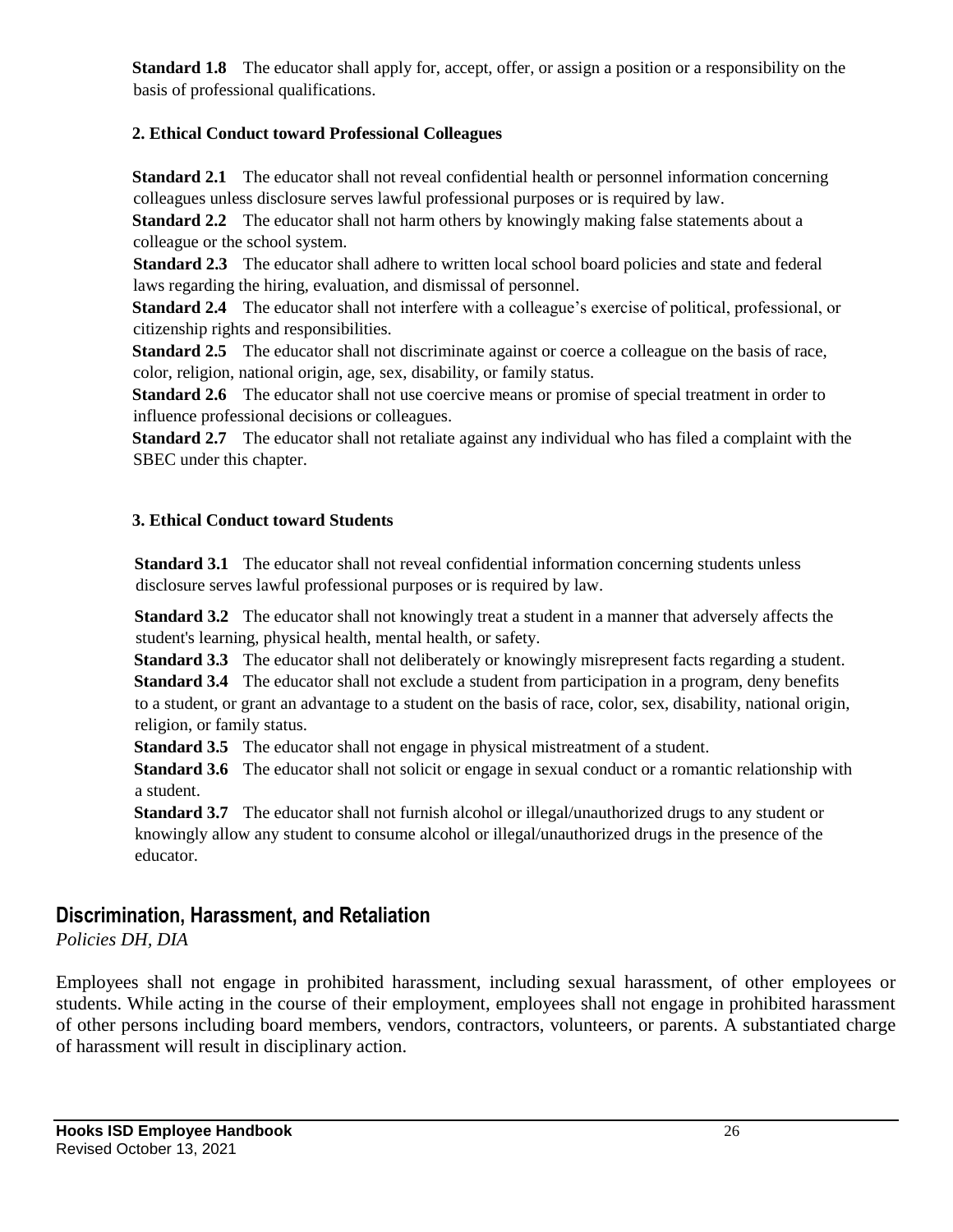**Standard 1.8** The educator shall apply for, accept, offer, or assign a position or a responsibility on the basis of professional qualifications.

#### **2. Ethical Conduct toward Professional Colleagues**

**Standard 2.1** The educator shall not reveal confidential health or personnel information concerning colleagues unless disclosure serves lawful professional purposes or is required by law.

**Standard 2.2** The educator shall not harm others by knowingly making false statements about a colleague or the school system.

**Standard 2.3** The educator shall adhere to written local school board policies and state and federal laws regarding the hiring, evaluation, and dismissal of personnel.

**Standard 2.4** The educator shall not interfere with a colleague's exercise of political, professional, or citizenship rights and responsibilities.

**Standard 2.5** The educator shall not discriminate against or coerce a colleague on the basis of race, color, religion, national origin, age, sex, disability, or family status.

**Standard 2.6** The educator shall not use coercive means or promise of special treatment in order to influence professional decisions or colleagues.

**Standard 2.7** The educator shall not retaliate against any individual who has filed a complaint with the SBEC under this chapter.

#### **3. Ethical Conduct toward Students**

**Standard 3.1** The educator shall not reveal confidential information concerning students unless disclosure serves lawful professional purposes or is required by law.

**Standard 3.2** The educator shall not knowingly treat a student in a manner that adversely affects the student's learning, physical health, mental health, or safety.

**Standard 3.3** The educator shall not deliberately or knowingly misrepresent facts regarding a student. **Standard 3.4** The educator shall not exclude a student from participation in a program, deny benefits to a student, or grant an advantage to a student on the basis of race, color, sex, disability, national origin, religion, or family status.

**Standard 3.5** The educator shall not engage in physical mistreatment of a student.

**Standard 3.6** The educator shall not solicit or engage in sexual conduct or a romantic relationship with a student.

**Standard 3.7** The educator shall not furnish alcohol or illegal/unauthorized drugs to any student or knowingly allow any student to consume alcohol or illegal/unauthorized drugs in the presence of the educator.

#### **Discrimination, Harassment, and Retaliation**

*Policies DH, DIA*

Employees shall not engage in prohibited harassment, including sexual harassment, of other employees or students. While acting in the course of their employment, employees shall not engage in prohibited harassment of other persons including board members, vendors, contractors, volunteers, or parents. A substantiated charge of harassment will result in disciplinary action.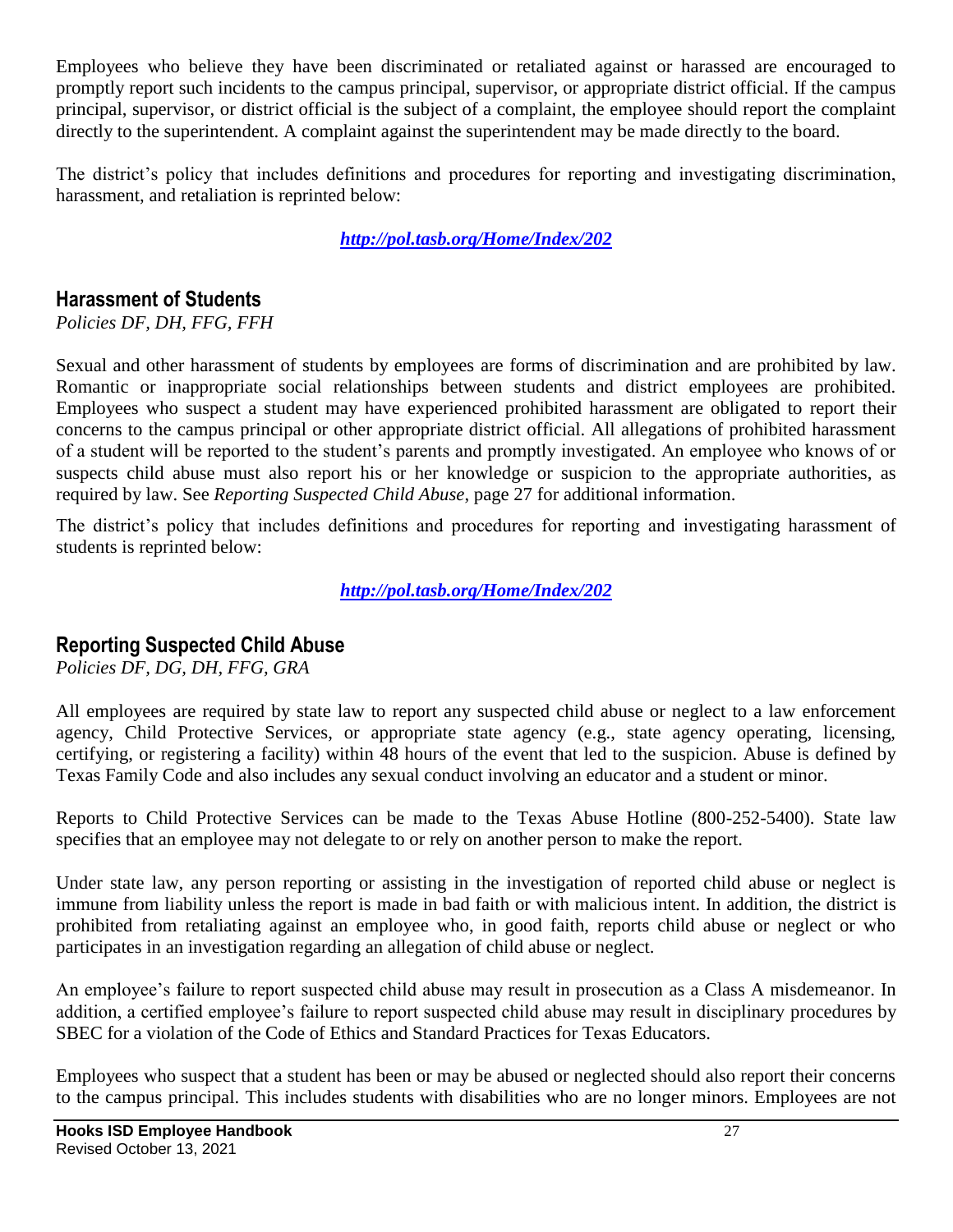Employees who believe they have been discriminated or retaliated against or harassed are encouraged to promptly report such incidents to the campus principal, supervisor, or appropriate district official. If the campus principal, supervisor, or district official is the subject of a complaint, the employee should report the complaint directly to the superintendent. A complaint against the superintendent may be made directly to the board.

The district's policy that includes definitions and procedures for reporting and investigating discrimination, harassment, and retaliation is reprinted below:

*[http://pol.tasb.org/Home/Index/202](http://www.tasb.org/policy/pol/private/019902/)*

#### **Harassment of Students**

*Policies DF, DH, FFG, FFH*

Sexual and other harassment of students by employees are forms of discrimination and are prohibited by law. Romantic or inappropriate social relationships between students and district employees are prohibited. Employees who suspect a student may have experienced prohibited harassment are obligated to report their concerns to the campus principal or other appropriate district official. All allegations of prohibited harassment of a student will be reported to the student's parents and promptly investigated. An employee who knows of or suspects child abuse must also report his or her knowledge or suspicion to the appropriate authorities, as required by law. See *Reporting Suspected Child Abuse*, page 27 for additional information.

The district's policy that includes definitions and procedures for reporting and investigating harassment of students is reprinted below:

*[http://pol.tasb.org/Home/Index/202](http://www.tasb.org/policy/pol/private/019902/)*

#### **Reporting Suspected Child Abuse**

*Policies DF, DG, DH, FFG, GRA*

All employees are required by state law to report any suspected child abuse or neglect to a law enforcement agency, Child Protective Services, or appropriate state agency (e.g., state agency operating, licensing, certifying, or registering a facility) within 48 hours of the event that led to the suspicion. Abuse is defined by Texas Family Code and also includes any sexual conduct involving an educator and a student or minor.

Reports to Child Protective Services can be made to the Texas Abuse Hotline (800-252-5400). State law specifies that an employee may not delegate to or rely on another person to make the report.

Under state law, any person reporting or assisting in the investigation of reported child abuse or neglect is immune from liability unless the report is made in bad faith or with malicious intent. In addition, the district is prohibited from retaliating against an employee who, in good faith, reports child abuse or neglect or who participates in an investigation regarding an allegation of child abuse or neglect.

An employee's failure to report suspected child abuse may result in prosecution as a Class A misdemeanor. In addition, a certified employee's failure to report suspected child abuse may result in disciplinary procedures by SBEC for a violation of the Code of Ethics and Standard Practices for Texas Educators.

Employees who suspect that a student has been or may be abused or neglected should also report their concerns to the campus principal. This includes students with disabilities who are no longer minors. Employees are not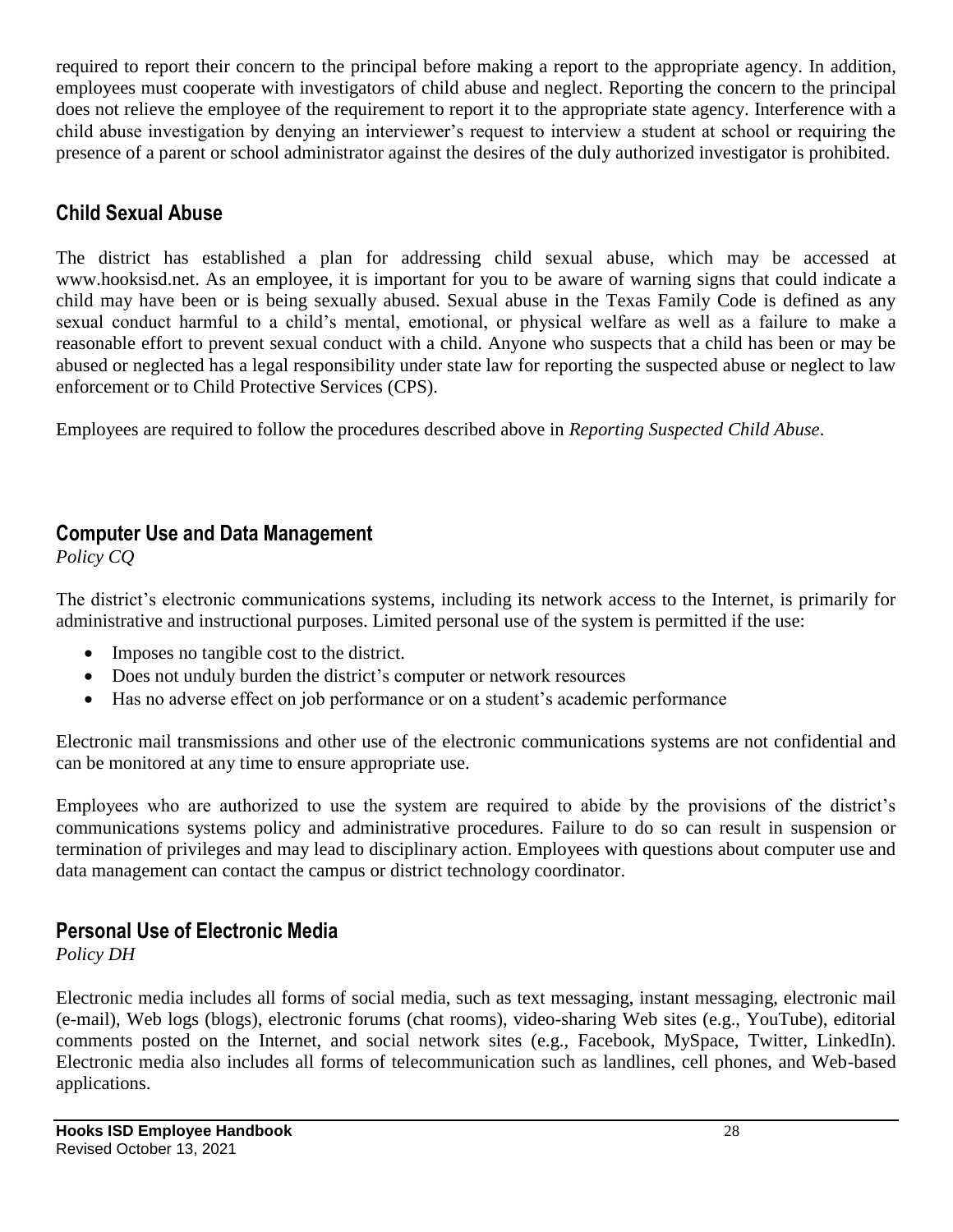required to report their concern to the principal before making a report to the appropriate agency. In addition, employees must cooperate with investigators of child abuse and neglect. Reporting the concern to the principal does not relieve the employee of the requirement to report it to the appropriate state agency. Interference with a child abuse investigation by denying an interviewer's request to interview a student at school or requiring the presence of a parent or school administrator against the desires of the duly authorized investigator is prohibited.

## **Child Sexual Abuse**

The district has established a plan for addressing child sexual abuse, which may be accessed at www.hooksisd.net. As an employee, it is important for you to be aware of warning signs that could indicate a child may have been or is being sexually abused. Sexual abuse in the Texas Family Code is defined as any sexual conduct harmful to a child's mental, emotional, or physical welfare as well as a failure to make a reasonable effort to prevent sexual conduct with a child. Anyone who suspects that a child has been or may be abused or neglected has a legal responsibility under state law for reporting the suspected abuse or neglect to law enforcement or to Child Protective Services (CPS).

Employees are required to follow the procedures described above in *Reporting Suspected Child Abuse*.

## **Computer Use and Data Management**

*Policy CQ*

The district's electronic communications systems, including its network access to the Internet, is primarily for administrative and instructional purposes. Limited personal use of the system is permitted if the use:

- Imposes no tangible cost to the district.
- Does not unduly burden the district's computer or network resources
- Has no adverse effect on job performance or on a student's academic performance

Electronic mail transmissions and other use of the electronic communications systems are not confidential and can be monitored at any time to ensure appropriate use.

Employees who are authorized to use the system are required to abide by the provisions of the district's communications systems policy and administrative procedures. Failure to do so can result in suspension or termination of privileges and may lead to disciplinary action. Employees with questions about computer use and data management can contact the campus or district technology coordinator.

## **Personal Use of Electronic Media**

*Policy DH*

Electronic media includes all forms of social media, such as text messaging, instant messaging, electronic mail (e-mail), Web logs (blogs), electronic forums (chat rooms), video-sharing Web sites (e.g., YouTube), editorial comments posted on the Internet, and social network sites (e.g., Facebook, MySpace, Twitter, LinkedIn). Electronic media also includes all forms of telecommunication such as landlines, cell phones, and Web-based applications.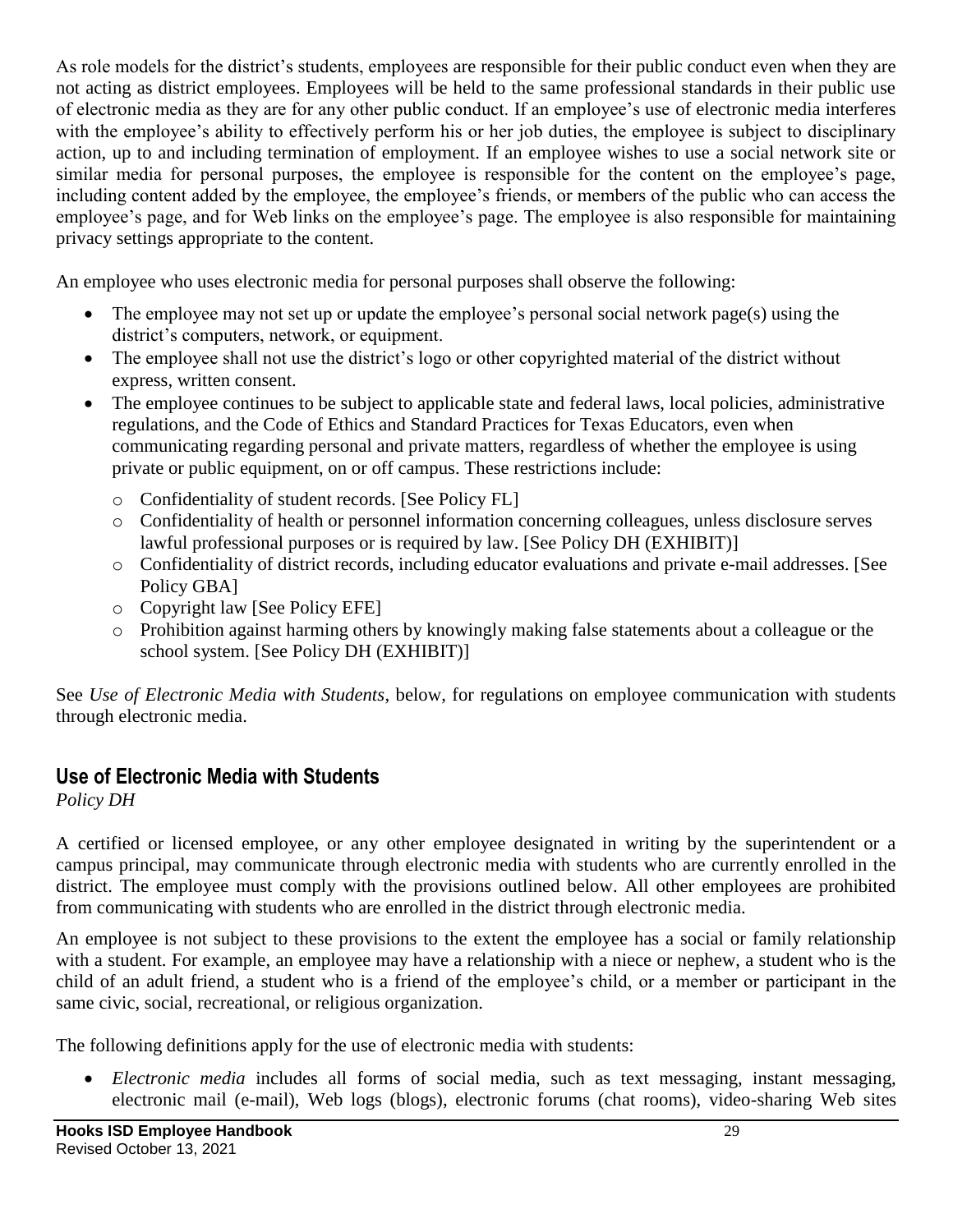As role models for the district's students, employees are responsible for their public conduct even when they are not acting as district employees. Employees will be held to the same professional standards in their public use of electronic media as they are for any other public conduct. If an employee's use of electronic media interferes with the employee's ability to effectively perform his or her job duties, the employee is subject to disciplinary action, up to and including termination of employment. If an employee wishes to use a social network site or similar media for personal purposes, the employee is responsible for the content on the employee's page, including content added by the employee, the employee's friends, or members of the public who can access the employee's page, and for Web links on the employee's page. The employee is also responsible for maintaining privacy settings appropriate to the content.

An employee who uses electronic media for personal purposes shall observe the following:

- The employee may not set up or update the employee's personal social network page(s) using the district's computers, network, or equipment.
- The employee shall not use the district's logo or other copyrighted material of the district without express, written consent.
- The employee continues to be subject to applicable state and federal laws, local policies, administrative regulations, and the Code of Ethics and Standard Practices for Texas Educators, even when communicating regarding personal and private matters, regardless of whether the employee is using private or public equipment, on or off campus. These restrictions include:
	- o Confidentiality of student records. [See Policy FL]
	- o Confidentiality of health or personnel information concerning colleagues, unless disclosure serves lawful professional purposes or is required by law. [See Policy DH (EXHIBIT)]
	- o Confidentiality of district records, including educator evaluations and private e-mail addresses. [See Policy GBA]
	- o Copyright law [See Policy EFE]
	- o Prohibition against harming others by knowingly making false statements about a colleague or the school system. [See Policy DH (EXHIBIT)]

See *Use of Electronic Media with Students*, below, for regulations on employee communication with students through electronic media.

## **Use of Electronic Media with Students**

*Policy DH*

A certified or licensed employee, or any other employee designated in writing by the superintendent or a campus principal, may communicate through electronic media with students who are currently enrolled in the district. The employee must comply with the provisions outlined below. All other employees are prohibited from communicating with students who are enrolled in the district through electronic media.

An employee is not subject to these provisions to the extent the employee has a social or family relationship with a student. For example, an employee may have a relationship with a niece or nephew, a student who is the child of an adult friend, a student who is a friend of the employee's child, or a member or participant in the same civic, social, recreational, or religious organization.

The following definitions apply for the use of electronic media with students:

 *Electronic media* includes all forms of social media, such as text messaging, instant messaging, electronic mail (e-mail), Web logs (blogs), electronic forums (chat rooms), video-sharing Web sites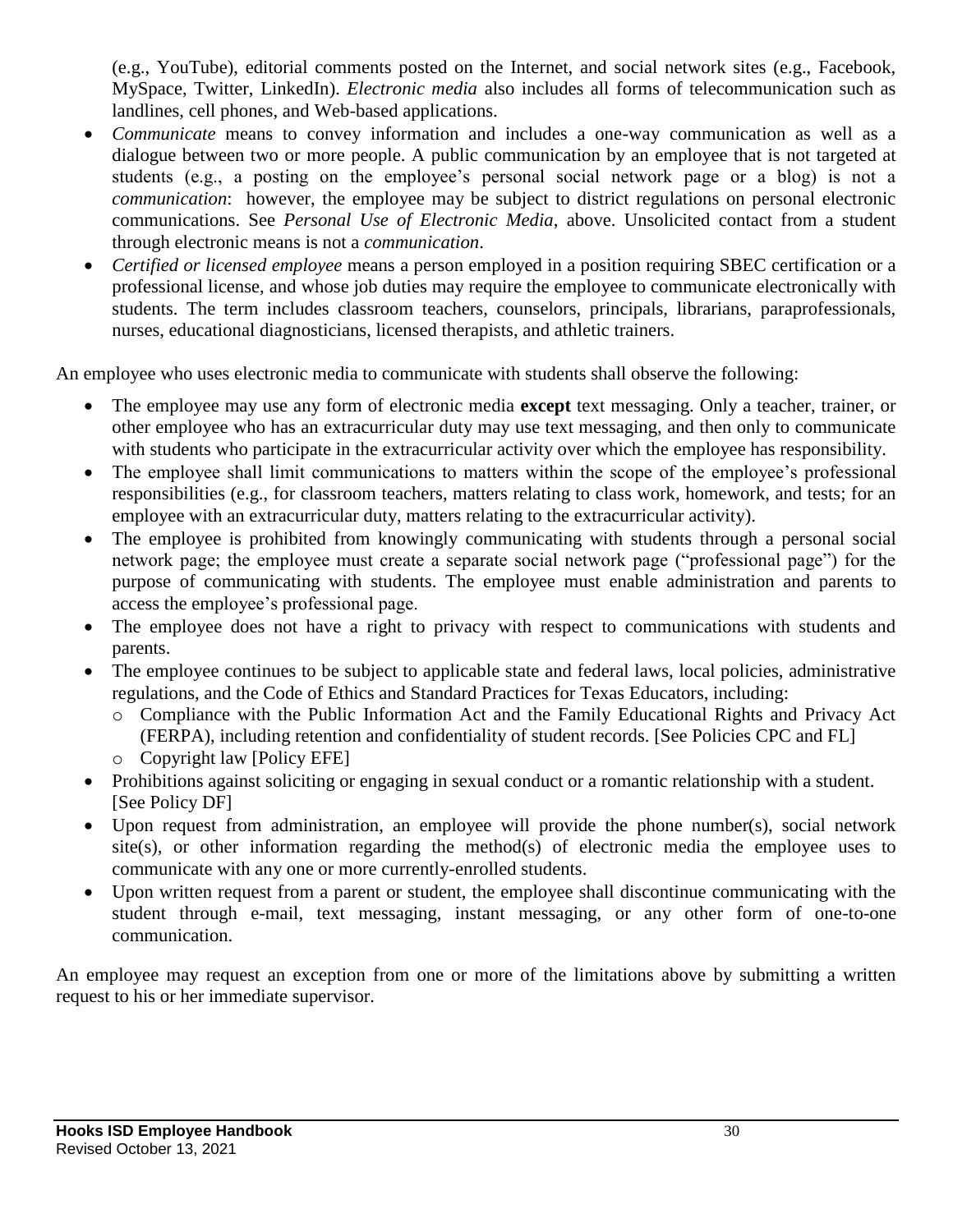(e.g., YouTube), editorial comments posted on the Internet, and social network sites (e.g., Facebook, MySpace, Twitter, LinkedIn). *Electronic media* also includes all forms of telecommunication such as landlines, cell phones, and Web-based applications.

- *Communicate* means to convey information and includes a one-way communication as well as a dialogue between two or more people. A public communication by an employee that is not targeted at students (e.g., a posting on the employee's personal social network page or a blog) is not a *communication*: however, the employee may be subject to district regulations on personal electronic communications. See *Personal Use of Electronic Media*, above. Unsolicited contact from a student through electronic means is not a *communication*.
- *Certified or licensed employee* means a person employed in a position requiring SBEC certification or a professional license, and whose job duties may require the employee to communicate electronically with students. The term includes classroom teachers, counselors, principals, librarians, paraprofessionals, nurses, educational diagnosticians, licensed therapists, and athletic trainers.

An employee who uses electronic media to communicate with students shall observe the following:

- The employee may use any form of electronic media **except** text messaging. Only a teacher, trainer, or other employee who has an extracurricular duty may use text messaging, and then only to communicate with students who participate in the extracurricular activity over which the employee has responsibility.
- The employee shall limit communications to matters within the scope of the employee's professional responsibilities (e.g., for classroom teachers, matters relating to class work, homework, and tests; for an employee with an extracurricular duty, matters relating to the extracurricular activity).
- The employee is prohibited from knowingly communicating with students through a personal social network page; the employee must create a separate social network page ("professional page") for the purpose of communicating with students. The employee must enable administration and parents to access the employee's professional page.
- The employee does not have a right to privacy with respect to communications with students and parents.
- The employee continues to be subject to applicable state and federal laws, local policies, administrative regulations, and the Code of Ethics and Standard Practices for Texas Educators, including:
	- o Compliance with the Public Information Act and the Family Educational Rights and Privacy Act (FERPA), including retention and confidentiality of student records. [See Policies CPC and FL]
	- o Copyright law [Policy EFE]
- Prohibitions against soliciting or engaging in sexual conduct or a romantic relationship with a student. [See Policy DF]
- Upon request from administration, an employee will provide the phone number(s), social network site(s), or other information regarding the method(s) of electronic media the employee uses to communicate with any one or more currently-enrolled students.
- Upon written request from a parent or student, the employee shall discontinue communicating with the student through e-mail, text messaging, instant messaging, or any other form of one-to-one communication.

An employee may request an exception from one or more of the limitations above by submitting a written request to his or her immediate supervisor.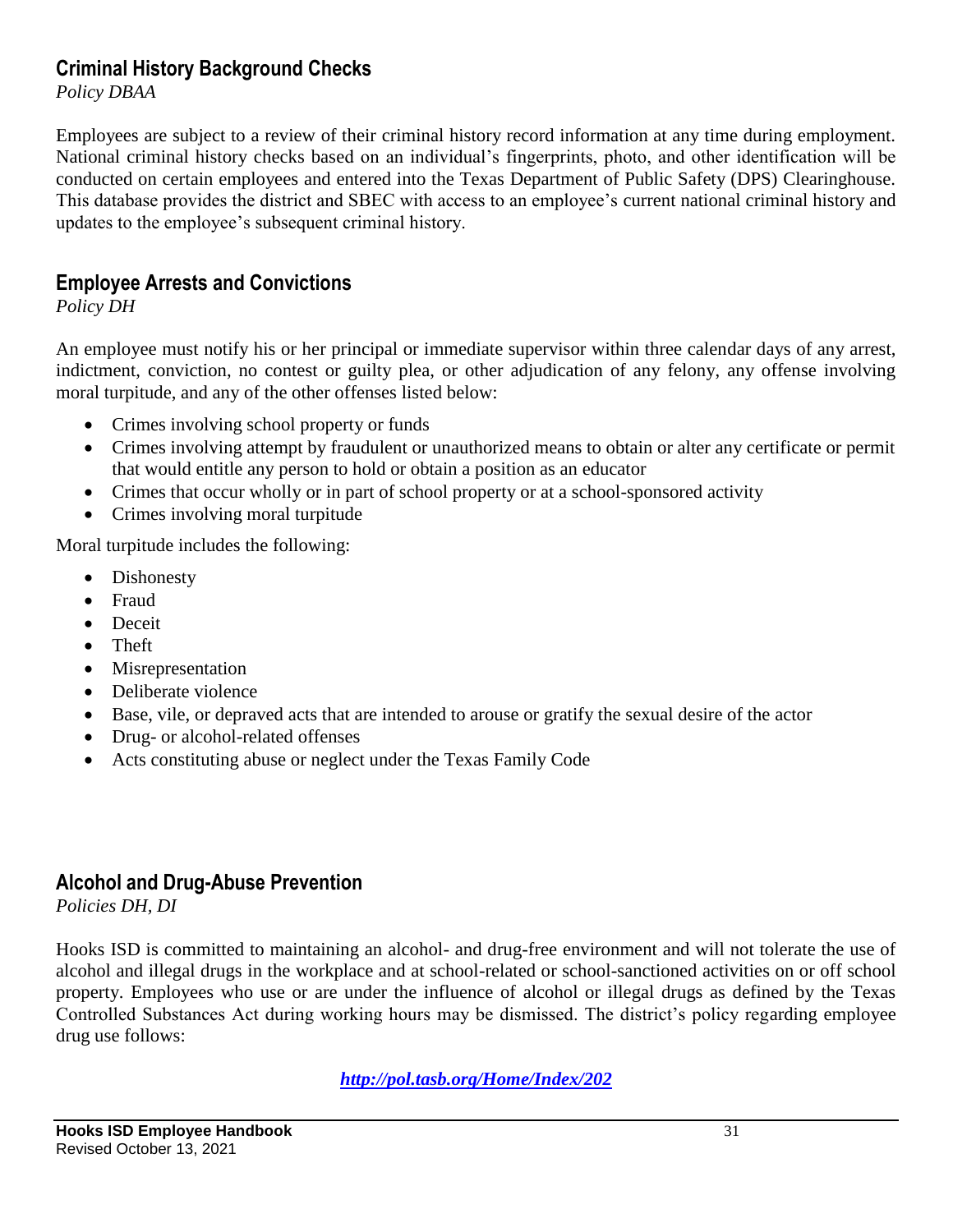#### **Criminal History Background Checks**

*Policy DBAA*

Employees are subject to a review of their criminal history record information at any time during employment. National criminal history checks based on an individual's fingerprints, photo, and other identification will be conducted on certain employees and entered into the Texas Department of Public Safety (DPS) Clearinghouse. This database provides the district and SBEC with access to an employee's current national criminal history and updates to the employee's subsequent criminal history.

## **Employee Arrests and Convictions**

*Policy DH*

An employee must notify his or her principal or immediate supervisor within three calendar days of any arrest, indictment, conviction, no contest or guilty plea, or other adjudication of any felony, any offense involving moral turpitude, and any of the other offenses listed below:

- Crimes involving school property or funds
- Crimes involving attempt by fraudulent or unauthorized means to obtain or alter any certificate or permit that would entitle any person to hold or obtain a position as an educator
- Crimes that occur wholly or in part of school property or at a school-sponsored activity
- Crimes involving moral turpitude

Moral turpitude includes the following:

- Dishonesty
- Fraud
- Deceit
- Theft
- Misrepresentation
- Deliberate violence
- Base, vile, or depraved acts that are intended to arouse or gratify the sexual desire of the actor
- Drug- or alcohol-related offenses
- Acts constituting abuse or neglect under the Texas Family Code

## **Alcohol and Drug-Abuse Prevention**

*Policies DH, DI*

Hooks ISD is committed to maintaining an alcohol- and drug-free environment and will not tolerate the use of alcohol and illegal drugs in the workplace and at school-related or school-sanctioned activities on or off school property. Employees who use or are under the influence of alcohol or illegal drugs as defined by the Texas Controlled Substances Act during working hours may be dismissed. The district's policy regarding employee drug use follows:

*[http://pol.tasb.org/Home/Index/202](http://www.tasb.org/policy/pol/private/019902/)*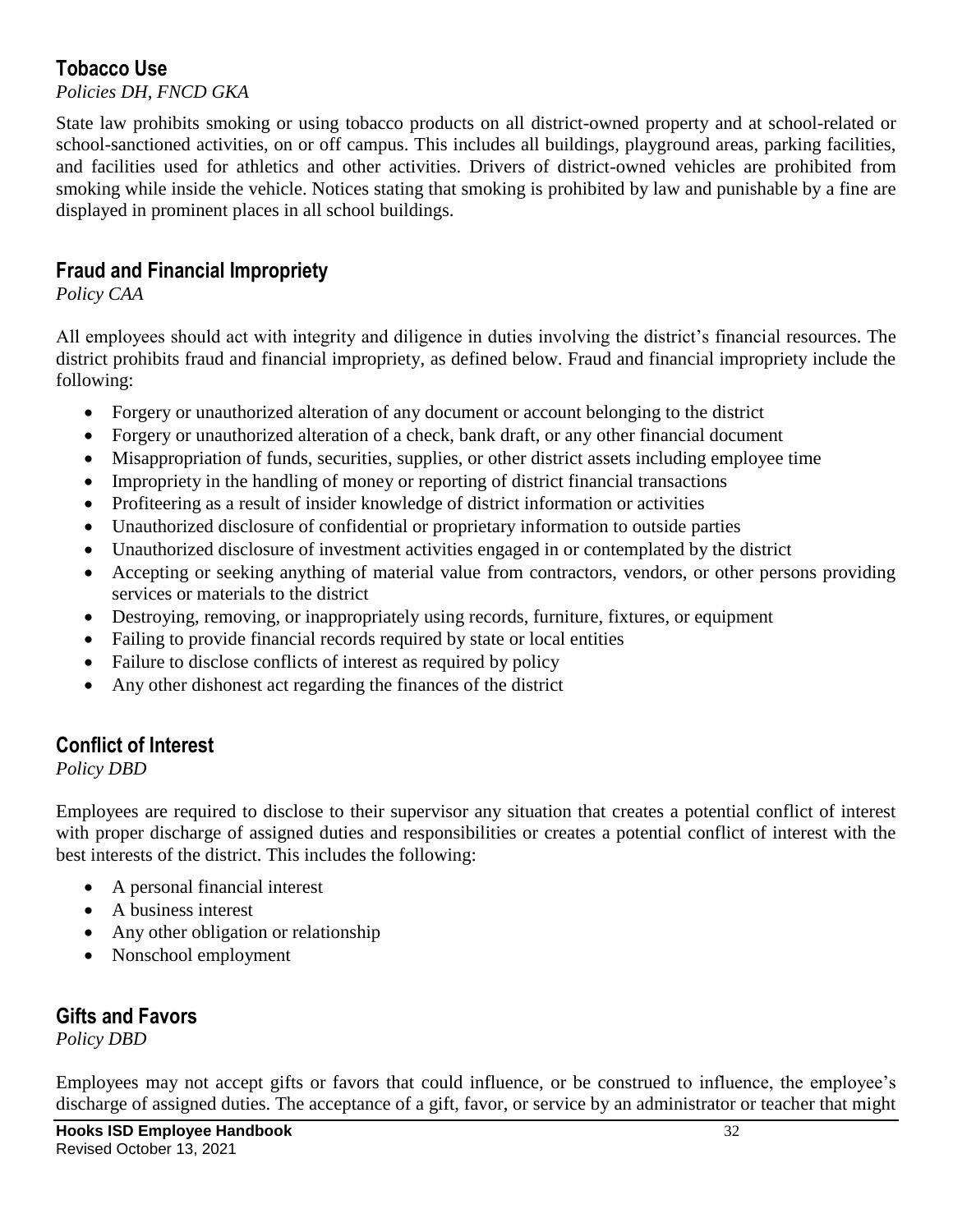## **Tobacco Use**

*Policies DH, FNCD GKA*

State law prohibits smoking or using tobacco products on all district-owned property and at school-related or school-sanctioned activities, on or off campus. This includes all buildings, playground areas, parking facilities, and facilities used for athletics and other activities. Drivers of district-owned vehicles are prohibited from smoking while inside the vehicle. Notices stating that smoking is prohibited by law and punishable by a fine are displayed in prominent places in all school buildings.

#### **Fraud and Financial Impropriety**

*Policy CAA*

All employees should act with integrity and diligence in duties involving the district's financial resources. The district prohibits fraud and financial impropriety, as defined below. Fraud and financial impropriety include the following:

- Forgery or unauthorized alteration of any document or account belonging to the district
- Forgery or unauthorized alteration of a check, bank draft, or any other financial document
- Misappropriation of funds, securities, supplies, or other district assets including employee time
- Impropriety in the handling of money or reporting of district financial transactions
- Profiteering as a result of insider knowledge of district information or activities
- Unauthorized disclosure of confidential or proprietary information to outside parties
- Unauthorized disclosure of investment activities engaged in or contemplated by the district
- Accepting or seeking anything of material value from contractors, vendors, or other persons providing services or materials to the district
- Destroying, removing, or inappropriately using records, furniture, fixtures, or equipment
- Failing to provide financial records required by state or local entities
- Failure to disclose conflicts of interest as required by policy
- Any other dishonest act regarding the finances of the district

#### **Conflict of Interest**

*Policy DBD*

Employees are required to disclose to their supervisor any situation that creates a potential conflict of interest with proper discharge of assigned duties and responsibilities or creates a potential conflict of interest with the best interests of the district. This includes the following:

- A personal financial interest
- A business interest
- Any other obligation or relationship
- Nonschool employment

#### **Gifts and Favors**

*Policy DBD*

Employees may not accept gifts or favors that could influence, or be construed to influence, the employee's discharge of assigned duties. The acceptance of a gift, favor, or service by an administrator or teacher that might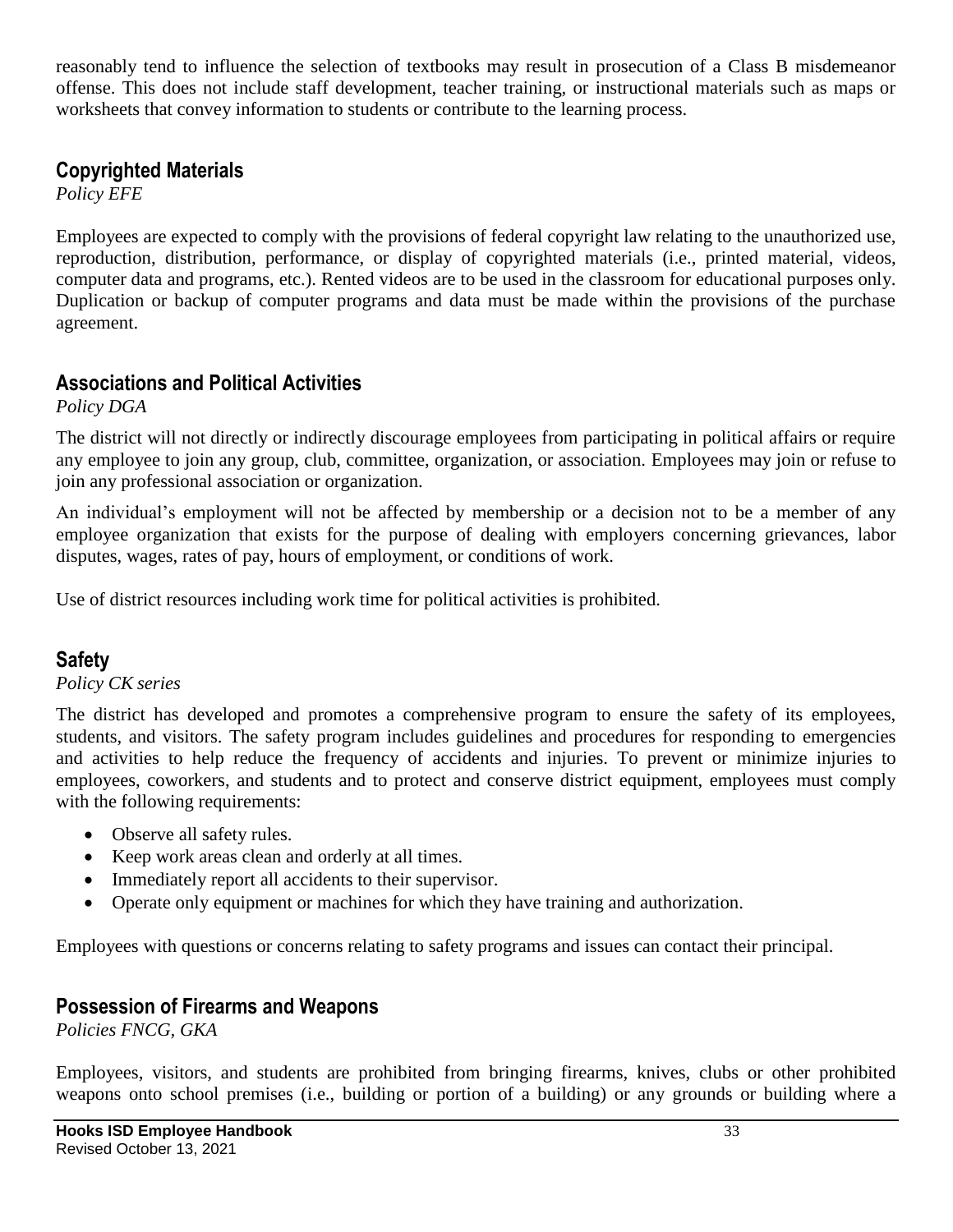reasonably tend to influence the selection of textbooks may result in prosecution of a Class B misdemeanor offense. This does not include staff development, teacher training, or instructional materials such as maps or worksheets that convey information to students or contribute to the learning process.

#### **Copyrighted Materials**

*Policy EFE*

Employees are expected to comply with the provisions of federal copyright law relating to the unauthorized use, reproduction, distribution, performance, or display of copyrighted materials (i.e., printed material, videos, computer data and programs, etc.). Rented videos are to be used in the classroom for educational purposes only. Duplication or backup of computer programs and data must be made within the provisions of the purchase agreement.

#### **Associations and Political Activities**

*Policy DGA*

The district will not directly or indirectly discourage employees from participating in political affairs or require any employee to join any group, club, committee, organization, or association. Employees may join or refuse to join any professional association or organization.

An individual's employment will not be affected by membership or a decision not to be a member of any employee organization that exists for the purpose of dealing with employers concerning grievances, labor disputes, wages, rates of pay, hours of employment, or conditions of work.

Use of district resources including work time for political activities is prohibited.

## **Safety**

#### *Policy CK series*

The district has developed and promotes a comprehensive program to ensure the safety of its employees, students, and visitors. The safety program includes guidelines and procedures for responding to emergencies and activities to help reduce the frequency of accidents and injuries. To prevent or minimize injuries to employees, coworkers, and students and to protect and conserve district equipment, employees must comply with the following requirements:

- Observe all safety rules.
- Keep work areas clean and orderly at all times.
- Immediately report all accidents to their supervisor.
- Operate only equipment or machines for which they have training and authorization.

Employees with questions or concerns relating to safety programs and issues can contact their principal.

## **Possession of Firearms and Weapons**

*Policies FNCG, GKA*

Employees, visitors, and students are prohibited from bringing firearms, knives, clubs or other prohibited weapons onto school premises (i.e., building or portion of a building) or any grounds or building where a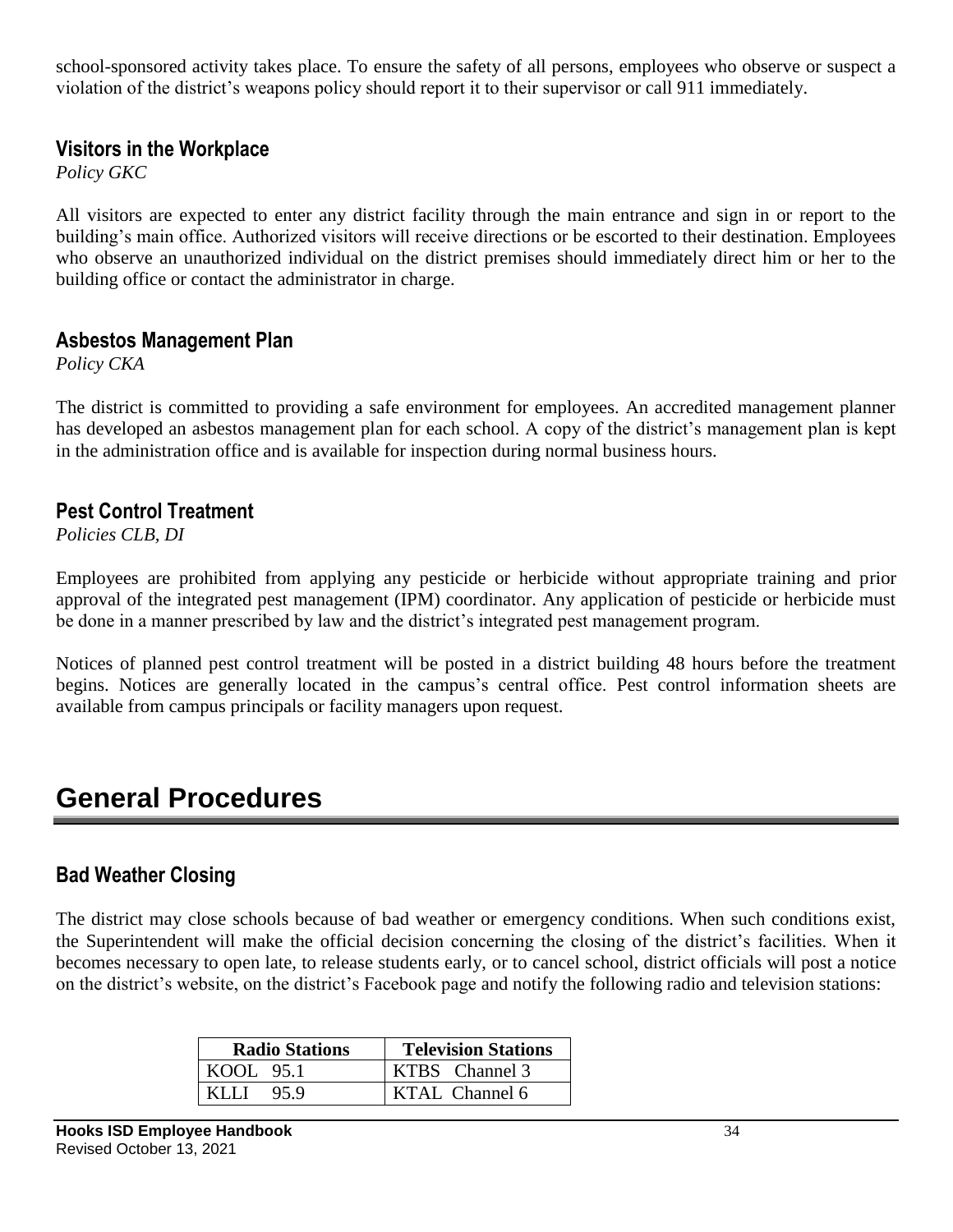school-sponsored activity takes place. To ensure the safety of all persons, employees who observe or suspect a violation of the district's weapons policy should report it to their supervisor or call 911 immediately.

#### **Visitors in the Workplace**

*Policy GKC*

All visitors are expected to enter any district facility through the main entrance and sign in or report to the building's main office. Authorized visitors will receive directions or be escorted to their destination. Employees who observe an unauthorized individual on the district premises should immediately direct him or her to the building office or contact the administrator in charge.

#### **Asbestos Management Plan**

*Policy CKA*

The district is committed to providing a safe environment for employees. An accredited management planner has developed an asbestos management plan for each school. A copy of the district's management plan is kept in the administration office and is available for inspection during normal business hours.

#### **Pest Control Treatment**

*Policies CLB, DI*

Employees are prohibited from applying any pesticide or herbicide without appropriate training and prior approval of the integrated pest management (IPM) coordinator. Any application of pesticide or herbicide must be done in a manner prescribed by law and the district's integrated pest management program.

Notices of planned pest control treatment will be posted in a district building 48 hours before the treatment begins. Notices are generally located in the campus's central office. Pest control information sheets are available from campus principals or facility managers upon request.

## **General Procedures**

#### **Bad Weather Closing**

The district may close schools because of bad weather or emergency conditions. When such conditions exist, the Superintendent will make the official decision concerning the closing of the district's facilities. When it becomes necessary to open late, to release students early, or to cancel school, district officials will post a notice on the district's website, on the district's Facebook page and notify the following radio and television stations:

| <b>Radio Stations</b> | <b>Television Stations</b> |  |
|-----------------------|----------------------------|--|
| $KOOL$ 95.1           | KTBS Channel 3             |  |
| 95.9<br>KLLI          | KTAL Channel 6             |  |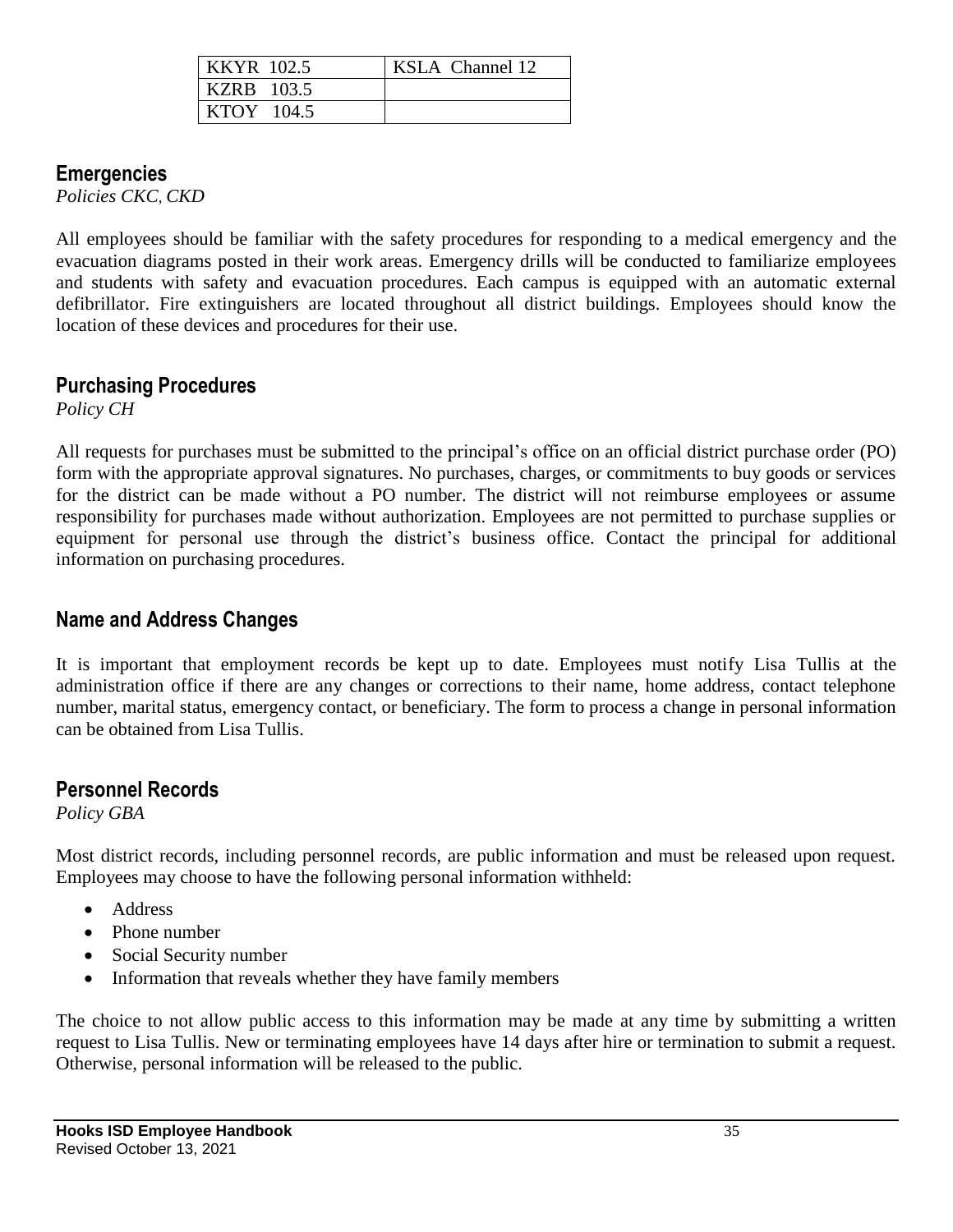| <b>KKYR</b> 102.5 | KSLA Channel 12 |
|-------------------|-----------------|
| <b>KZRB</b> 103.5 |                 |
| $KTOY$ 104.5      |                 |

#### **Emergencies**

*Policies CKC*, *CKD*

All employees should be familiar with the safety procedures for responding to a medical emergency and the evacuation diagrams posted in their work areas. Emergency drills will be conducted to familiarize employees and students with safety and evacuation procedures. Each campus is equipped with an automatic external defibrillator. Fire extinguishers are located throughout all district buildings. Employees should know the location of these devices and procedures for their use.

#### **Purchasing Procedures**

*Policy CH*

All requests for purchases must be submitted to the principal's office on an official district purchase order (PO) form with the appropriate approval signatures. No purchases, charges, or commitments to buy goods or services for the district can be made without a PO number. The district will not reimburse employees or assume responsibility for purchases made without authorization. Employees are not permitted to purchase supplies or equipment for personal use through the district's business office. Contact the principal for additional information on purchasing procedures.

#### **Name and Address Changes**

It is important that employment records be kept up to date. Employees must notify Lisa Tullis at the administration office if there are any changes or corrections to their name, home address, contact telephone number, marital status, emergency contact, or beneficiary. The form to process a change in personal information can be obtained from Lisa Tullis.

#### **Personnel Records**

*Policy GBA*

Most district records, including personnel records, are public information and must be released upon request. Employees may choose to have the following personal information withheld:

- Address
- Phone number
- Social Security number
- Information that reveals whether they have family members

The choice to not allow public access to this information may be made at any time by submitting a written request to Lisa Tullis. New or terminating employees have 14 days after hire or termination to submit a request. Otherwise, personal information will be released to the public.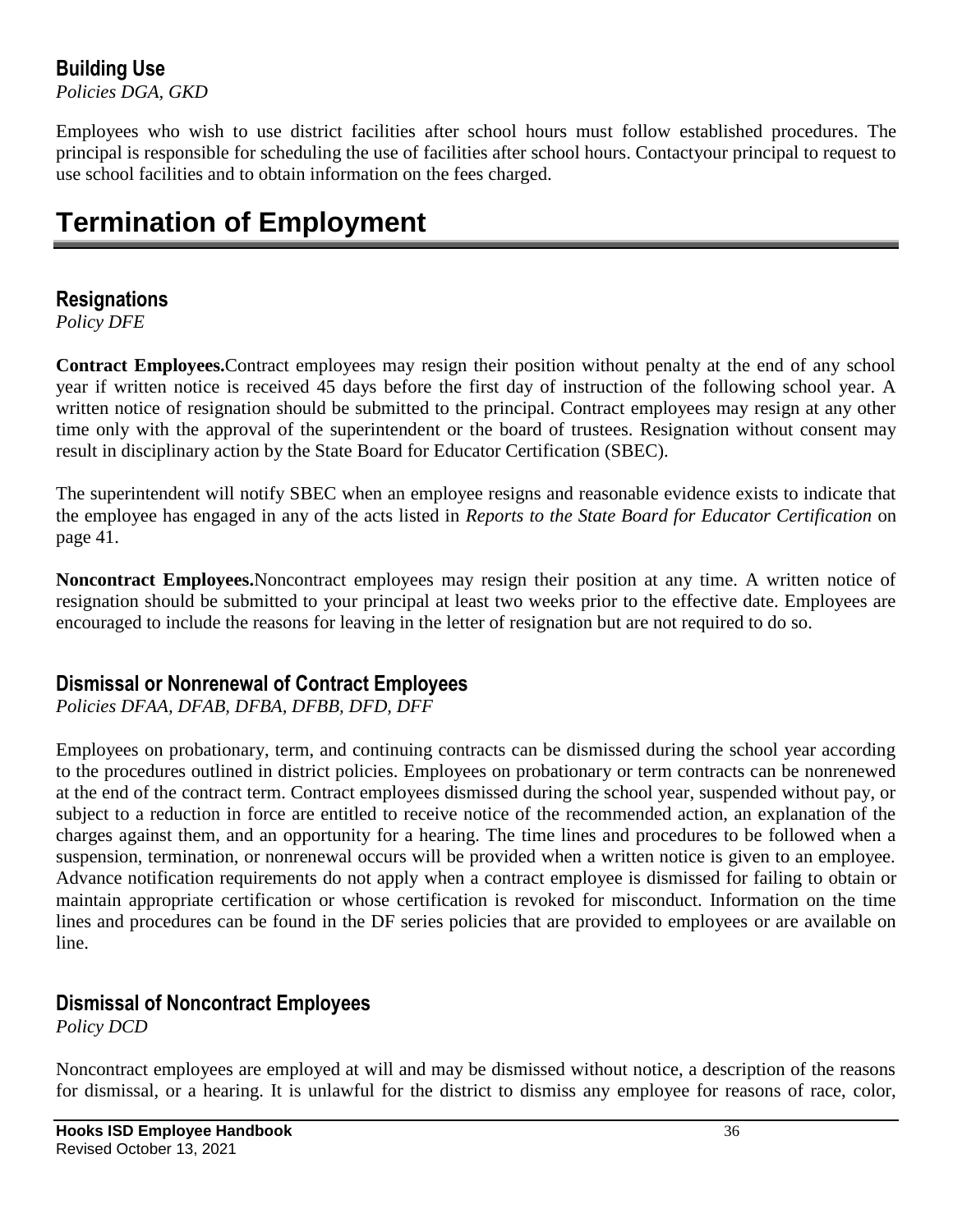## **Building Use**

*Policies DGA, GKD*

Employees who wish to use district facilities after school hours must follow established procedures. The principal is responsible for scheduling the use of facilities after school hours. Contactyour principal to request to use school facilities and to obtain information on the fees charged.

## **Termination of Employment**

#### **Resignations**

*Policy DFE*

**Contract Employees.**Contract employees may resign their position without penalty at the end of any school year if written notice is received 45 days before the first day of instruction of the following school year. A written notice of resignation should be submitted to the principal. Contract employees may resign at any other time only with the approval of the superintendent or the board of trustees. Resignation without consent may result in disciplinary action by the State Board for Educator Certification (SBEC).

The superintendent will notify SBEC when an employee resigns and reasonable evidence exists to indicate that the employee has engaged in any of the acts listed in *Reports to the State Board for Educator Certification* on page 41.

**Noncontract Employees.**Noncontract employees may resign their position at any time. A written notice of resignation should be submitted to your principal at least two weeks prior to the effective date. Employees are encouraged to include the reasons for leaving in the letter of resignation but are not required to do so.

#### **Dismissal or Nonrenewal of Contract Employees**

*Policies DFAA, DFAB, DFBA, DFBB, DFD, DFF*

Employees on probationary, term, and continuing contracts can be dismissed during the school year according to the procedures outlined in district policies. Employees on probationary or term contracts can be nonrenewed at the end of the contract term. Contract employees dismissed during the school year, suspended without pay, or subject to a reduction in force are entitled to receive notice of the recommended action, an explanation of the charges against them, and an opportunity for a hearing. The time lines and procedures to be followed when a suspension, termination, or nonrenewal occurs will be provided when a written notice is given to an employee. Advance notification requirements do not apply when a contract employee is dismissed for failing to obtain or maintain appropriate certification or whose certification is revoked for misconduct. Information on the time lines and procedures can be found in the DF series policies that are provided to employees or are available on line.

#### **Dismissal of Noncontract Employees**

*Policy DCD*

Noncontract employees are employed at will and may be dismissed without notice, a description of the reasons for dismissal, or a hearing. It is unlawful for the district to dismiss any employee for reasons of race, color,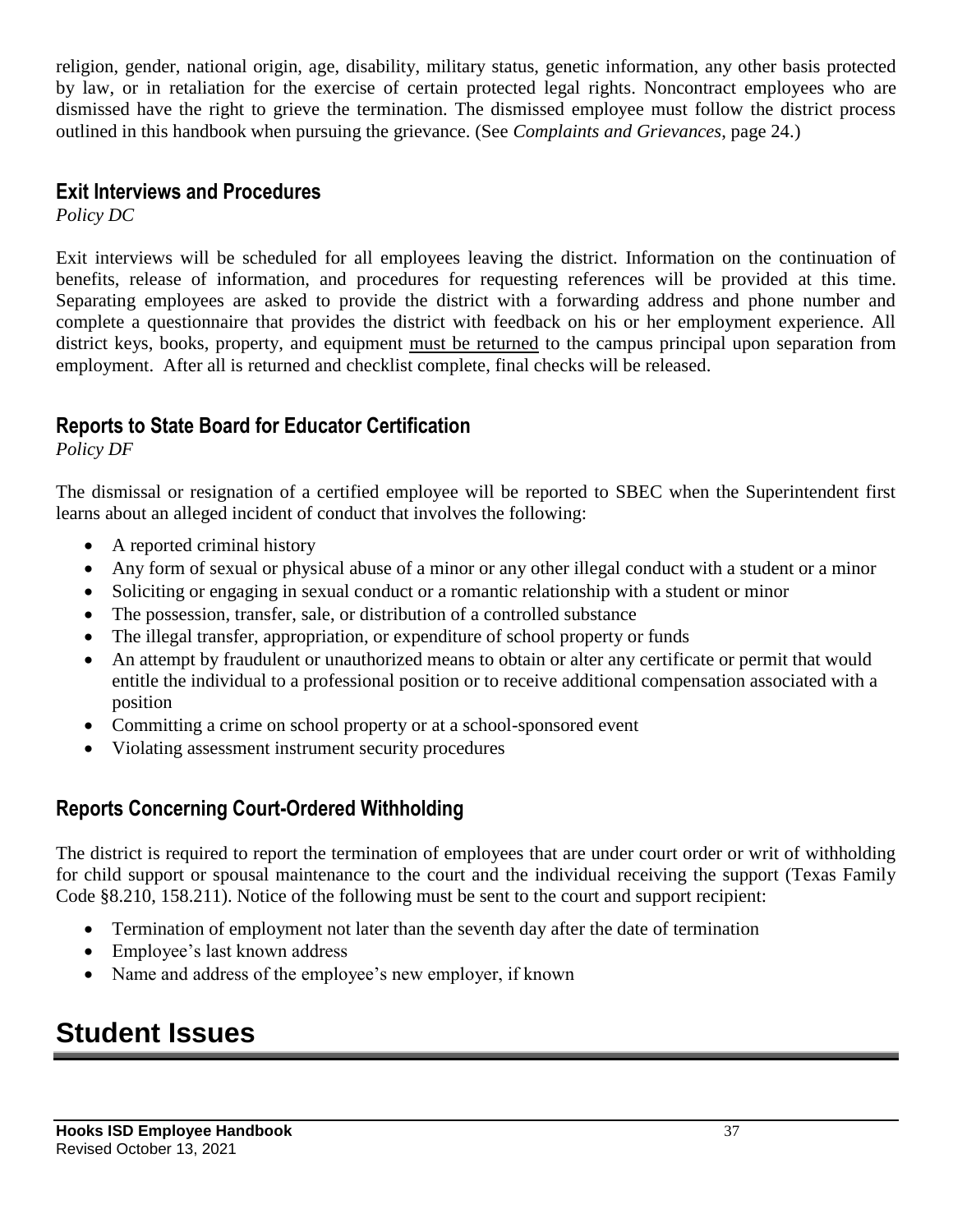religion, gender, national origin, age, disability, military status, genetic information, any other basis protected by law, or in retaliation for the exercise of certain protected legal rights. Noncontract employees who are dismissed have the right to grieve the termination. The dismissed employee must follow the district process outlined in this handbook when pursuing the grievance. (See *Complaints and Grievances*, page 24.)

#### **Exit Interviews and Procedures**

*Policy DC*

Exit interviews will be scheduled for all employees leaving the district. Information on the continuation of benefits, release of information, and procedures for requesting references will be provided at this time. Separating employees are asked to provide the district with a forwarding address and phone number and complete a questionnaire that provides the district with feedback on his or her employment experience. All district keys, books, property, and equipment must be returned to the campus principal upon separation from employment. After all is returned and checklist complete, final checks will be released.

## **Reports to State Board for Educator Certification**

*Policy DF*

The dismissal or resignation of a certified employee will be reported to SBEC when the Superintendent first learns about an alleged incident of conduct that involves the following:

- A reported criminal history
- Any form of sexual or physical abuse of a minor or any other illegal conduct with a student or a minor
- Soliciting or engaging in sexual conduct or a romantic relationship with a student or minor
- The possession, transfer, sale, or distribution of a controlled substance
- The illegal transfer, appropriation, or expenditure of school property or funds
- An attempt by fraudulent or unauthorized means to obtain or alter any certificate or permit that would entitle the individual to a professional position or to receive additional compensation associated with a position
- Committing a crime on school property or at a school-sponsored event
- Violating assessment instrument security procedures

## **Reports Concerning Court-Ordered Withholding**

The district is required to report the termination of employees that are under court order or writ of withholding for child support or spousal maintenance to the court and the individual receiving the support (Texas Family Code §8.210, 158.211). Notice of the following must be sent to the court and support recipient:

- Termination of employment not later than the seventh day after the date of termination
- Employee's last known address
- Name and address of the employee's new employer, if known

## **Student Issues**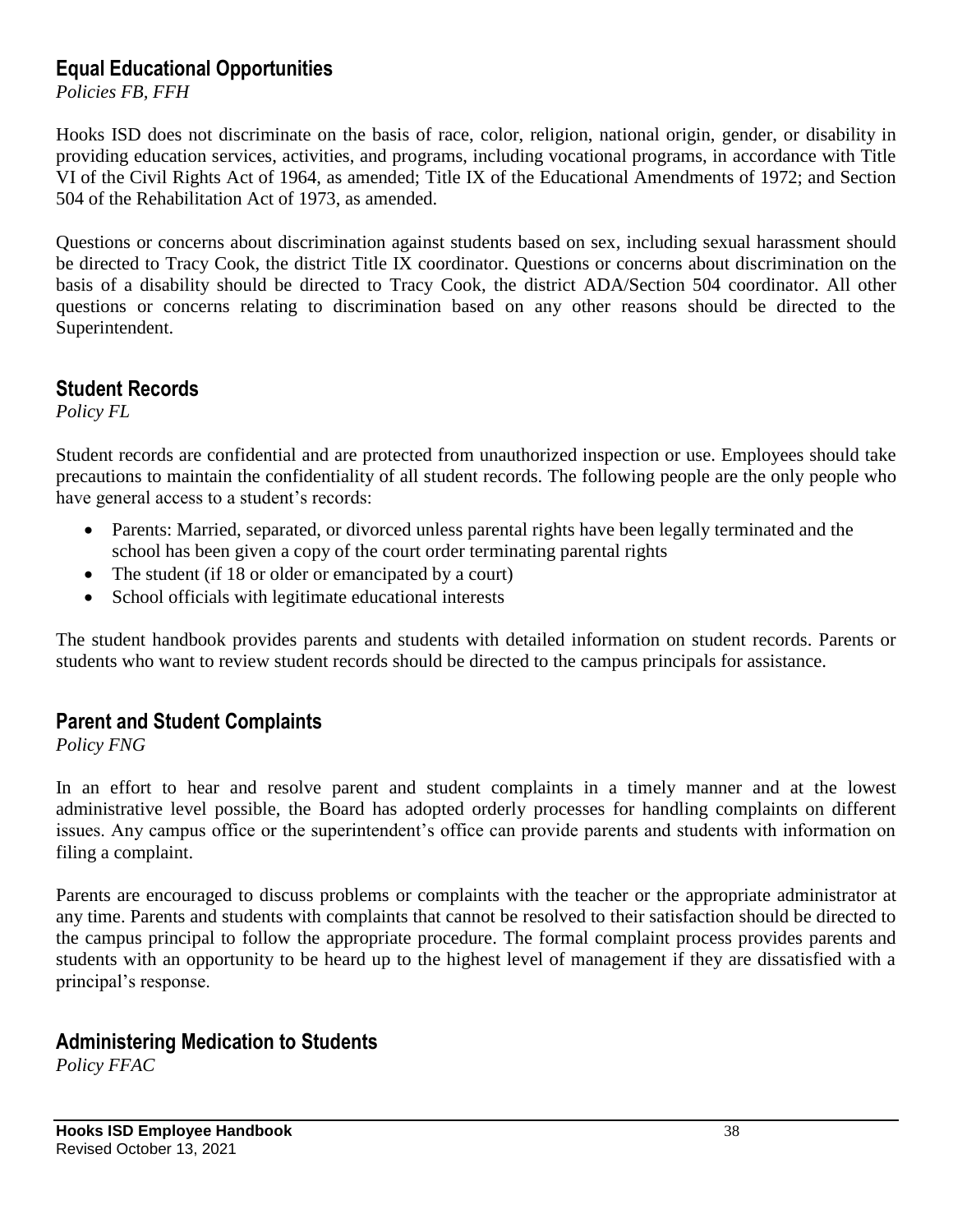#### **Equal Educational Opportunities**

*Policies FB, FFH*

Hooks ISD does not discriminate on the basis of race, color, religion, national origin, gender, or disability in providing education services, activities, and programs, including vocational programs, in accordance with Title VI of the Civil Rights Act of 1964, as amended; Title IX of the Educational Amendments of 1972; and Section 504 of the Rehabilitation Act of 1973, as amended.

Questions or concerns about discrimination against students based on sex, including sexual harassment should be directed to Tracy Cook, the district Title IX coordinator. Questions or concerns about discrimination on the basis of a disability should be directed to Tracy Cook, the district ADA/Section 504 coordinator. All other questions or concerns relating to discrimination based on any other reasons should be directed to the Superintendent.

#### **Student Records**

*Policy FL*

Student records are confidential and are protected from unauthorized inspection or use. Employees should take precautions to maintain the confidentiality of all student records. The following people are the only people who have general access to a student's records:

- Parents: Married, separated, or divorced unless parental rights have been legally terminated and the school has been given a copy of the court order terminating parental rights
- The student (if 18 or older or emancipated by a court)
- School officials with legitimate educational interests

The student handbook provides parents and students with detailed information on student records. Parents or students who want to review student records should be directed to the campus principals for assistance.

#### **Parent and Student Complaints**

*Policy FNG*

In an effort to hear and resolve parent and student complaints in a timely manner and at the lowest administrative level possible, the Board has adopted orderly processes for handling complaints on different issues. Any campus office or the superintendent's office can provide parents and students with information on filing a complaint.

Parents are encouraged to discuss problems or complaints with the teacher or the appropriate administrator at any time. Parents and students with complaints that cannot be resolved to their satisfaction should be directed to the campus principal to follow the appropriate procedure. The formal complaint process provides parents and students with an opportunity to be heard up to the highest level of management if they are dissatisfied with a principal's response.

#### **Administering Medication to Students**

*Policy FFAC*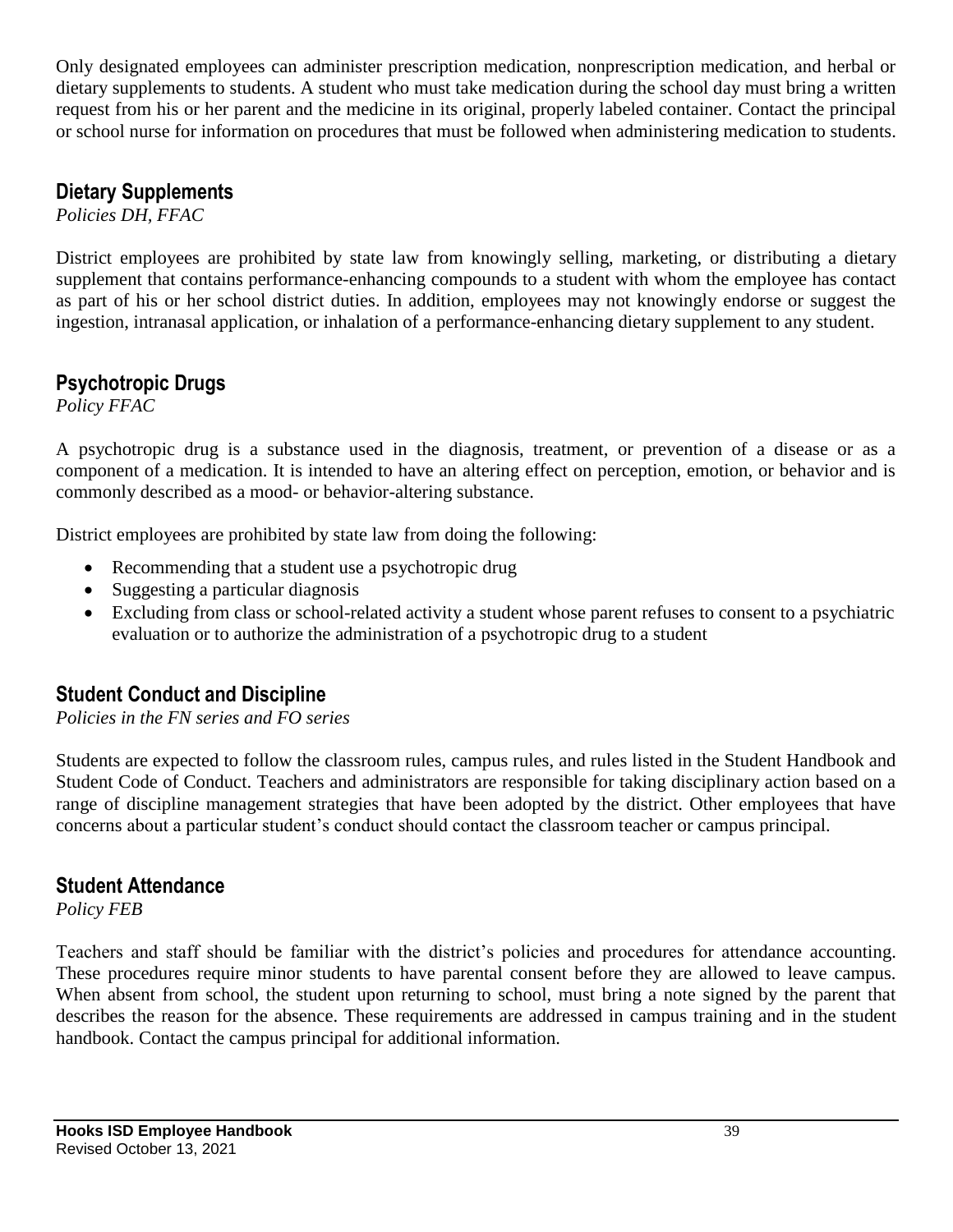Only designated employees can administer prescription medication, nonprescription medication, and herbal or dietary supplements to students. A student who must take medication during the school day must bring a written request from his or her parent and the medicine in its original, properly labeled container. Contact the principal or school nurse for information on procedures that must be followed when administering medication to students.

## **Dietary Supplements**

*Policies DH, FFAC*

District employees are prohibited by state law from knowingly selling, marketing, or distributing a dietary supplement that contains performance-enhancing compounds to a student with whom the employee has contact as part of his or her school district duties. In addition, employees may not knowingly endorse or suggest the ingestion, intranasal application, or inhalation of a performance-enhancing dietary supplement to any student.

#### **Psychotropic Drugs**

*Policy FFAC*

A psychotropic drug is a substance used in the diagnosis, treatment, or prevention of a disease or as a component of a medication. It is intended to have an altering effect on perception, emotion, or behavior and is commonly described as a mood- or behavior-altering substance.

District employees are prohibited by state law from doing the following:

- Recommending that a student use a psychotropic drug
- Suggesting a particular diagnosis
- Excluding from class or school-related activity a student whose parent refuses to consent to a psychiatric evaluation or to authorize the administration of a psychotropic drug to a student

## **Student Conduct and Discipline**

*Policies in the FN series and FO series*

Students are expected to follow the classroom rules, campus rules, and rules listed in the Student Handbook and Student Code of Conduct. Teachers and administrators are responsible for taking disciplinary action based on a range of discipline management strategies that have been adopted by the district. Other employees that have concerns about a particular student's conduct should contact the classroom teacher or campus principal.

#### **Student Attendance**

*Policy FEB*

Teachers and staff should be familiar with the district's policies and procedures for attendance accounting. These procedures require minor students to have parental consent before they are allowed to leave campus. When absent from school, the student upon returning to school, must bring a note signed by the parent that describes the reason for the absence. These requirements are addressed in campus training and in the student handbook. Contact the campus principal for additional information.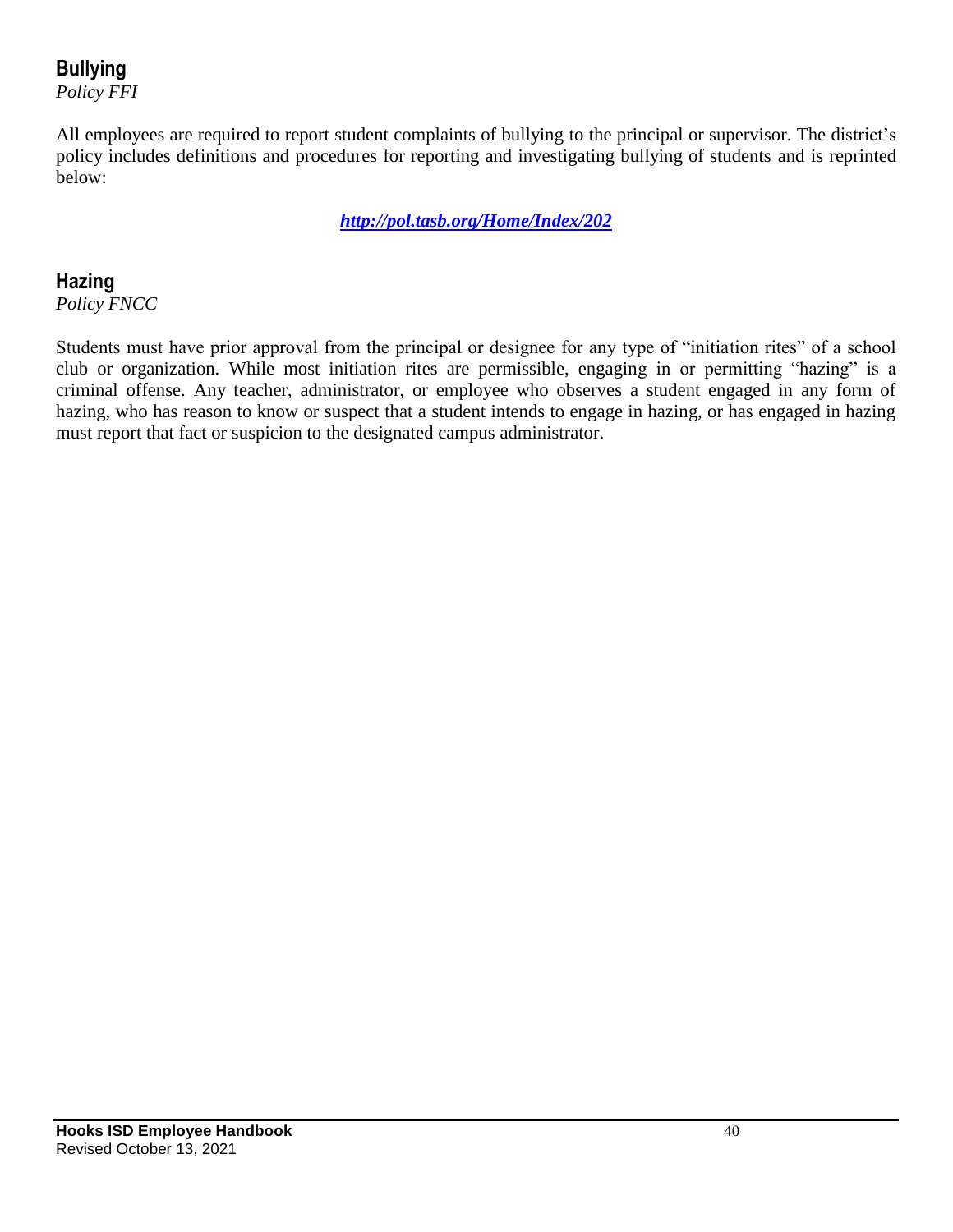## **Bullying**

*Policy FFI*

All employees are required to report student complaints of bullying to the principal or supervisor. The district's policy includes definitions and procedures for reporting and investigating bullying of students and is reprinted below:

*[http://pol.tasb.org/Home/Index/202](http://www.tasb.org/policy/pol/private/019902/)*

#### **Hazing**

*Policy FNCC*

Students must have prior approval from the principal or designee for any type of "initiation rites" of a school club or organization. While most initiation rites are permissible, engaging in or permitting "hazing" is a criminal offense. Any teacher, administrator, or employee who observes a student engaged in any form of hazing, who has reason to know or suspect that a student intends to engage in hazing, or has engaged in hazing must report that fact or suspicion to the designated campus administrator.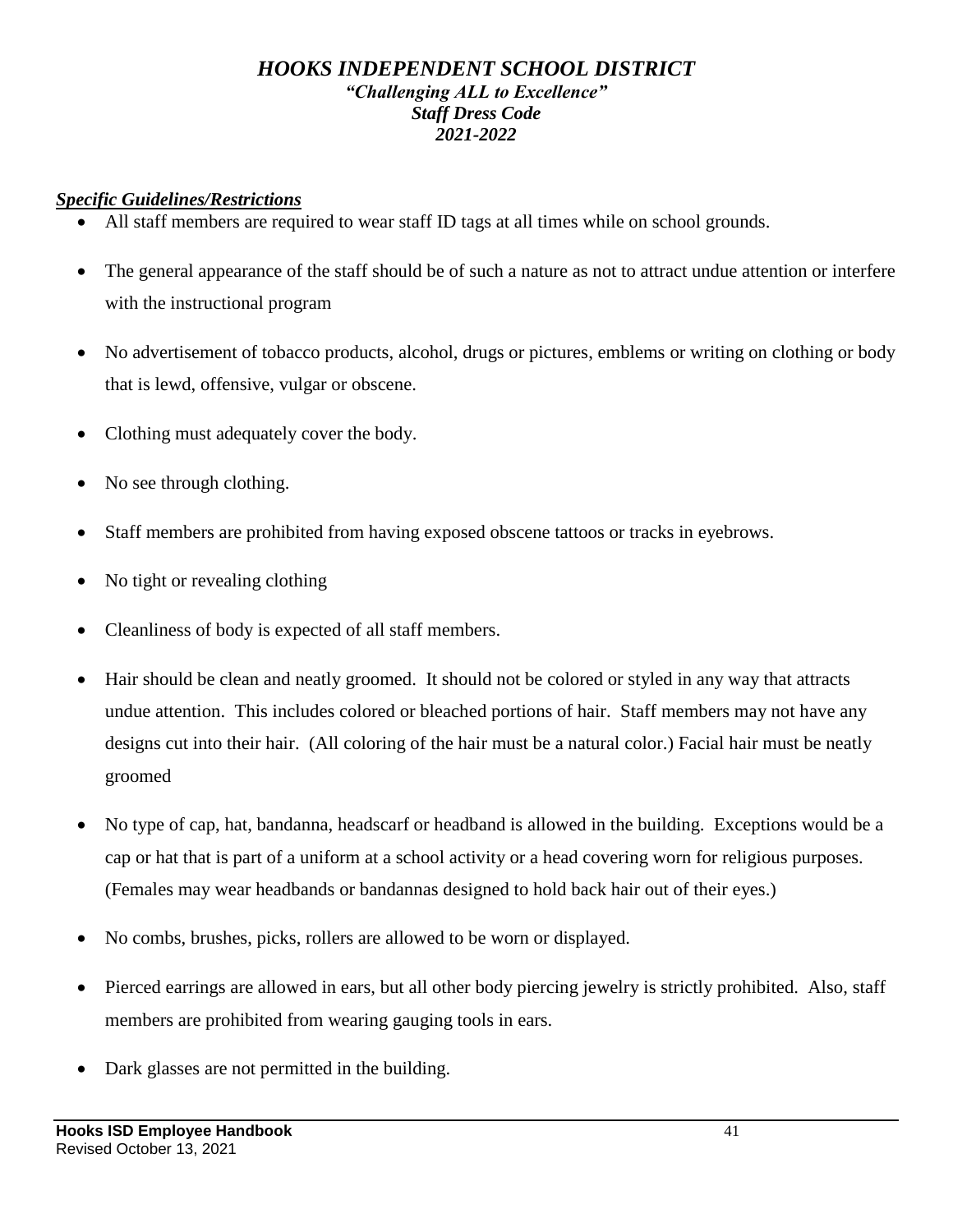#### *HOOKS INDEPENDENT SCHOOL DISTRICT "Challenging ALL to Excellence" Staff Dress Code 2021-2022*

#### *Specific Guidelines/Restrictions*

- All staff members are required to wear staff ID tags at all times while on school grounds.
- The general appearance of the staff should be of such a nature as not to attract undue attention or interfere with the instructional program
- No advertisement of tobacco products, alcohol, drugs or pictures, emblems or writing on clothing or body that is lewd, offensive, vulgar or obscene.
- Clothing must adequately cover the body.
- No see through clothing.
- Staff members are prohibited from having exposed obscene tattoos or tracks in eyebrows.
- No tight or revealing clothing
- Cleanliness of body is expected of all staff members.
- Hair should be clean and neatly groomed. It should not be colored or styled in any way that attracts undue attention. This includes colored or bleached portions of hair. Staff members may not have any designs cut into their hair. (All coloring of the hair must be a natural color.) Facial hair must be neatly groomed
- No type of cap, hat, bandanna, headscarf or headband is allowed in the building. Exceptions would be a cap or hat that is part of a uniform at a school activity or a head covering worn for religious purposes. (Females may wear headbands or bandannas designed to hold back hair out of their eyes.)
- No combs, brushes, picks, rollers are allowed to be worn or displayed.
- Pierced earrings are allowed in ears, but all other body piercing jewelry is strictly prohibited. Also, staff members are prohibited from wearing gauging tools in ears.
- Dark glasses are not permitted in the building.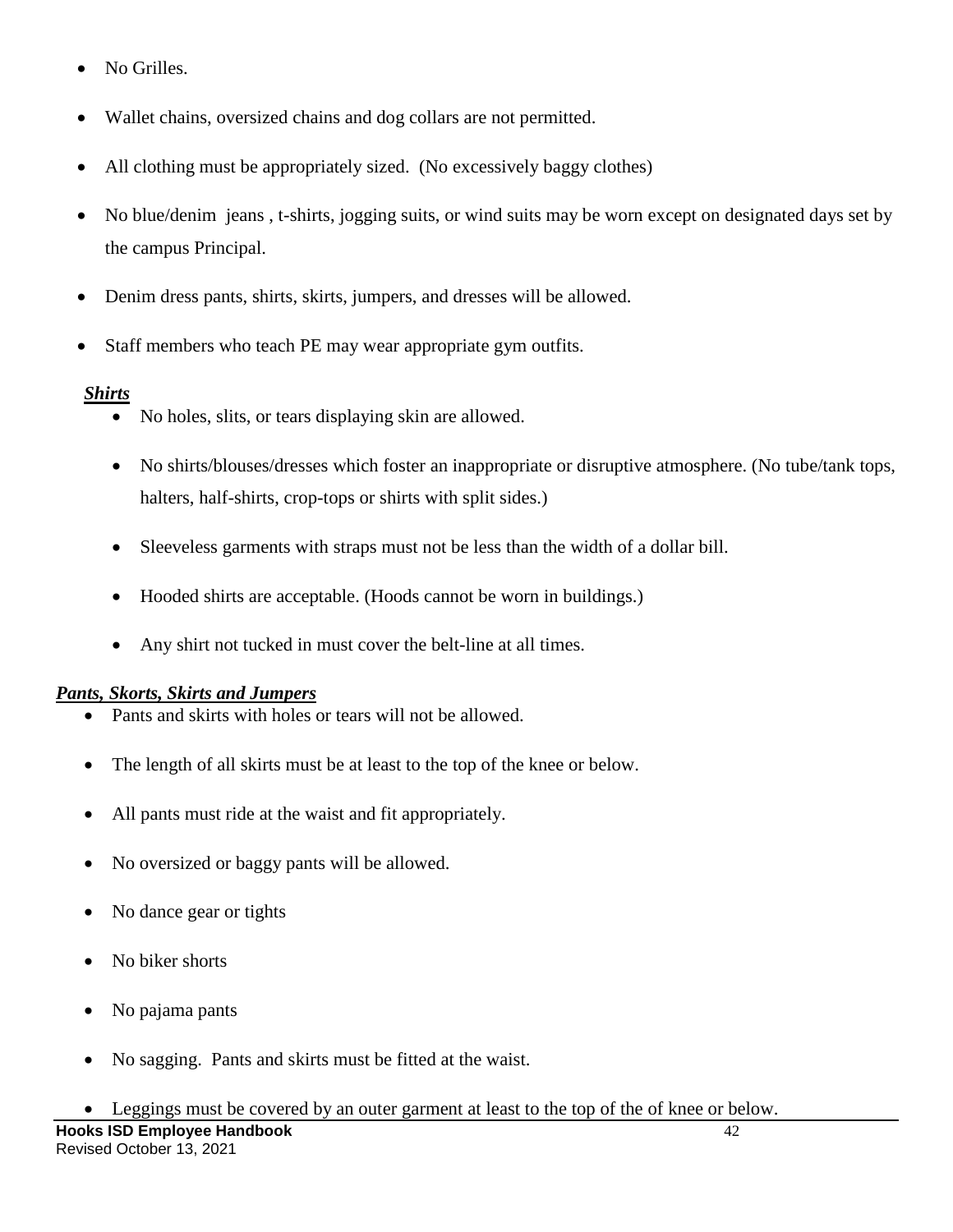- No Grilles.
- Wallet chains, oversized chains and dog collars are not permitted.
- All clothing must be appropriately sized. (No excessively baggy clothes)
- No blue/denim jeans , t-shirts, jogging suits, or wind suits may be worn except on designated days set by the campus Principal.
- Denim dress pants, shirts, skirts, jumpers, and dresses will be allowed.
- Staff members who teach PE may wear appropriate gym outfits.

#### *Shirts*

- No holes, slits, or tears displaying skin are allowed.
- No shirts/blouses/dresses which foster an inappropriate or disruptive atmosphere. (No tube/tank tops, halters, half-shirts, crop-tops or shirts with split sides.)
- Sleeveless garments with straps must not be less than the width of a dollar bill.
- Hooded shirts are acceptable. (Hoods cannot be worn in buildings.)
- Any shirt not tucked in must cover the belt-line at all times.

#### *Pants, Skorts, Skirts and Jumpers*

- Pants and skirts with holes or tears will not be allowed.
- The length of all skirts must be at least to the top of the knee or below.
- All pants must ride at the waist and fit appropriately.
- No oversized or baggy pants will be allowed.
- No dance gear or tights
- No biker shorts
- No pajama pants
- No sagging. Pants and skirts must be fitted at the waist.
- Leggings must be covered by an outer garment at least to the top of the of knee or below.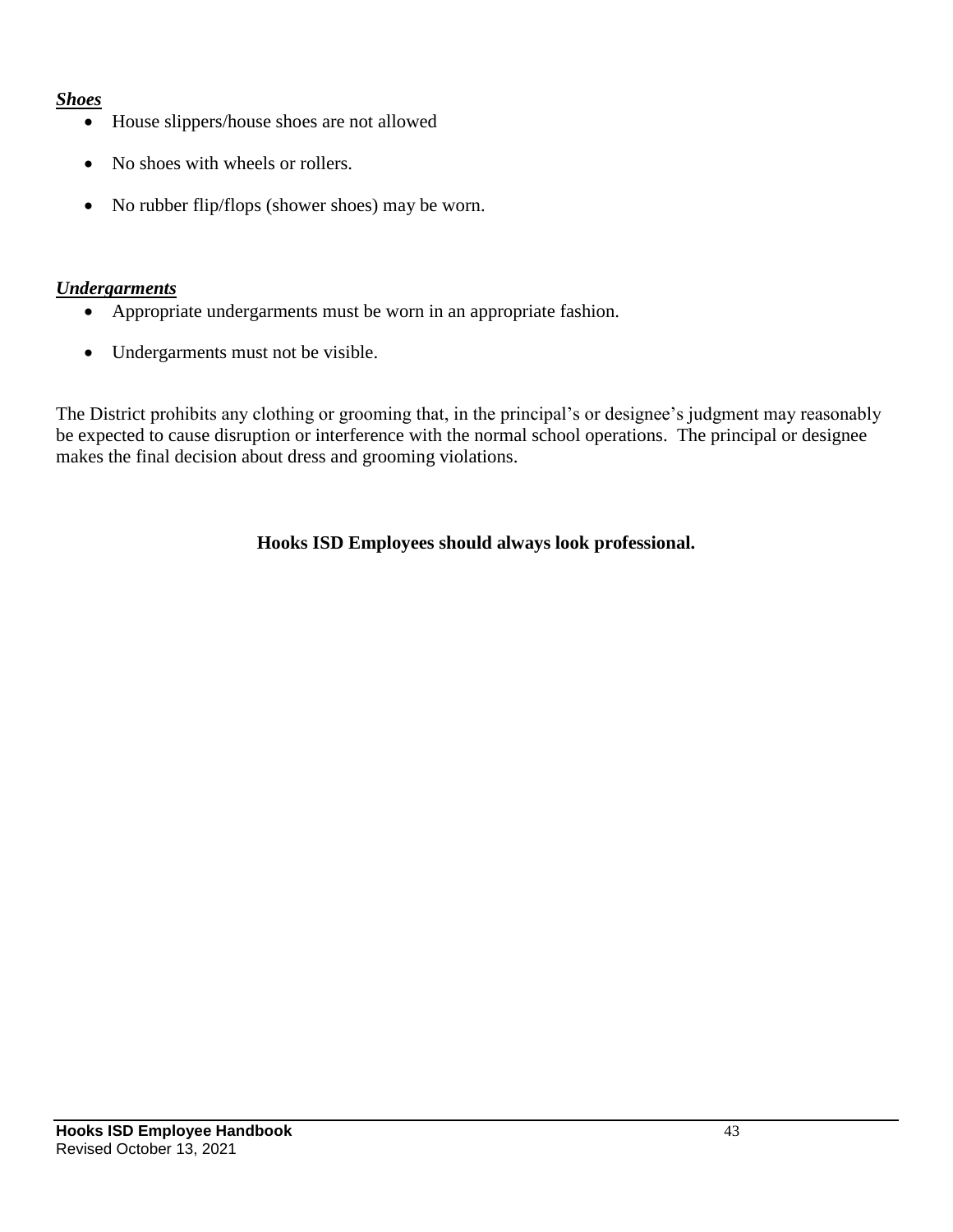#### *Shoes*

- House slippers/house shoes are not allowed
- No shoes with wheels or rollers.
- No rubber flip/flops (shower shoes) may be worn.

#### *Undergarments*

- Appropriate undergarments must be worn in an appropriate fashion.
- Undergarments must not be visible.

The District prohibits any clothing or grooming that, in the principal's or designee's judgment may reasonably be expected to cause disruption or interference with the normal school operations. The principal or designee makes the final decision about dress and grooming violations.

#### **Hooks ISD Employees should always look professional.**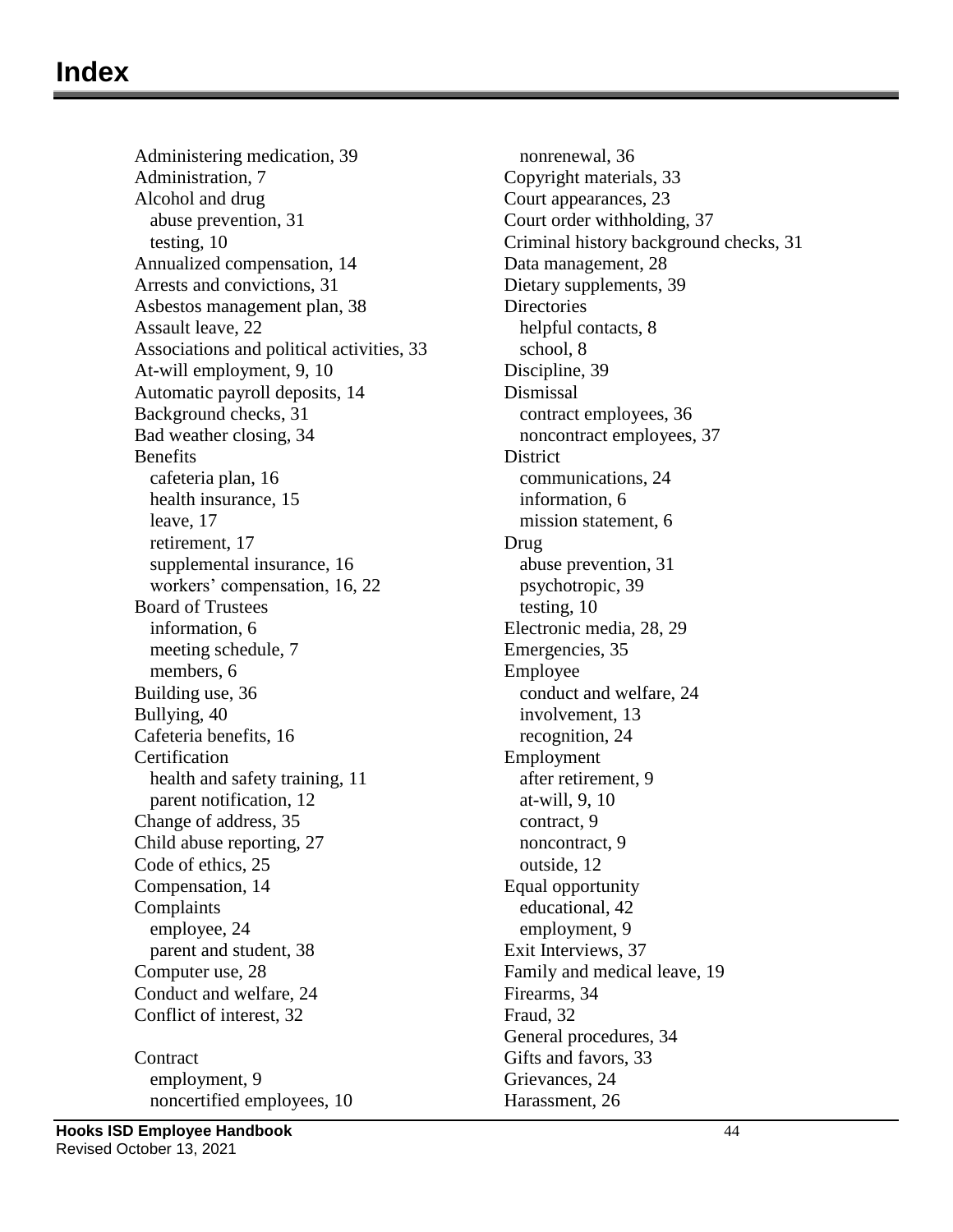## **Index**

Administering medication, 39 Administration, 7 Alcohol and drug abuse prevention, 31 testing, 10 Annualized compensation, 14 Arrests and convictions, 31 Asbestos management plan, 38 Assault leave, 22 Associations and political activities, 33 At-will employment, 9, 10 Automatic payroll deposits, 14 Background checks, 31 Bad weather closing, 34 Benefits cafeteria plan, 16 health insurance, 15 leave, 17 retirement, 17 supplemental insurance, 16 workers' compensation, 16, 22 Board of Trustees information, 6 meeting schedule, 7 members, 6 Building use, 36 Bullying, 40 Cafeteria benefits, 16 **Certification** health and safety training, 11 parent notification, 12 Change of address, 35 Child abuse reporting, 27 Code of ethics, 25 Compensation, 14 Complaints employee, 24 parent and student, 38 Computer use, 28 Conduct and welfare, 24 Conflict of interest, 32 **Contract** employment, 9

nonrenewal, 36 Copyright materials, 33 Court appearances, 23 Court order withholding, 37 Criminal history background checks, 31 Data management, 28 Dietary supplements, 39 **Directories** helpful contacts, 8 school, 8 Discipline, 39 Dismissal contract employees, 36 noncontract employees, 37 **District** communications, 24 information, 6 mission statement, 6 Drug abuse prevention, 31 psychotropic, 39 testing, 10 Electronic media, 28, 29 Emergencies, 35 Employee conduct and welfare, 24 involvement, 13 recognition, 24 Employment after retirement, 9 at-will, 9, 10 contract, 9 noncontract, 9 outside, 12 Equal opportunity educational, 42 employment, 9 Exit Interviews, 37 Family and medical leave, 19 Firearms, 34 Fraud, 32 General procedures, 34 Gifts and favors, 33 Grievances, 24 Harassment, 26

noncertified employees, 10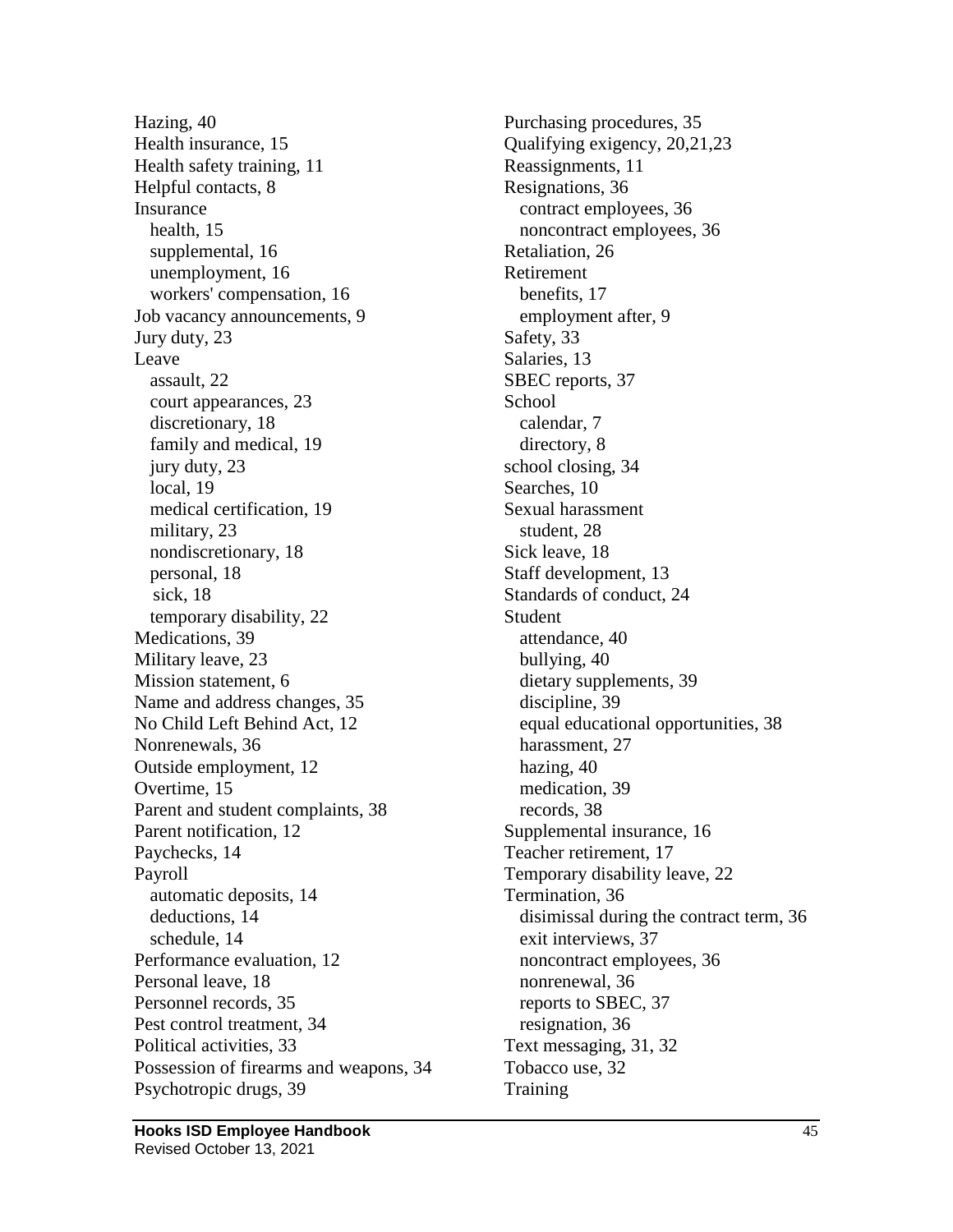Hazing, 40 Health insurance, 15 Health safety training, 11 Helpful contacts, 8 Insurance health, 15 supplemental, 16 unemployment, 16 workers' compensation, 16 Job vacancy announcements, 9 Jury duty, 23 Leave assault, 22 court appearances, 23 discretionary, 18 family and medical, 19 jury duty, 23 local, 19 medical certification, 19 military, 23 nondiscretionary, 18 personal, 18 sick, 18 temporary disability, 22 Medications, 39 Military leave, 23 Mission statement, 6 Name and address changes, 35 No Child Left Behind Act, 12 Nonrenewals, 36 Outside employment, 12 Overtime, 15 Parent and student complaints, 38 Parent notification, 12 Paychecks, 14 Payroll automatic deposits, 14 deductions, 14 schedule, 14 Performance evaluation, 12 Personal leave, 18 Personnel records, 35 Pest control treatment, 34 Political activities, 33 Possession of firearms and weapons, 34 Psychotropic drugs, 39

Purchasing procedures, 35 Qualifying exigency, 20,21,23 Reassignments, 11 Resignations, 36 contract employees, 36 noncontract employees, 36 Retaliation, 26 Retirement benefits, 17 employment after, 9 Safety, 33 Salaries, 13 SBEC reports, 37 School calendar, 7 directory, 8 school closing, 34 Searches, 10 Sexual harassment student, 28 Sick leave, 18 Staff development, 13 Standards of conduct, 24 Student attendance, 40 bullying, 40 dietary supplements, 39 discipline, 39 equal educational opportunities, 38 harassment, 27 hazing, 40 medication, 39 records, 38 Supplemental insurance, 16 Teacher retirement, 17 Temporary disability leave, 22 Termination, 36 disimissal during the contract term, 36 exit interviews, 37 noncontract employees, 36 nonrenewal, 36 reports to SBEC, 37 resignation, 36 Text messaging, 31, 32 Tobacco use, 32 **Training**